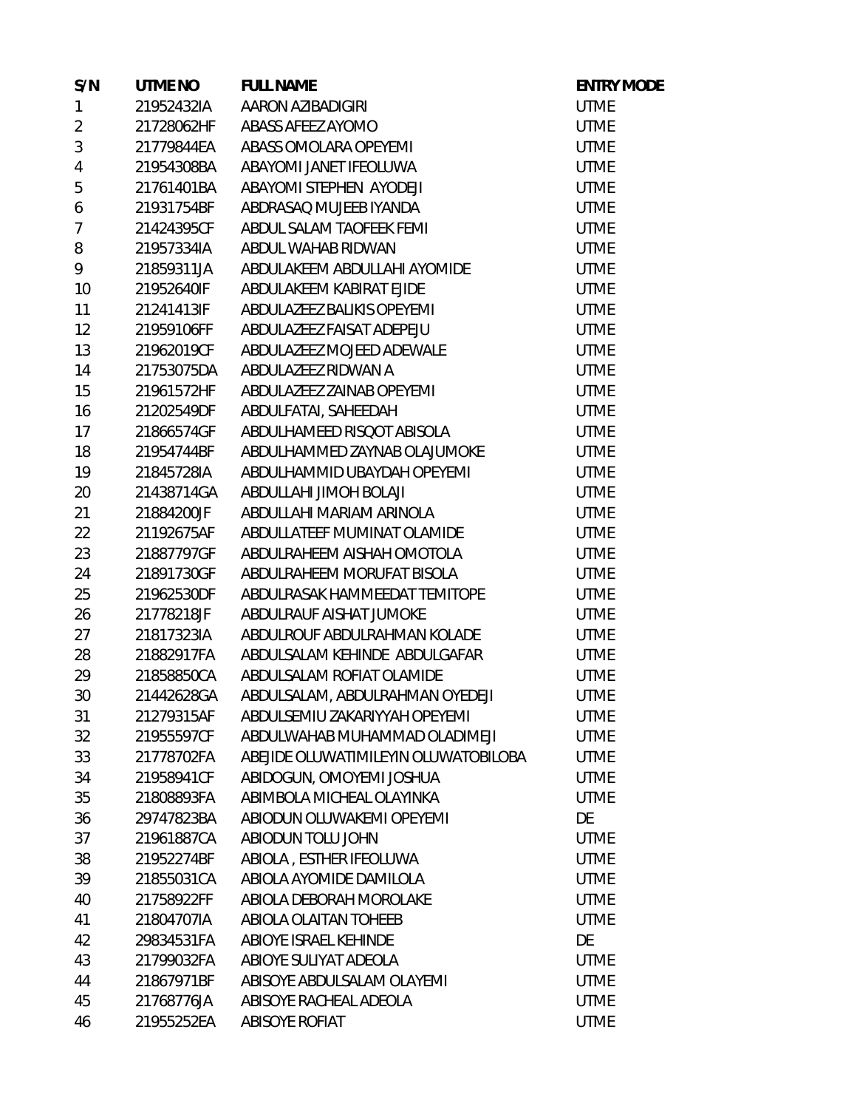| S/N            | UTME NO    | <b>FULL NAME</b>                     | <b>ENTRY MODE</b> |
|----------------|------------|--------------------------------------|-------------------|
| $\mathbf{1}$   | 21952432IA | AARON AZIBADIGIRI                    | <b>UTME</b>       |
| $\overline{2}$ |            | 21728062HF ABASS AFEEZ AYOMO         | <b>UTME</b>       |
| $\mathfrak{Z}$ | 21779844EA | ABASS OMOLARA OPEYEMI                | <b>UTME</b>       |
| $\overline{4}$ | 21954308BA | ABAYOMI JANET IFEOLUWA               | <b>UTME</b>       |
| 5              | 21761401BA | ABAYOMI STEPHEN AYODEJI              | <b>UTME</b>       |
| 6              | 21931754BF | ABDRASAQ MUJEEB IYANDA               | <b>UTME</b>       |
| $\overline{7}$ | 21424395CF | ABDUL SALAM TAOFEEK FEMI             | <b>UTME</b>       |
| 8              | 21957334IA | ABDUL WAHAB RIDWAN                   | <b>UTME</b>       |
| 9              | 21859311JA | ABDULAKEEM ABDULLAHI AYOMIDE         | <b>UTME</b>       |
| 10             | 21952640IF | ABDULAKEEM KABIRAT EJIDE             | <b>UTME</b>       |
| 11             | 21241413IF | ABDULAZEEZ BALIKIS OPEYEMI           | <b>UTME</b>       |
| 12             | 21959106FF | ABDULAZEEZ FAISAT ADEPEJU            | <b>UTME</b>       |
| 13             | 21962019CF | ABDULAZEEZ MOJEED ADEWALE            | <b>UTME</b>       |
| 14             | 21753075DA | ABDULAZEEZ RIDWAN A                  | <b>UTME</b>       |
| 15             | 21961572HF | ABDULAZEEZ ZAINAB OPEYEMI            | <b>UTME</b>       |
| 16             | 21202549DF | ABDULFATAI, SAHEEDAH                 | <b>UTME</b>       |
| 17             | 21866574GF | ABDULHAMEED RISQOT ABISOLA           | <b>UTME</b>       |
| 18             | 21954744BF | ABDULHAMMED ZAYNAB OLAJUMOKE         | <b>UTME</b>       |
| 19             | 21845728IA | ABDULHAMMID UBAYDAH OPEYEMI          | <b>UTME</b>       |
| 20             | 21438714GA | ABDULLAHI JIMOH BOLAJI               | <b>UTME</b>       |
| 21             | 21884200JF | ABDULLAHI MARIAM ARINOLA             | <b>UTME</b>       |
| 22             | 21192675AF | ABDULLATEEF MUMINAT OLAMIDE          | <b>UTME</b>       |
| 23             | 21887797GF | ABDULRAHEEM AISHAH OMOTOLA           | <b>UTME</b>       |
| 24             | 21891730GF | ABDULRAHEEM MORUFAT BISOLA           | <b>UTME</b>       |
| 25             | 21962530DF | ABDULRASAK HAMMEEDAT TEMITOPE        | <b>UTME</b>       |
| 26             | 21778218JF | ABDULRAUF AISHAT JUMOKE              | <b>UTME</b>       |
| 27             | 21817323IA | ABDULROUF ABDULRAHMAN KOLADE         | <b>UTME</b>       |
| 28             | 21882917FA | ABDULSALAM KEHINDE ABDULGAFAR        | <b>UTME</b>       |
| 29             | 21858850CA | ABDULSALAM ROFIAT OLAMIDE            | <b>UTME</b>       |
| 30             | 21442628GA | ABDULSALAM, ABDULRAHMAN OYEDEJI      | <b>UTME</b>       |
| 31             | 21279315AF | ABDULSEMIU ZAKARIYYAH OPEYEMI        | <b>UTME</b>       |
| 32             | 21955597CF | ABDULWAHAB MUHAMMAD OLADIMEJI        | <b>UTME</b>       |
| 33             | 21778702FA | ABEJIDE OLUWATIMILEYIN OLUWATOBILOBA | <b>UTME</b>       |
| 34             | 21958941CF | ABIDOGUN, OMOYEMI JOSHUA             | <b>UTME</b>       |
| 35             | 21808893FA | ABIMBOLA MICHEAL OLAYINKA            | <b>UTME</b>       |
| 36             | 29747823BA | ABIODUN OLUWAKEMI OPEYEMI            | DE                |
| 37             | 21961887CA | ABIODUN TOLU JOHN                    | <b>UTME</b>       |
| 38             | 21952274BF | ABIOLA, ESTHER IFEOLUWA              | <b>UTME</b>       |
| 39             | 21855031CA | ABIOLA AYOMIDE DAMILOLA              | <b>UTME</b>       |
| 40             | 21758922FF | ABIOLA DEBORAH MOROLAKE              | <b>UTME</b>       |
| 41             | 21804707IA | ABIOLA OLAITAN TOHEEB                | <b>UTME</b>       |
| 42             | 29834531FA | ABIOYE ISRAEL KEHINDE                | DE                |
| 43             | 21799032FA | ABIOYE SULIYAT ADEOLA                | <b>UTME</b>       |
| 44             | 21867971BF | ABISOYE ABDULSALAM OLAYEMI           | <b>UTME</b>       |
| 45             | 21768776JA | ABISOYE RACHEAL ADEOLA               | <b>UTME</b>       |
| 46             | 21955252EA | ABISOYE ROFIAT                       | <b>UTME</b>       |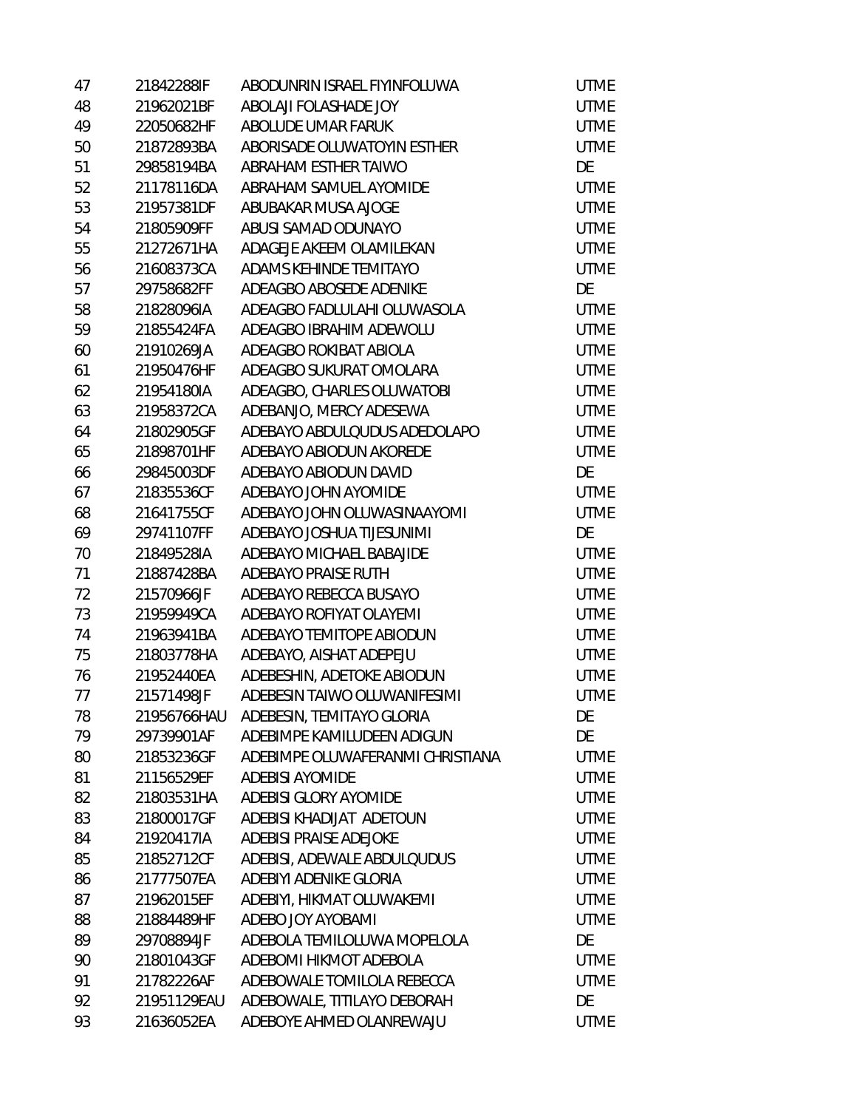| 47 | 21842288IF  | ABODUNRIN ISRAEL FIYINFOLUWA     | <b>UTME</b> |
|----|-------------|----------------------------------|-------------|
| 48 | 21962021BF  | ABOLAJI FOLASHADE JOY            | <b>UTME</b> |
| 49 | 22050682HF  | ABOLUDE UMAR FARUK               | <b>UTME</b> |
| 50 | 21872893BA  | ABORISADE OLUWATOYIN ESTHER      | <b>UTME</b> |
| 51 | 29858194BA  | ABRAHAM ESTHER TAIWO             | DE          |
| 52 | 21178116DA  | ABRAHAM SAMUEL AYOMIDE           | <b>UTME</b> |
| 53 | 21957381DF  | ABUBAKAR MUSA AJOGE              | <b>UTME</b> |
| 54 | 21805909FF  | ABUSI SAMAD ODUNAYO              | <b>UTME</b> |
| 55 | 21272671HA  | ADAGEJE AKEEM OLAMILEKAN         | <b>UTME</b> |
| 56 | 21608373CA  | ADAMS KEHINDE TEMITAYO           | <b>UTME</b> |
| 57 | 29758682FF  | ADEAGBO ABOSEDE ADENIKE          | DE          |
| 58 | 21828096IA  | ADEAGBO FADLULAHI OLUWASOLA      | <b>UTME</b> |
| 59 | 21855424FA  | ADEAGBO IBRAHIM ADEWOLU          | <b>UTME</b> |
| 60 | 21910269JA  | ADEAGBO ROKIBAT ABIOLA           | <b>UTME</b> |
| 61 | 21950476HF  | ADEAGBO SUKURAT OMOLARA          | <b>UTME</b> |
| 62 | 21954180IA  | ADEAGBO, CHARLES OLUWATOBI       | <b>UTME</b> |
| 63 | 21958372CA  | ADEBANJO, MERCY ADESEWA          | <b>UTME</b> |
| 64 | 21802905GF  | ADEBAYO ABDULQUDUS ADEDOLAPO     | <b>UTME</b> |
| 65 | 21898701HF  | ADEBAYO ABIODUN AKOREDE          | <b>UTME</b> |
| 66 | 29845003DF  | ADEBAYO ABIODUN DAVID            | DE          |
| 67 | 21835536CF  | ADEBAYO JOHN AYOMIDE             | UTME        |
| 68 | 21641755CF  | ADEBAYO JOHN OLUWASINAAYOMI      | <b>UTME</b> |
| 69 | 29741107FF  | ADEBAYO JOSHUA TIJESUNIMI        | DE          |
| 70 | 21849528IA  | ADEBAYO MICHAEL BABAJIDE         | <b>UTME</b> |
| 71 | 21887428BA  | ADEBAYO PRAISE RUTH              | <b>UTME</b> |
| 72 | 21570966JF  | ADEBAYO REBECCA BUSAYO           | <b>UTME</b> |
| 73 | 21959949CA  | ADEBAYO ROFIYAT OLAYEMI          | <b>UTME</b> |
| 74 | 21963941BA  | ADEBAYO TEMITOPE ABIODUN         | <b>UTME</b> |
| 75 | 21803778HA  | ADEBAYO, AISHAT ADEPEJU          | <b>UTME</b> |
| 76 | 21952440EA  | ADEBESHIN, ADETOKE ABIODUN       | UTME        |
| 77 | 21571498JF  | ADEBESIN TAIWO OLUWANIFESIMI     | <b>UTME</b> |
| 78 | 21956766HAU | ADEBESIN, TEMITAYO GLORIA        | DE          |
| 79 | 29739901AF  | ADEBIMPE KAMILUDEEN ADIGUN       | DE          |
| 80 | 21853236GF  | ADEBIMPE OLUWAFERANMI CHRISTIANA | <b>UTME</b> |
| 81 | 21156529EF  | <b>ADEBISI AYOMIDE</b>           | <b>UTME</b> |
| 82 | 21803531HA  | ADEBISI GLORY AYOMIDE            | <b>UTME</b> |
| 83 | 21800017GF  | ADEBISI KHADIJAT ADETOUN         | <b>UTME</b> |
| 84 | 21920417IA  | ADEBISI PRAISE ADEJOKE           | <b>UTME</b> |
| 85 | 21852712CF  | ADEBISI, ADEWALE ABDULQUDUS      | <b>UTME</b> |
| 86 | 21777507EA  | ADEBIYI ADENIKE GLORIA           | <b>UTME</b> |
| 87 | 21962015EF  | ADEBIYI, HIKMAT OLUWAKEMI        | <b>UTME</b> |
| 88 | 21884489HF  | ADEBO JOY AYOBAMI                | <b>UTME</b> |
| 89 | 29708894JF  | ADEBOLA TEMILOLUWA MOPELOLA      | DE          |
| 90 | 21801043GF  | ADEBOMI HIKMOT ADEBOLA           | <b>UTME</b> |
| 91 | 21782226AF  | ADEBOWALE TOMILOLA REBECCA       | <b>UTME</b> |
| 92 | 21951129EAU | ADEBOWALE, TITILAYO DEBORAH      | DE          |
| 93 | 21636052EA  | ADEBOYE AHMED OLANREWAJU         | UTME        |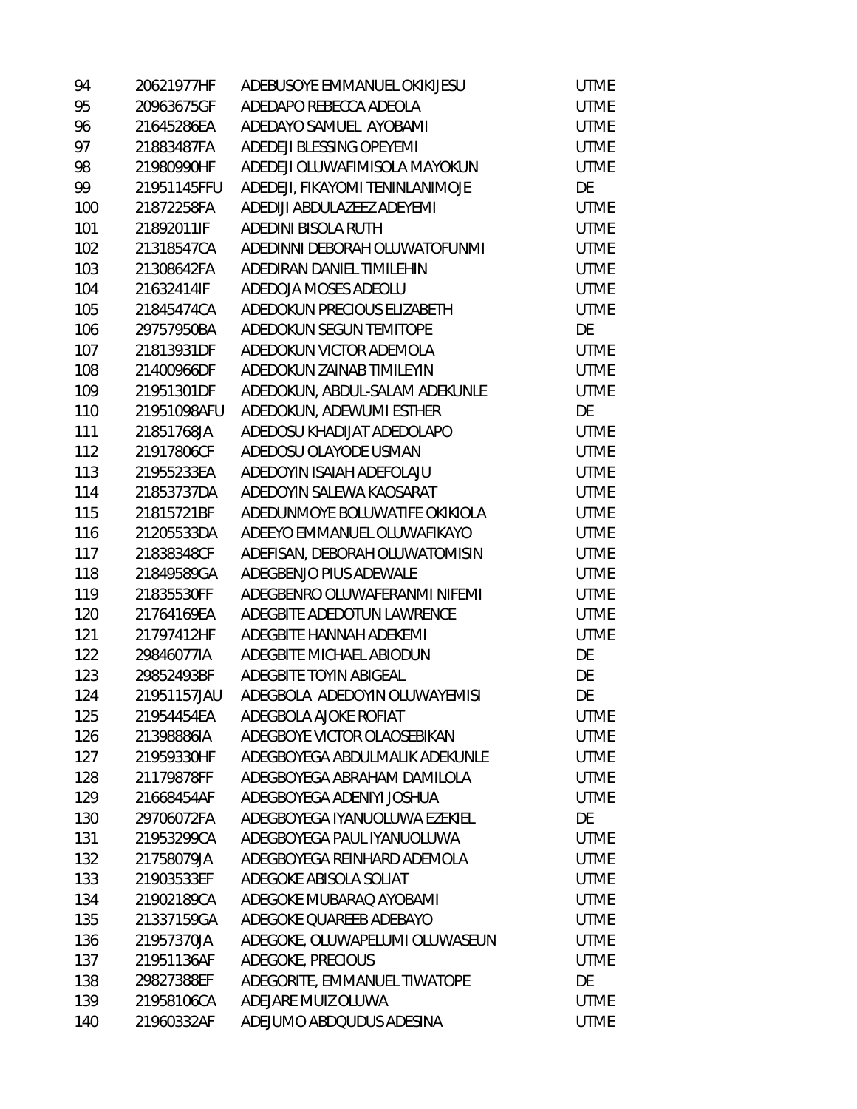| 94  | 20621977HF  | ADEBUSOYE EMMANUEL OKIKIJESU    | <b>UTME</b> |
|-----|-------------|---------------------------------|-------------|
| 95  | 20963675GF  | ADEDAPO REBECCA ADEOLA          | <b>UTME</b> |
| 96  | 21645286EA  | ADEDAYO SAMUEL AYOBAMI          | <b>UTME</b> |
| 97  | 21883487FA  | ADEDEJI BLESSING OPEYEMI        | <b>UTME</b> |
| 98  | 21980990HF  | ADEDEJI OLUWAFIMISOLA MAYOKUN   | <b>UTME</b> |
| 99  | 21951145FFU | ADEDEJI, FIKAYOMI TENINLANIMOJE | DE          |
| 100 | 21872258FA  | ADEDIJI ABDULAZEEZ ADEYEMI      | <b>UTME</b> |
| 101 | 21892011IF  | ADEDINI BISOLA RUTH             | <b>UTME</b> |
| 102 | 21318547CA  | ADEDINNI DEBORAH OLUWATOFUNMI   | <b>UTME</b> |
| 103 | 21308642FA  | ADEDIRAN DANIEL TIMILEHIN       | <b>UTME</b> |
| 104 | 21632414IF  | ADEDOJA MOSES ADEOLU            | <b>UTME</b> |
| 105 | 21845474CA  | ADEDOKUN PRECIOUS ELIZABETH     | <b>UTME</b> |
| 106 | 29757950BA  | ADEDOKUN SEGUN TEMITOPE         | DE          |
| 107 | 21813931DF  | ADEDOKUN VICTOR ADEMOLA         | <b>UTME</b> |
| 108 | 21400966DF  | ADEDOKUN ZAINAB TIMILEYIN       | <b>UTME</b> |
| 109 | 21951301DF  | ADEDOKUN, ABDUL-SALAM ADEKUNLE  | <b>UTME</b> |
| 110 | 21951098AFU | ADEDOKUN, ADEWUMI ESTHER        | DE          |
| 111 | 21851768JA  | ADEDOSU KHADIJAT ADEDOLAPO      | <b>UTME</b> |
| 112 | 21917806CF  | ADEDOSU OLAYODE USMAN           | <b>UTME</b> |
| 113 | 21955233EA  | ADEDOYIN ISAIAH ADEFOLAJU       | <b>UTME</b> |
| 114 | 21853737DA  | ADEDOYIN SALEWA KAOSARAT        | <b>UTME</b> |
| 115 | 21815721BF  | ADEDUNMOYE BOLUWATIFE OKIKIOLA  | <b>UTME</b> |
| 116 | 21205533DA  | ADEEYO EMMANUEL OLUWAFIKAYO     | <b>UTME</b> |
| 117 | 21838348CF  | ADEFISAN, DEBORAH OLUWATOMISIN  | <b>UTME</b> |
| 118 | 21849589GA  | ADEGBENJO PIUS ADEWALE          | <b>UTME</b> |
| 119 | 21835530FF  | ADEGBENRO OLUWAFERANMI NIFEMI   | <b>UTME</b> |
| 120 | 21764169EA  | ADEGBITE ADEDOTUN LAWRENCE      | <b>UTME</b> |
| 121 | 21797412HF  | ADEGBITE HANNAH ADEKEMI         | <b>UTME</b> |
| 122 | 29846077IA  | ADEGBITE MICHAEL ABIODUN        | DE          |
| 123 | 29852493BF  | ADEGBITE TOYIN ABIGEAL          | DE          |
| 124 | 21951157JAU | ADEGBOLA ADEDOYIN OLUWAYEMISI   | DE          |
| 125 | 21954454EA  | ADEGBOLA AJOKE ROFIAT           | UTME        |
| 126 | 21398886IA  | ADEGBOYE VICTOR OLAOSEBIKAN     | UTME        |
| 127 | 21959330HF  | ADEGBOYEGA ABDULMALIK ADEKUNLE  | <b>UTME</b> |
| 128 | 21179878FF  | ADEGBOYEGA ABRAHAM DAMILOLA     | <b>UTME</b> |
| 129 | 21668454AF  | ADEGBOYEGA ADENIYI JOSHUA       | <b>UTME</b> |
| 130 | 29706072FA  | ADEGBOYEGA IYANUOLUWA EZEKIEL   | DE          |
| 131 | 21953299CA  | ADEGBOYEGA PAUL IYANUOLUWA      | <b>UTME</b> |
| 132 | 21758079JA  | ADEGBOYEGA REINHARD ADEMOLA     | <b>UTME</b> |
| 133 | 21903533EF  | ADEGOKE ABISOLA SOLIAT          | <b>UTME</b> |
| 134 | 21902189CA  | ADEGOKE MUBARAQ AYOBAMI         | <b>UTME</b> |
| 135 | 21337159GA  | ADEGOKE QUAREEB ADEBAYO         | <b>UTME</b> |
| 136 | 21957370JA  | ADEGOKE, OLUWAPELUMI OLUWASEUN  | <b>UTME</b> |
| 137 | 21951136AF  | ADEGOKE, PRECIOUS               | <b>UTME</b> |
| 138 | 29827388EF  | ADEGORITE, EMMANUEL TIWATOPE    | DE          |
| 139 | 21958106CA  | ADEJARE MUIZ OLUWA              | UTME        |
| 140 | 21960332AF  | ADEJUMO ABDQUDUS ADESINA        | <b>UTME</b> |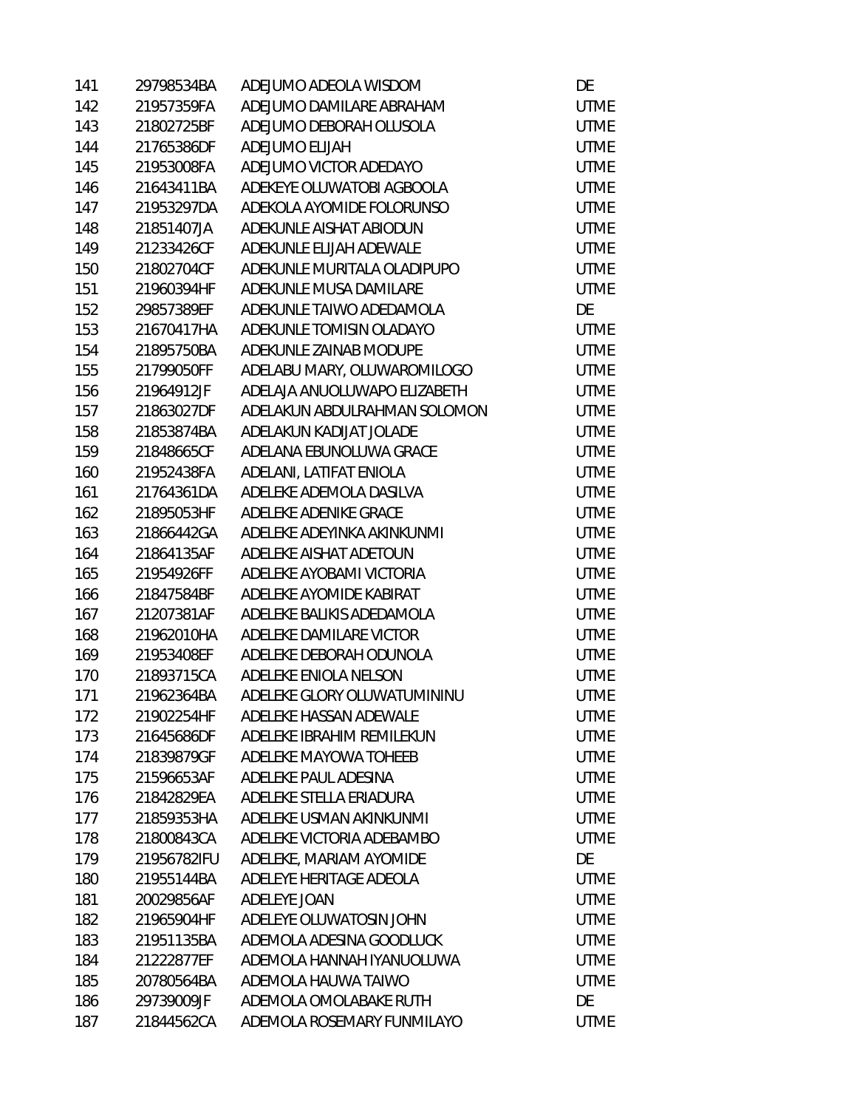| 141 | 29798534BA  | ADEJUMO ADEOLA WISDOM        | DE          |
|-----|-------------|------------------------------|-------------|
| 142 | 21957359FA  | ADEJUMO DAMILARE ABRAHAM     | <b>UTME</b> |
| 143 | 21802725BF  | ADEJUMO DEBORAH OLUSOLA      | <b>UTME</b> |
| 144 | 21765386DF  | ADEJUMO ELIJAH               | <b>UTME</b> |
| 145 | 21953008FA  | ADEJUMO VICTOR ADEDAYO       | <b>UTME</b> |
| 146 | 21643411BA  | ADEKEYE OLUWATOBI AGBOOLA    | <b>UTME</b> |
| 147 | 21953297DA  | ADEKOLA AYOMIDE FOLORUNSO    | <b>UTME</b> |
| 148 | 21851407JA  | ADEKUNLE AISHAT ABIODUN      | <b>UTME</b> |
| 149 | 21233426CF  | ADEKUNLE ELIJAH ADEWALE      | <b>UTME</b> |
| 150 | 21802704CF  | ADEKUNLE MURITALA OLADIPUPO  | <b>UTME</b> |
| 151 | 21960394HF  | ADEKUNLE MUSA DAMILARE       | <b>UTME</b> |
| 152 | 29857389EF  | ADEKUNLE TAIWO ADEDAMOLA     | DE          |
| 153 | 21670417HA  | ADEKUNLE TOMISIN OLADAYO     | <b>UTME</b> |
| 154 | 21895750BA  | ADEKUNLE ZAINAB MODUPE       | <b>UTME</b> |
| 155 | 21799050FF  | ADELABU MARY, OLUWAROMILOGO  | <b>UTME</b> |
| 156 | 21964912JF  | ADELAJA ANUOLUWAPO ELIZABETH | <b>UTME</b> |
| 157 | 21863027DF  | ADELAKUN ABDULRAHMAN SOLOMON | <b>UTME</b> |
| 158 | 21853874BA  | ADELAKUN KADIJAT JOLADE      | <b>UTME</b> |
| 159 | 21848665CF  | ADELANA EBUNOLUWA GRACE      | <b>UTME</b> |
| 160 | 21952438FA  | ADELANI, LATIFAT ENIOLA      | <b>UTME</b> |
| 161 | 21764361DA  | ADELEKE ADEMOLA DASILVA      | <b>UTME</b> |
| 162 | 21895053HF  | ADELEKE ADENIKE GRACE        | <b>UTME</b> |
| 163 | 21866442GA  | ADELEKE ADEYINKA AKINKUNMI   | <b>UTME</b> |
| 164 | 21864135AF  | ADELEKE AISHAT ADETOUN       | <b>UTME</b> |
| 165 | 21954926FF  | ADELEKE AYOBAMI VICTORIA     | <b>UTME</b> |
| 166 | 21847584BF  | ADELEKE AYOMIDE KABIRAT      | <b>UTME</b> |
| 167 | 21207381AF  | ADELEKE BALIKIS ADEDAMOLA    | <b>UTME</b> |
| 168 | 21962010HA  | ADELEKE DAMILARE VICTOR      | <b>UTME</b> |
| 169 | 21953408EF  | ADELEKE DEBORAH ODUNOLA      | <b>UTME</b> |
| 170 | 21893715CA  | ADELEKE ENIOLA NELSON        | <b>UTME</b> |
| 171 | 21962364BA  | ADELEKE GLORY OLUWATUMININU  | <b>UTME</b> |
| 172 | 21902254HF  | ADELEKE HASSAN ADEWALE       | <b>UTME</b> |
| 173 | 21645686DF  | ADELEKE IBRAHIM REMILEKUN    | <b>UTME</b> |
| 174 | 21839879GF  | ADELEKE MAYOWA TOHEEB        | <b>UTME</b> |
| 175 | 21596653AF  | ADELEKE PAUL ADESINA         | <b>UTME</b> |
| 176 | 21842829EA  | ADELEKE STELLA ERIADURA      | <b>UTME</b> |
| 177 | 21859353HA  | ADELEKE USMAN AKINKUNMI      | <b>UTME</b> |
| 178 | 21800843CA  | ADELEKE VICTORIA ADEBAMBO    | <b>UTME</b> |
| 179 | 21956782IFU | ADELEKE, MARIAM AYOMIDE      | DE          |
| 180 | 21955144BA  | ADELEYE HERITAGE ADEOLA      | <b>UTME</b> |
| 181 | 20029856AF  | ADELEYE JOAN                 | <b>UTME</b> |
| 182 | 21965904HF  | ADELEYE OLUWATOSIN JOHN      | <b>UTME</b> |
| 183 | 21951135BA  | ADEMOLA ADESINA GOODLUCK     | <b>UTME</b> |
| 184 | 21222877EF  | ADEMOLA HANNAH IYANUOLUWA    | <b>UTME</b> |
| 185 | 20780564BA  | ADEMOLA HAUWA TAIWO          | <b>UTME</b> |
| 186 | 29739009JF  | ADEMOLA OMOLABAKE RUTH       | DE          |
| 187 | 21844562CA  | ADEMOLA ROSEMARY FUNMILAYO   | <b>UTME</b> |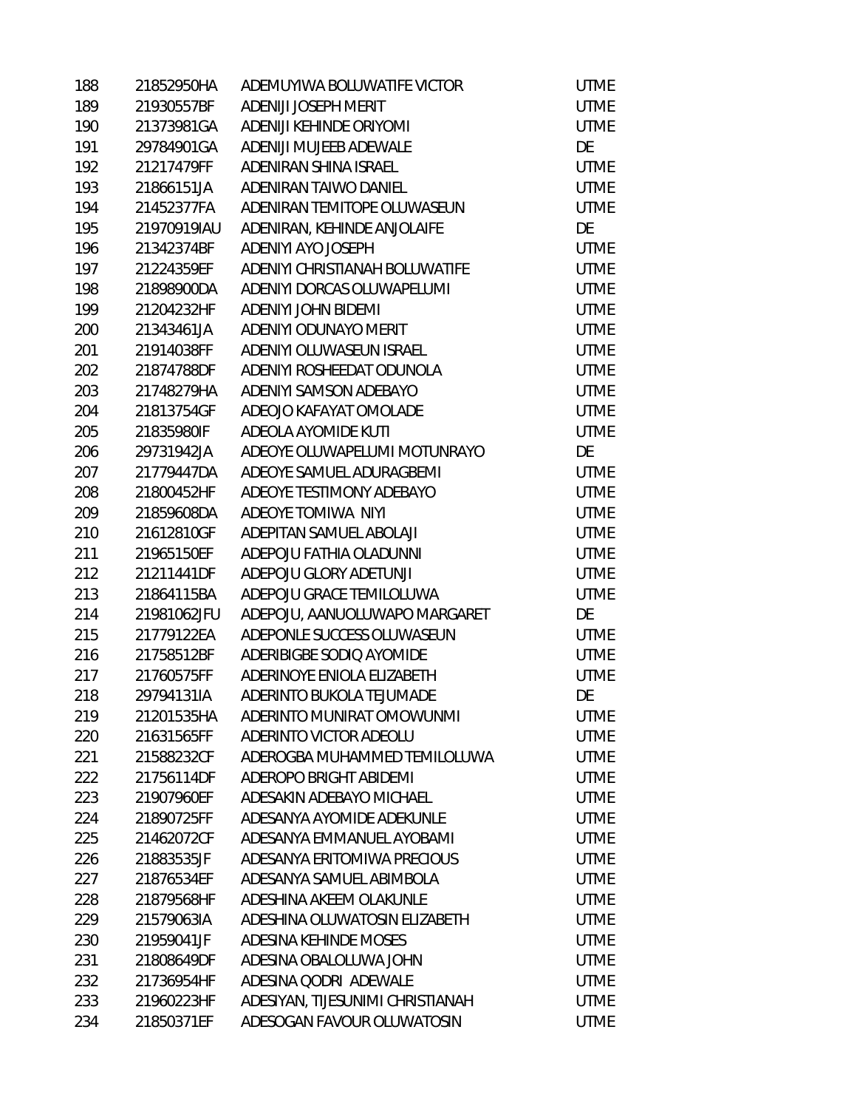| 188 | 21852950HA  | ADEMUYIWA BOLUWATIFE VICTOR      | <b>UTME</b> |
|-----|-------------|----------------------------------|-------------|
| 189 | 21930557BF  | ADENIJI JOSEPH MERIT             | <b>UTME</b> |
| 190 | 21373981GA  | ADENIJI KEHINDE ORIYOMI          | <b>UTME</b> |
| 191 | 29784901GA  | ADENIJI MUJEEB ADEWALE           | DE          |
| 192 | 21217479FF  | ADENIRAN SHINA ISRAEL            | <b>UTME</b> |
| 193 | 21866151JA  | ADENIRAN TAIWO DANIEL            | <b>UTME</b> |
| 194 | 21452377FA  | ADENIRAN TEMITOPE OLUWASEUN      | <b>UTME</b> |
| 195 | 21970919IAU | ADENIRAN, KEHINDE ANJOLAIFE      | DE          |
| 196 | 21342374BF  | ADENIYI AYO JOSEPH               | <b>UTME</b> |
| 197 | 21224359EF  | ADENIYI CHRISTIANAH BOLUWATIFE   | <b>UTME</b> |
| 198 | 21898900DA  | ADENIYI DORCAS OLUWAPELUMI       | <b>UTME</b> |
| 199 | 21204232HF  | ADENIYI JOHN BIDEMI              | <b>UTME</b> |
| 200 | 21343461JA  | ADENIYI ODUNAYO MERIT            | <b>UTME</b> |
| 201 | 21914038FF  | ADENIYI OLUWASEUN ISRAEL         | <b>UTME</b> |
| 202 | 21874788DF  | ADENIYI ROSHEEDAT ODUNOLA        | <b>UTME</b> |
| 203 | 21748279HA  | ADENIYI SAMSON ADEBAYO           | <b>UTME</b> |
| 204 | 21813754GF  | ADEOJO KAFAYAT OMOLADE           | <b>UTME</b> |
| 205 | 21835980IF  | ADEOLA AYOMIDE KUTI              | <b>UTME</b> |
| 206 | 29731942JA  | ADEOYE OLUWAPELUMI MOTUNRAYO     | DE          |
| 207 | 21779447DA  | ADEOYE SAMUEL ADURAGBEMI         | <b>UTME</b> |
| 208 | 21800452HF  | ADEOYE TESTIMONY ADEBAYO         | <b>UTME</b> |
| 209 | 21859608DA  | ADEOYE TOMIWA NIYI               | <b>UTME</b> |
| 210 | 21612810GF  | ADEPITAN SAMUEL ABOLAJI          | <b>UTME</b> |
| 211 | 21965150EF  | ADEPOJU FATHIA OLADUNNI          | <b>UTME</b> |
| 212 | 21211441DF  | ADEPOJU GLORY ADETUNJI           | <b>UTME</b> |
| 213 | 21864115BA  | ADEPOJU GRACE TEMILOLUWA         | <b>UTME</b> |
| 214 | 21981062JFU | ADEPOJU, AANUOLUWAPO MARGARET    | DE          |
| 215 | 21779122EA  | ADEPONLE SUCCESS OLUWASEUN       | <b>UTME</b> |
| 216 | 21758512BF  | ADERIBIGBE SODIO AYOMIDE         | <b>UTME</b> |
| 217 | 21760575FF  | ADERINOYE ENIOLA ELIZABETH       | <b>UTME</b> |
| 218 | 29794131IA  | ADERINTO BUKOLA TEJUMADE         | DE          |
| 219 | 21201535HA  | ADERINTO MUNIRAT OMOWUNMI        | <b>UTME</b> |
| 220 | 21631565FF  | ADERINTO VICTOR ADEOLU           | <b>UTME</b> |
| 221 | 21588232CF  | ADEROGBA MUHAMMED TEMILOLUWA     | <b>UTME</b> |
| 222 | 21756114DF  | ADEROPO BRIGHT ABIDEMI           | <b>UTME</b> |
| 223 | 21907960EF  | ADESAKIN ADEBAYO MICHAEL         | <b>UTME</b> |
| 224 | 21890725FF  | ADESANYA AYOMIDE ADEKUNLE        | <b>UTME</b> |
| 225 | 21462072CF  | ADESANYA EMMANUEL AYOBAMI        | <b>UTME</b> |
| 226 | 21883535JF  | ADESANYA ERITOMIWA PRECIOUS      | <b>UTME</b> |
| 227 | 21876534EF  | ADESANYA SAMUEL ABIMBOLA         | <b>UTME</b> |
| 228 | 21879568HF  | ADESHINA AKEEM OLAKUNLE          | <b>UTME</b> |
| 229 | 21579063IA  | ADESHINA OLUWATOSIN ELIZABETH    | <b>UTME</b> |
| 230 | 21959041JF  | ADESINA KEHINDE MOSES            | <b>UTME</b> |
| 231 | 21808649DF  | ADESINA OBALOLUWA JOHN           | <b>UTME</b> |
| 232 | 21736954HF  | ADESINA QODRI ADEWALE            | <b>UTME</b> |
| 233 | 21960223HF  | ADESIYAN, TIJESUNIMI CHRISTIANAH | <b>UTME</b> |
| 234 | 21850371EF  | ADESOGAN FAVOUR OLUWATOSIN       | <b>UTME</b> |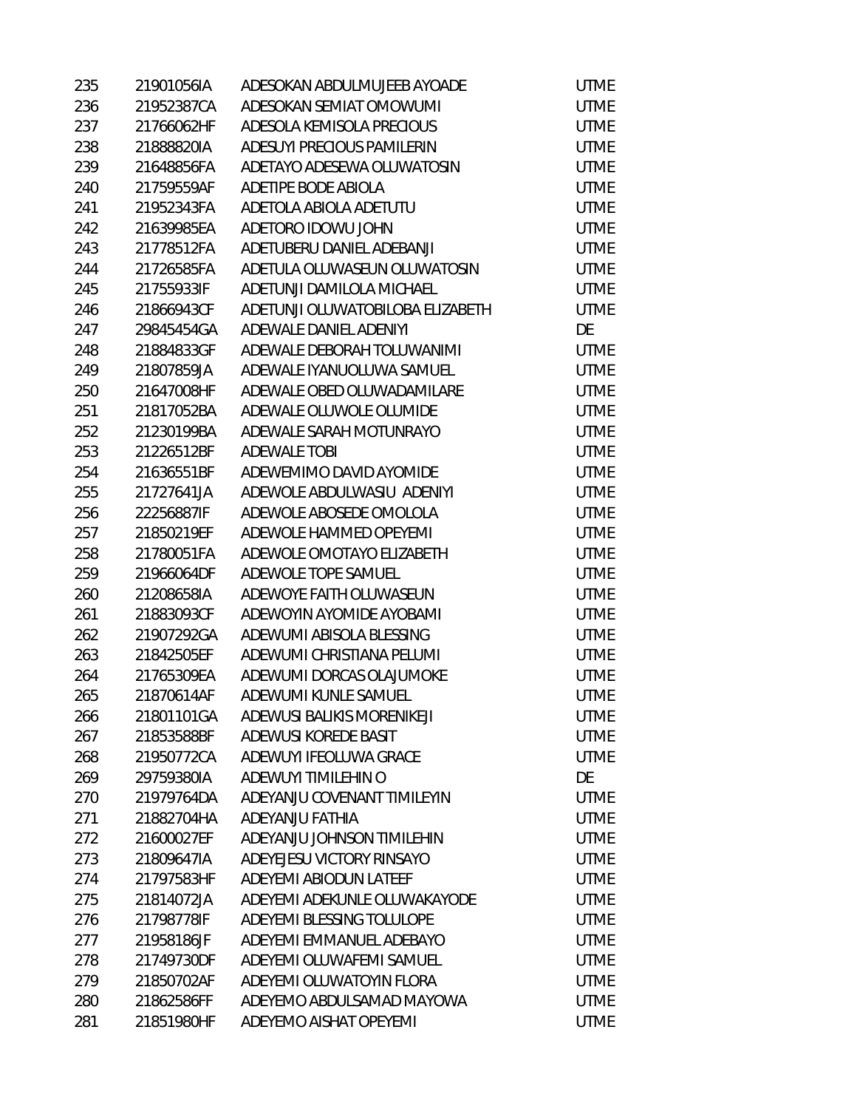| 235 | 21901056IA | ADESOKAN ABDULMUJEEB AYOADE      | <b>UTME</b> |
|-----|------------|----------------------------------|-------------|
| 236 | 21952387CA | ADESOKAN SEMIAT OMOWUMI          | <b>UTME</b> |
| 237 | 21766062HF | ADESOLA KEMISOLA PRECIOUS        | <b>UTME</b> |
| 238 | 21888820IA | ADESUYI PRECIOUS PAMILERIN       | <b>UTME</b> |
| 239 | 21648856FA | ADETAYO ADESEWA OLUWATOSIN       | <b>UTME</b> |
| 240 | 21759559AF | ADETIPE BODE ABIOLA              | <b>UTME</b> |
| 241 | 21952343FA | ADETOLA ABIOLA ADETUTU           | <b>UTME</b> |
| 242 | 21639985EA | ADETORO IDOWU JOHN               | <b>UTME</b> |
| 243 | 21778512FA | ADETUBERU DANIEL ADEBANJI        | <b>UTME</b> |
| 244 | 21726585FA | ADETULA OLUWASEUN OLUWATOSIN     | <b>UTME</b> |
| 245 | 21755933IF | ADETUNJI DAMILOLA MICHAEL        | <b>UTME</b> |
| 246 | 21866943CF | ADETUNJI OLUWATOBILOBA ELIZABETH | <b>UTME</b> |
| 247 | 29845454GA | ADEWALE DANIEL ADENIYI           | DE          |
| 248 | 21884833GF | ADEWALE DEBORAH TOLUWANIMI       | <b>UTME</b> |
| 249 | 21807859JA | ADEWALE IYANUOLUWA SAMUEL        | <b>UTME</b> |
| 250 | 21647008HF | ADEWALE OBED OLUWADAMILARE       | <b>UTME</b> |
| 251 | 21817052BA | ADEWALE OLUWOLE OLUMIDE          | <b>UTME</b> |
| 252 | 21230199BA | ADEWALE SARAH MOTUNRAYO          | <b>UTME</b> |
| 253 | 21226512BF | <b>ADEWALE TOBI</b>              | <b>UTME</b> |
| 254 | 21636551BF | ADEWEMIMO DAVID AYOMIDE          | <b>UTME</b> |
| 255 | 21727641JA | ADEWOLE ABDULWASIU ADENIYI       | <b>UTME</b> |
| 256 | 22256887IF | ADEWOLE ABOSEDE OMOLOLA          | <b>UTME</b> |
| 257 | 21850219EF | ADEWOLE HAMMED OPEYEMI           | <b>UTME</b> |
| 258 | 21780051FA | ADEWOLE OMOTAYO ELIZABETH        | <b>UTME</b> |
| 259 | 21966064DF | ADEWOLE TOPE SAMUEL              | <b>UTME</b> |
| 260 | 21208658IA | ADEWOYE FAITH OLUWASEUN          | <b>UTME</b> |
| 261 | 21883093CF | ADEWOYIN AYOMIDE AYOBAMI         | <b>UTME</b> |
| 262 | 21907292GA | ADEWUMI ABISOLA BLESSING         | <b>UTME</b> |
| 263 | 21842505EF | ADEWUMI CHRISTIANA PELUMI        | <b>UTME</b> |
| 264 | 21765309EA | ADEWUMI DORCAS OLAJUMOKE         | <b>UTME</b> |
| 265 | 21870614AF | ADEWUMI KUNLE SAMUEL             | <b>UTME</b> |
| 266 | 21801101GA | ADEWUSI BALIKIS MORENIKEJI       | <b>UTME</b> |
| 267 | 21853588BF | ADEWUSI KOREDE BASIT             | <b>UTME</b> |
| 268 | 21950772CA | ADEWUYI IFEOLUWA GRACE           | <b>UTME</b> |
| 269 | 29759380IA | ADEWUYI TIMILEHIN O              | DE          |
| 270 | 21979764DA | ADEYANJU COVENANT TIMILEYIN      | <b>UTME</b> |
| 271 | 21882704HA | ADEYANJU FATHIA                  | <b>UTME</b> |
| 272 | 21600027EF | ADEYANJU JOHNSON TIMILEHIN       | <b>UTME</b> |
| 273 | 21809647IA | ADEYEJESU VICTORY RINSAYO        | <b>UTME</b> |
| 274 | 21797583HF | ADEYEMI ABIODUN LATEEF           | <b>UTME</b> |
| 275 | 21814072JA | ADEYEMI ADEKUNLE OLUWAKAYODE     | <b>UTME</b> |
| 276 | 21798778IF | ADEYEMI BLESSING TOLULOPE        | <b>UTME</b> |
| 277 | 21958186JF | ADEYEMI EMMANUEL ADEBAYO         | <b>UTME</b> |
| 278 | 21749730DF | ADEYEMI OLUWAFEMI SAMUEL         | <b>UTME</b> |
| 279 | 21850702AF | ADEYEMI OLUWATOYIN FLORA         | <b>UTME</b> |
| 280 | 21862586FF | ADEYEMO ABDULSAMAD MAYOWA        | <b>UTME</b> |
| 281 | 21851980HF | ADEYEMO AISHAT OPEYEMI           | <b>UTME</b> |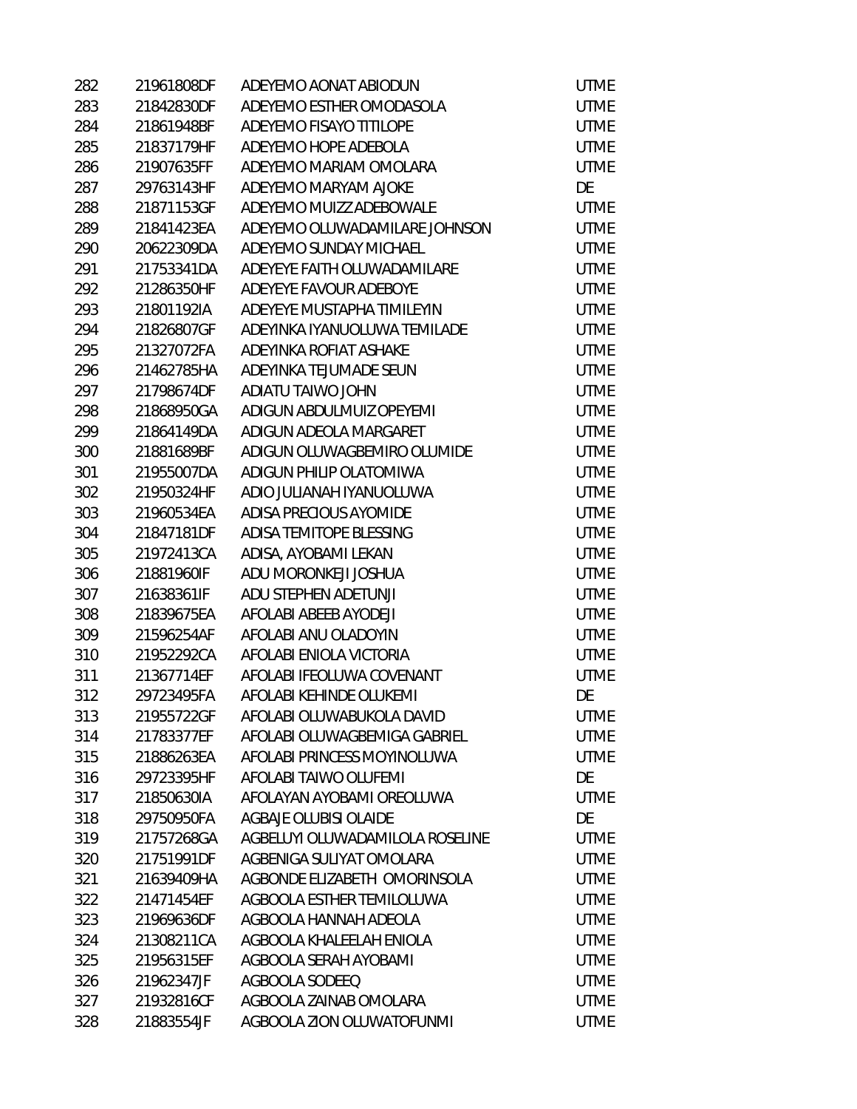| 282 | 21961808DF | ADEYEMO AONAT ABIODUN           | UTME        |
|-----|------------|---------------------------------|-------------|
| 283 | 21842830DF | ADEYEMO ESTHER OMODASOLA        | <b>UTME</b> |
| 284 | 21861948BF | ADEYEMO FISAYO TITILOPE         | <b>UTME</b> |
| 285 | 21837179HF | ADEYEMO HOPE ADEBOLA            | <b>UTME</b> |
| 286 | 21907635FF | ADEYEMO MARIAM OMOLARA          | <b>UTME</b> |
| 287 | 29763143HF | ADEYEMO MARYAM AJOKE            | DE          |
| 288 | 21871153GF | ADEYEMO MUIZZ ADEBOWALE         | UTME        |
| 289 | 21841423EA | ADEYEMO OLUWADAMILARE JOHNSON   | UTME        |
| 290 | 20622309DA | ADEYEMO SUNDAY MICHAEL          | <b>UTME</b> |
| 291 | 21753341DA | ADEYEYE FAITH OLUWADAMILARE     | <b>UTME</b> |
| 292 | 21286350HF | ADEYEYE FAVOUR ADEBOYE          | <b>UTME</b> |
| 293 | 21801192IA | ADEYEYE MUSTAPHA TIMILEYIN      | <b>UTME</b> |
| 294 | 21826807GF | ADEYINKA IYANUOLUWA TEMILADE    | <b>UTME</b> |
| 295 | 21327072FA | ADEYINKA ROFIAT ASHAKE          | <b>UTME</b> |
| 296 | 21462785HA | ADEYINKA TEJUMADE SEUN          | <b>UTME</b> |
| 297 | 21798674DF | ADIATU TAIWO JOHN               | <b>UTME</b> |
| 298 | 21868950GA | ADIGUN ABDULMUIZ OPEYEMI        | <b>UTME</b> |
| 299 | 21864149DA | ADIGUN ADEOLA MARGARET          | <b>UTME</b> |
| 300 | 21881689BF | ADIGUN OLUWAGBEMIRO OLUMIDE     | <b>UTME</b> |
| 301 | 21955007DA | ADIGUN PHILIP OLATOMIWA         | <b>UTME</b> |
| 302 | 21950324HF | ADIO JULIANAH IYANUOLUWA        | <b>UTME</b> |
| 303 | 21960534EA | ADISA PRECIOUS AYOMIDE          | <b>UTME</b> |
| 304 | 21847181DF | ADISA TEMITOPE BLESSING         | <b>UTME</b> |
| 305 | 21972413CA | ADISA, AYOBAMI LEKAN            | <b>UTME</b> |
| 306 | 21881960IF | ADU MORONKEJI JOSHUA            | <b>UTME</b> |
| 307 | 21638361IF | ADU STEPHEN ADETUNJI            | <b>UTME</b> |
| 308 | 21839675EA | AFOLABI ABEEB AYODEJI           | <b>UTME</b> |
| 309 | 21596254AF | AFOLABI ANU OLADOYIN            | <b>UTME</b> |
| 310 | 21952292CA | AFOLABI ENIOLA VICTORIA         | <b>UTME</b> |
| 311 | 21367714EF | AFOLABI IFEOLUWA COVENANT       | <b>UTME</b> |
| 312 | 29723495FA | AFOLABI KEHINDE OLUKEMI         | DE          |
| 313 | 21955722GF | AFOLABI OLUWABUKOLA DAVID       | UTME        |
| 314 | 21783377EF | AFOLABI OLUWAGBEMIGA GABRIEL    | UTME        |
| 315 | 21886263EA | AFOLABI PRINCESS MOYINOLUWA     | <b>UTME</b> |
| 316 | 29723395HF | AFOLABI TAIWO OLUFEMI           | DE          |
| 317 | 21850630IA | AFOLAYAN AYOBAMI OREOLUWA       | <b>UTME</b> |
| 318 | 29750950FA | AGBAJE OLUBISI OLAIDE           | DE          |
| 319 | 21757268GA | AGBELUYI OLUWADAMILOLA ROSELINE | <b>UTME</b> |
| 320 | 21751991DF | AGBENIGA SULIYAT OMOLARA        | <b>UTME</b> |
| 321 | 21639409HA | AGBONDE ELIZABETH OMORINSOLA    | <b>UTME</b> |
| 322 | 21471454EF | AGBOOLA ESTHER TEMILOLUWA       | <b>UTME</b> |
| 323 | 21969636DF | AGBOOLA HANNAH ADEOLA           | <b>UTME</b> |
| 324 | 21308211CA | AGBOOLA KHALEELAH ENIOLA        | <b>UTME</b> |
| 325 | 21956315EF | AGBOOLA SERAH AYOBAMI           | <b>UTME</b> |
| 326 | 21962347JF | AGBOOLA SODEEQ                  | <b>UTME</b> |
| 327 | 21932816CF | AGBOOLA ZAINAB OMOLARA          | <b>UTME</b> |
| 328 | 21883554JF | AGBOOLA ZION OLUWATOFUNMI       | UTME        |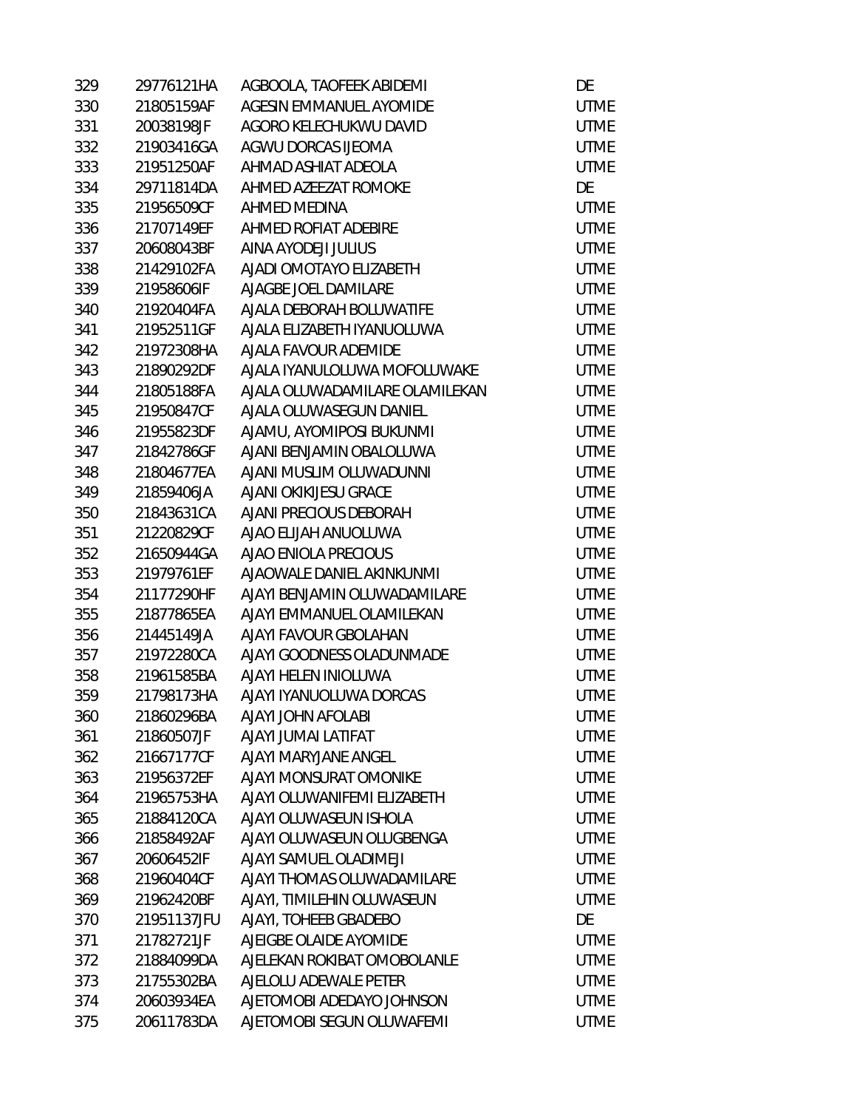| 329 | 29776121HA  | AGBOOLA, TAOFEEK ABIDEMI       | DE          |
|-----|-------------|--------------------------------|-------------|
| 330 | 21805159AF  | AGESIN EMMANUEL AYOMIDE        | <b>UTME</b> |
| 331 | 20038198JF  | AGORO KELECHUKWU DAVID         | <b>UTME</b> |
| 332 | 21903416GA  | AGWU DORCAS IJEOMA             | <b>UTME</b> |
| 333 | 21951250AF  | AHMAD ASHIAT ADEOLA            | <b>UTME</b> |
| 334 | 29711814DA  | AHMED AZEEZAT ROMOKE           | DE          |
| 335 | 21956509CF  | AHMED MEDINA                   | <b>UTME</b> |
| 336 | 21707149EF  | AHMED ROFIAT ADEBIRE           | <b>UTME</b> |
| 337 | 20608043BF  | AINA AYODEJI JULIUS            | <b>UTME</b> |
| 338 | 21429102FA  | AJADI OMOTAYO ELIZABETH        | <b>UTME</b> |
| 339 | 21958606IF  | AJAGBE JOEL DAMILARE           | <b>UTME</b> |
| 340 | 21920404FA  | AJALA DEBORAH BOLUWATIFE       | <b>UTME</b> |
| 341 | 21952511GF  | AJALA ELIZABETH IYANUOLUWA     | <b>UTME</b> |
| 342 | 21972308HA  | AJALA FAVOUR ADEMIDE           | <b>UTME</b> |
| 343 | 21890292DF  | AJALA IYANULOLUWA MOFOLUWAKE   | <b>UTME</b> |
| 344 | 21805188FA  | AJALA OLUWADAMILARE OLAMILEKAN | <b>UTME</b> |
| 345 | 21950847CF  | AJALA OLUWASEGUN DANIEL        | <b>UTME</b> |
| 346 | 21955823DF  | AJAMU, AYOMIPOSI BUKUNMI       | <b>UTME</b> |
| 347 | 21842786GF  | AJANI BENJAMIN OBALOLUWA       | <b>UTME</b> |
| 348 | 21804677EA  | AJANI MUSLIM OLUWADUNNI        | <b>UTME</b> |
| 349 | 21859406JA  | AJANI OKIKIJESU GRACE          | <b>UTME</b> |
| 350 | 21843631CA  | AJANI PRECIOUS DEBORAH         | <b>UTME</b> |
| 351 | 21220829CF  | AJAO ELIJAH ANUOLUWA           | <b>UTME</b> |
| 352 | 21650944GA  | AJAO ENIOLA PRECIOUS           | <b>UTME</b> |
| 353 | 21979761EF  | AJAOWALE DANIEL AKINKUNMI      | <b>UTME</b> |
| 354 | 21177290HF  | AJAYI BENJAMIN OLUWADAMILARE   | <b>UTME</b> |
| 355 | 21877865EA  | AJAYI EMMANUEL OLAMILEKAN      | <b>UTME</b> |
| 356 | 21445149JA  | AJAYI FAVOUR GBOLAHAN          | <b>UTME</b> |
| 357 | 21972280CA  | AJAYI GOODNESS OLADUNMADE      | <b>UTME</b> |
| 358 | 21961585BA  | AJAYI HELEN INIOLUWA           | <b>UTME</b> |
| 359 | 21798173HA  | AJAYI IYANUOLUWA DORCAS        | <b>UTME</b> |
| 360 | 21860296BA  | AJAYI JOHN AFOLABI             | <b>UTME</b> |
| 361 | 21860507JF  | AJAYI JUMAI LATIFAT            | <b>UTME</b> |
| 362 | 21667177CF  | AJAYI MARYJANE ANGEL           | <b>UTME</b> |
| 363 | 21956372EF  | AJAYI MONSURAT OMONIKE         | <b>UTME</b> |
| 364 | 21965753HA  | AJAYI OLUWANIFEMI ELIZABETH    | <b>UTME</b> |
| 365 | 21884120CA  | AJAYI OLUWASEUN ISHOLA         | <b>UTME</b> |
| 366 | 21858492AF  | AJAYI OLUWASEUN OLUGBENGA      | <b>UTME</b> |
| 367 | 20606452IF  | AJAYI SAMUEL OLADIMEJI         | <b>UTME</b> |
| 368 | 21960404CF  | AJAYI THOMAS OLUWADAMILARE     | <b>UTME</b> |
| 369 | 21962420BF  | AJAYI, TIMILEHIN OLUWASEUN     | <b>UTME</b> |
| 370 | 21951137JFU | AJAYI, TOHEEB GBADEBO          | DE          |
| 371 | 21782721JF  | AJEIGBE OLAIDE AYOMIDE         | <b>UTME</b> |
| 372 | 21884099DA  | AJELEKAN ROKIBAT OMOBOLANLE    | <b>UTME</b> |
| 373 | 21755302BA  | AJELOLU ADEWALE PETER          | <b>UTME</b> |
| 374 | 20603934EA  | AJETOMOBI ADEDAYO JOHNSON      | <b>UTME</b> |
| 375 | 20611783DA  | AJETOMOBI SEGUN OLUWAFEMI      | <b>UTME</b> |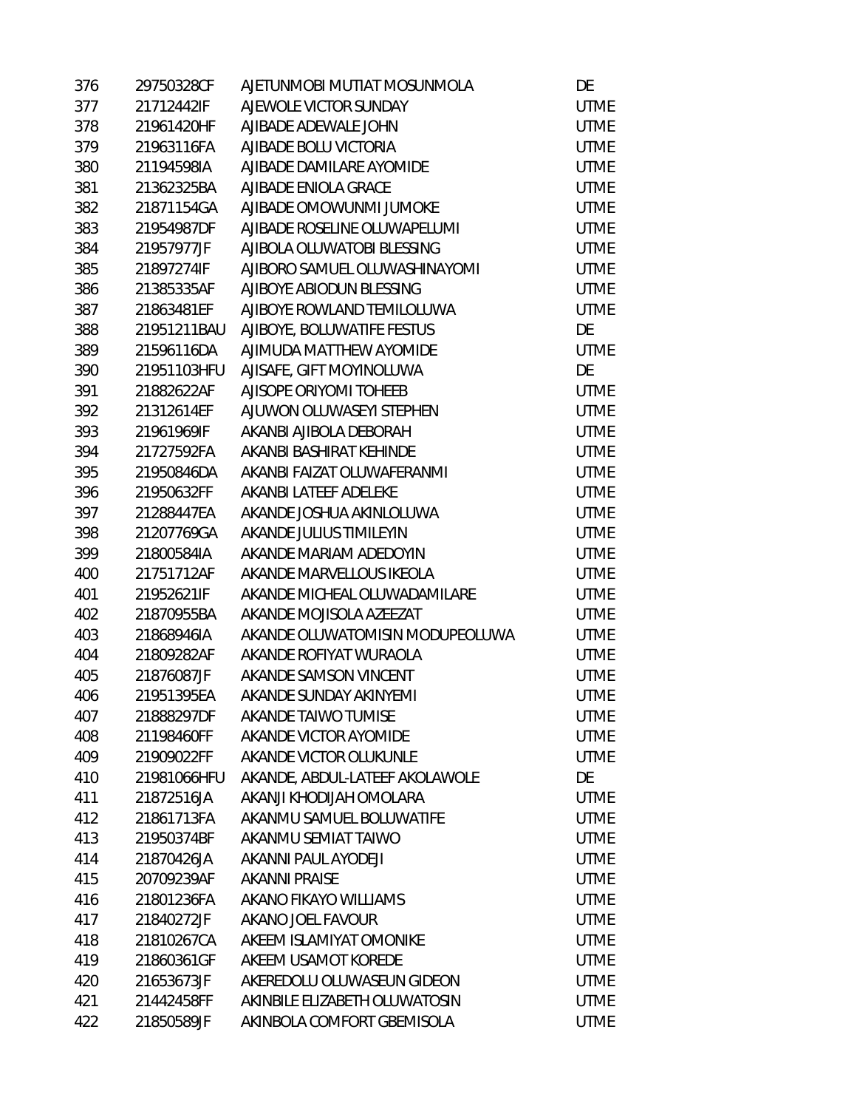| 376 | 29750328CF  | AJETUNMOBI MUTIAT MOSUNMOLA     | DE          |
|-----|-------------|---------------------------------|-------------|
| 377 | 21712442IF  | AJEWOLE VICTOR SUNDAY           | <b>UTME</b> |
| 378 | 21961420HF  | AJIBADE ADEWALE JOHN            | <b>UTME</b> |
| 379 | 21963116FA  | AJIBADE BOLU VICTORIA           | <b>UTME</b> |
| 380 | 21194598IA  | AJIBADE DAMILARE AYOMIDE        | <b>UTME</b> |
| 381 | 21362325BA  | AJIBADE ENIOLA GRACE            | <b>UTME</b> |
| 382 | 21871154GA  | AJIBADE OMOWUNMI JUMOKE         | <b>UTME</b> |
| 383 | 21954987DF  | AJIBADE ROSELINE OLUWAPELUMI    | <b>UTME</b> |
| 384 | 21957977JF  | AJIBOLA OLUWATOBI BLESSING      | <b>UTME</b> |
| 385 | 21897274IF  | AJIBORO SAMUEL OLUWASHINAYOMI   | <b>UTME</b> |
| 386 | 21385335AF  | AJIBOYE ABIODUN BLESSING        | <b>UTME</b> |
| 387 | 21863481EF  | AJIBOYE ROWLAND TEMILOLUWA      | <b>UTME</b> |
| 388 | 21951211BAU | AJIBOYE, BOLUWATIFE FESTUS      | DE          |
| 389 | 21596116DA  | AJIMUDA MATTHEW AYOMIDE         | <b>UTME</b> |
| 390 | 21951103HFU | AJISAFE, GIFT MOYINOLUWA        | DE          |
| 391 | 21882622AF  | AJISOPE ORIYOMI TOHEEB          | <b>UTME</b> |
| 392 | 21312614EF  | AJUWON OLUWASEYI STEPHEN        | <b>UTME</b> |
| 393 | 21961969IF  | AKANBI AJIBOLA DEBORAH          | <b>UTME</b> |
| 394 | 21727592FA  | AKANBI BASHIRAT KEHINDE         | <b>UTME</b> |
| 395 | 21950846DA  | AKANBI FAIZAT OLUWAFERANMI      | <b>UTME</b> |
| 396 | 21950632FF  | AKANBI LATEEF ADELEKE           | <b>UTME</b> |
| 397 | 21288447EA  | AKANDE JOSHUA AKINLOLUWA        | <b>UTME</b> |
| 398 | 21207769GA  | AKANDE JULIUS TIMILEYIN         | <b>UTME</b> |
| 399 | 21800584IA  | AKANDE MARIAM ADEDOYIN          | <b>UTME</b> |
| 400 | 21751712AF  | AKANDE MARVELLOUS IKEOLA        | <b>UTME</b> |
| 401 | 21952621IF  | AKANDE MICHEAL OLUWADAMILARE    | <b>UTME</b> |
| 402 | 21870955BA  | AKANDE MOJISOLA AZEEZAT         | <b>UTME</b> |
| 403 | 21868946IA  | AKANDE OLUWATOMISIN MODUPEOLUWA | <b>UTME</b> |
| 404 | 21809282AF  | AKANDE ROFIYAT WURAOLA          | <b>UTME</b> |
| 405 | 21876087JF  | AKANDE SAMSON VINCENT           | <b>UTME</b> |
| 406 | 21951395EA  | AKANDE SUNDAY AKINYEMI          | <b>UTME</b> |
| 407 | 21888297DF  | AKANDE TAIWO TUMISE             | <b>UTME</b> |
| 408 | 21198460FF  | AKANDE VICTOR AYOMIDE           | <b>UTME</b> |
| 409 | 21909022FF  | AKANDE VICTOR OLUKUNLE          | <b>UTME</b> |
| 410 | 21981066HFU | AKANDE, ABDUL-LATEEF AKOLAWOLE  | DE          |
| 411 | 21872516JA  | AKANJI KHODIJAH OMOLARA         | <b>UTME</b> |
| 412 | 21861713FA  | AKANMU SAMUEL BOLUWATIFE        | <b>UTME</b> |
| 413 | 21950374BF  | AKANMU SEMIAT TAIWO             | <b>UTME</b> |
| 414 | 21870426JA  | AKANNI PAUL AYODEJI             | <b>UTME</b> |
| 415 | 20709239AF  | <b>AKANNI PRAISE</b>            | <b>UTME</b> |
| 416 | 21801236FA  | AKANO FIKAYO WILLIAMS           | <b>UTME</b> |
| 417 | 21840272JF  | AKANO JOEL FAVOUR               | <b>UTME</b> |
| 418 | 21810267CA  | AKEEM ISLAMIYAT OMONIKE         | <b>UTME</b> |
| 419 | 21860361GF  | AKEEM USAMOT KOREDE             | <b>UTME</b> |
| 420 | 21653673JF  | AKEREDOLU OLUWASEUN GIDEON      | <b>UTME</b> |
| 421 | 21442458FF  | AKINBILE ELIZABETH OLUWATOSIN   | UTME        |
| 422 | 21850589JF  | AKINBOLA COMFORT GBEMISOLA      | <b>UTME</b> |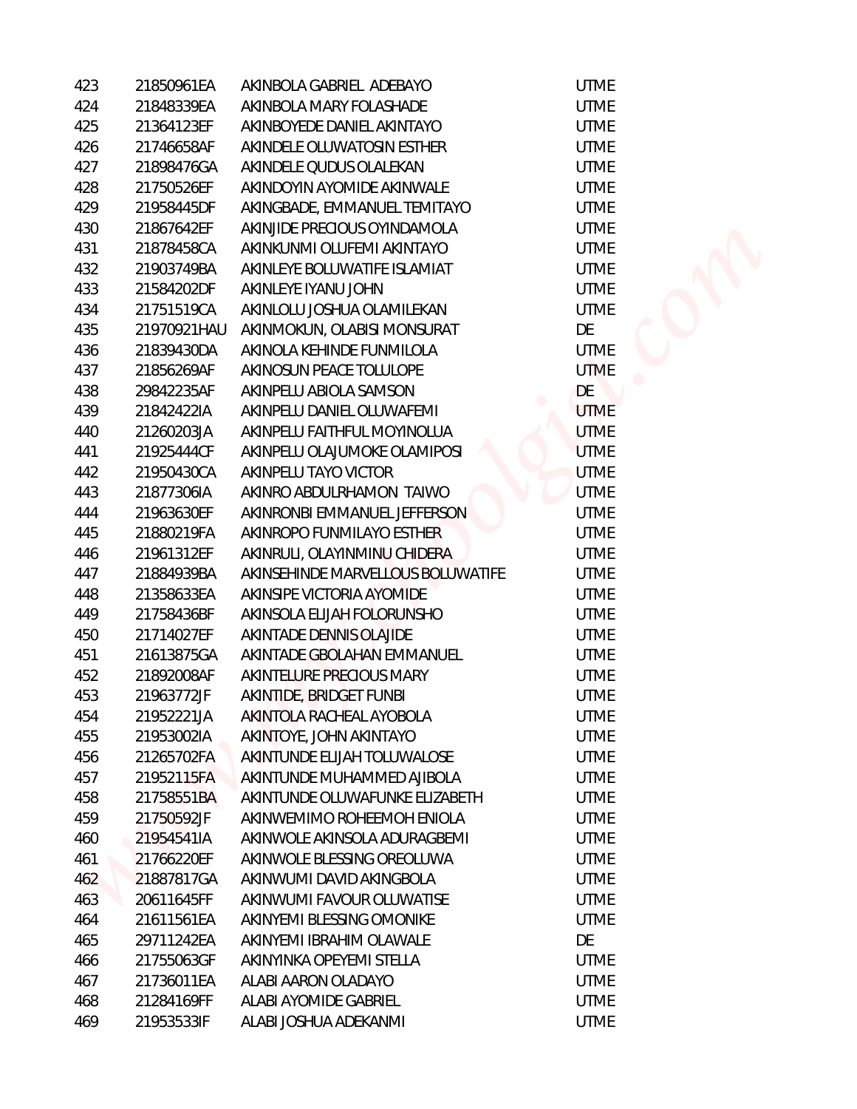| 423 | 21850961EA  | AKINBOLA GABRIEL ADEBAYO          | <b>UTME</b> |
|-----|-------------|-----------------------------------|-------------|
| 424 | 21848339EA  | AKINBOLA MARY FOLASHADE           | <b>UTME</b> |
| 425 | 21364123EF  | AKINBOYEDE DANIEL AKINTAYO        | <b>UTME</b> |
| 426 | 21746658AF  | AKINDELE OLUWATOSIN ESTHER        | <b>UTME</b> |
| 427 | 21898476GA  | AKINDELE QUDUS OLALEKAN           | <b>UTME</b> |
| 428 | 21750526EF  | AKINDOYIN AYOMIDE AKINWALE        | <b>UTME</b> |
| 429 | 21958445DF  | AKINGBADE, EMMANUEL TEMITAYO      | <b>UTME</b> |
| 430 | 21867642EF  | AKINJIDE PRECIOUS OYINDAMOLA      | <b>UTME</b> |
| 431 | 21878458CA  | AKINKUNMI OLUFEMI AKINTAYO        | <b>UTME</b> |
| 432 | 21903749BA  | AKINLEYE BOLUWATIFE ISLAMIAT      | <b>UTME</b> |
| 433 | 21584202DF  | AKINLEYE IYANU JOHN               | <b>UTME</b> |
| 434 | 21751519CA  | AKINLOLU JOSHUA OLAMILEKAN        | <b>UTME</b> |
| 435 | 21970921HAU | AKINMOKUN, OLABISI MONSURAT       | DE          |
| 436 | 21839430DA  | AKINOLA KEHINDE FUNMILOLA         | <b>UTME</b> |
| 437 | 21856269AF  | AKINOSUN PEACE TOLULOPE           | <b>UTME</b> |
| 438 | 29842235AF  | AKINPELU ABIOLA SAMSON            | DE          |
| 439 | 21842422IA  | AKINPELU DANIEL OLUWAFEMI         | <b>UTME</b> |
| 440 | 21260203JA  | AKINPELU FAITHFUL MOYINOLUA       | <b>UTME</b> |
| 441 | 21925444CF  | AKINPELU OLAJUMOKE OLAMIPOSI      | <b>UTME</b> |
| 442 | 21950430CA  | AKINPELU TAYO VICTOR              | <b>UTME</b> |
| 443 | 21877306IA  | AKINRO ABDULRHAMON TAIWO          | <b>UTME</b> |
| 444 | 21963630EF  | AKINRONBI EMMANUEL JEFFERSON      | <b>UTME</b> |
| 445 | 21880219FA  | AKINROPO FUNMILAYO ESTHER         | <b>UTME</b> |
| 446 | 21961312EF  | AKINRULI, OLAYINMINU CHIDERA      | <b>UTME</b> |
| 447 | 21884939BA  | AKINSEHINDE MARVELLOUS BOLUWATIFE | <b>UTME</b> |
| 448 | 21358633EA  | AKINSIPE VICTORIA AYOMIDE         | <b>UTME</b> |
| 449 | 21758436BF  | AKINSOLA ELIJAH FOLORUNSHO        | <b>UTME</b> |
| 450 | 21714027EF  | AKINTADE DENNIS OLAJIDE           | <b>UTME</b> |
| 451 | 21613875GA  | AKINTADE GBOLAHAN EMMANUEL        | <b>UTME</b> |
| 452 | 21892008AF  | AKINTELURE PRECIOUS MARY          | <b>UTME</b> |
| 453 | 21963772JF  | AKINTIDE, BRIDGET FUNBI           | <b>UTME</b> |
| 454 | 21952221JA  | AKINTOLA RACHEAL AYOBOLA          | <b>UTME</b> |
| 455 | 21953002IA  | AKINTOYE, JOHN AKINTAYO           | <b>UTME</b> |
| 456 | 21265702FA  | AKINTUNDE ELIJAH TOLUWALOSE       | <b>UTME</b> |
| 457 | 21952115FA  | AKINTUNDE MUHAMMED AJIBOLA        | <b>UTME</b> |
| 458 | 21758551BA  | AKINTUNDE OLUWAFUNKE ELIZABETH    | <b>UTME</b> |
| 459 | 21750592JF  | AKINWEMIMO ROHEEMOH ENIOLA        | <b>UTME</b> |
| 460 | 21954541IA  | AKINWOLE AKINSOLA ADURAGBEMI      | <b>UTME</b> |
| 461 | 21766220EF  | AKINWOLE BLESSING OREOLUWA        | <b>UTME</b> |
| 462 | 21887817GA  | AKINWUMI DAVID AKINGBOLA          | <b>UTME</b> |
| 463 | 20611645FF  | AKINWUMI FAVOUR OLUWATISE         | <b>UTME</b> |
| 464 | 21611561EA  | AKINYEMI BLESSING OMONIKE         | <b>UTME</b> |
| 465 | 29711242EA  | AKINYEMI IBRAHIM OLAWALE          | DE          |
| 466 | 21755063GF  | AKINYINKA OPEYEMI STELLA          | <b>UTME</b> |
| 467 | 21736011EA  | ALABI AARON OLADAYO               | <b>UTME</b> |
| 468 | 21284169FF  | ALABI AYOMIDE GABRIEL             | <b>UTME</b> |
| 469 | 21953533IF  | ALABI JOSHUA ADEKANMI             | <b>UTME</b> |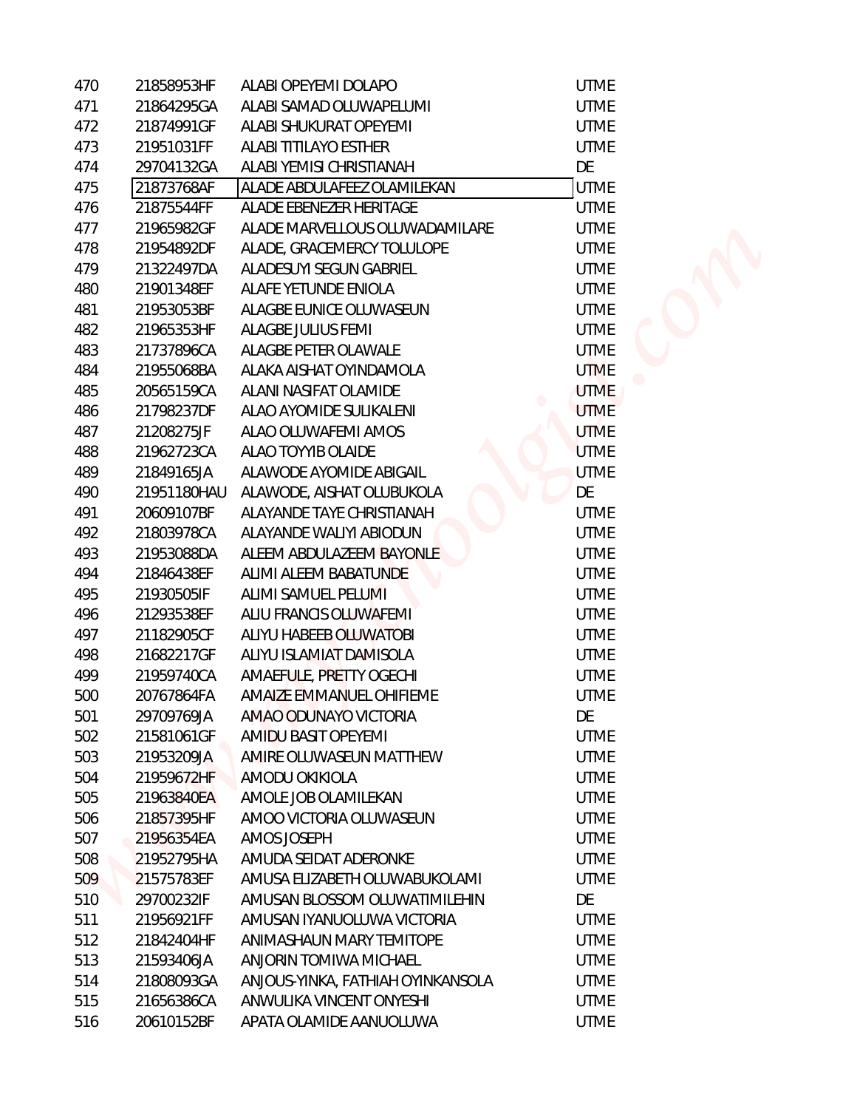| 470 | 21858953HF  | ALABI OPEYEMI DOLAPO              | <b>UTME</b> |  |
|-----|-------------|-----------------------------------|-------------|--|
| 471 | 21864295GA  | ALABI SAMAD OLUWAPELUMI           | <b>UTME</b> |  |
| 472 | 21874991GF  | ALABI SHUKURAT OPEYEMI            | <b>UTME</b> |  |
| 473 | 21951031FF  | ALABI TITILAYO ESTHER             | <b>UTME</b> |  |
| 474 | 29704132GA  | ALABI YEMISI CHRISTIANAH          | DE          |  |
| 475 | 21873768AF  | ALADE ABDULAFEEZ OLAMILEKAN       | <b>UTME</b> |  |
| 476 | 21875544FF  | ALADE EBENEZER HERITAGE           | <b>UTME</b> |  |
| 477 | 21965982GF  | ALADE MARVELLOUS OLUWADAMILARE    | <b>UTME</b> |  |
| 478 | 21954892DF  | ALADE, GRACEMERCY TOLULOPE        | <b>UTME</b> |  |
| 479 | 21322497DA  | ALADESUYI SEGUN GABRIEL           | <b>UTME</b> |  |
| 480 | 21901348EF  | ALAFE YETUNDE ENIOLA              | <b>UTME</b> |  |
| 481 | 21953053BF  | ALAGBE EUNICE OLUWASEUN           | <b>UTME</b> |  |
| 482 | 21965353HF  | ALAGBE JULIUS FEMI                | <b>UTME</b> |  |
| 483 | 21737896CA  | ALAGBE PETER OLAWALE              | <b>UTME</b> |  |
| 484 | 21955068BA  | ALAKA AISHAT OYINDAMOLA           | <b>UTME</b> |  |
| 485 | 20565159CA  | ALANI NASIFAT OLAMIDE             | <b>UTME</b> |  |
| 486 | 21798237DF  | ALAO AYOMIDE SULIKALENI           | <b>UTME</b> |  |
| 487 | 21208275JF  | ALAO OLUWAFEMI AMOS               | <b>UTME</b> |  |
| 488 | 21962723CA  | ALAO TOYYIB OLAIDE                | <b>UTME</b> |  |
| 489 | 21849165JA  | ALAWODE AYOMIDE ABIGAIL           | <b>UTME</b> |  |
| 490 | 21951180HAU | ALAWODE, AISHAT OLUBUKOLA         | DE          |  |
| 491 | 20609107BF  | ALAYANDE TAYE CHRISTIANAH         | <b>UTME</b> |  |
| 492 | 21803978CA  | ALAYANDE WALIYI ABIODUN           | <b>UTME</b> |  |
| 493 | 21953088DA  | ALEEM ABDULAZEEM BAYONLE          | <b>UTME</b> |  |
| 494 | 21846438EF  | ALIMI ALEEM BABATUNDE             | <b>UTME</b> |  |
| 495 | 21930505IF  | ALIMI SAMUEL PELUMI               | <b>UTME</b> |  |
| 496 | 21293538EF  | ALIU FRANCIS OLUWAFEMI            | <b>UTME</b> |  |
| 497 | 21182905CF  | ALIYU HABEEB OLUWATOBI            | <b>UTME</b> |  |
| 498 | 21682217GF  | ALIYU ISLAMIAT DAMISOLA           | <b>UTME</b> |  |
| 499 | 21959740CA  | AMAEFULE, PRETTY OGECHI           | <b>UTME</b> |  |
| 500 | 20767864FA  | AMAIZE EMMANUEL OHIFIEME          | <b>UTME</b> |  |
| 501 | 29709769JA  | AMAO ODUNAYO VICTORIA             | DE          |  |
| 502 | 21581061GF  | AMIDU BASIT OPEYEMI               | <b>UTME</b> |  |
| 503 | 21953209JA  | AMIRE OLUWASEUN MATTHEW           | <b>UTME</b> |  |
| 504 | 21959672HF  | AMODU OKIKIOLA                    | <b>UTME</b> |  |
| 505 | 21963840EA  | AMOLE JOB OLAMILEKAN              | <b>UTME</b> |  |
| 506 | 21857395HF  | AMOO VICTORIA OLUWASEUN           | <b>UTME</b> |  |
| 507 | 21956354EA  | AMOS JOSEPH                       | <b>UTME</b> |  |
| 508 | 21952795HA  | AMUDA SEIDAT ADERONKE             | <b>UTME</b> |  |
| 509 | 21575783EF  | AMUSA ELIZABETH OLUWABUKOLAMI     | <b>UTME</b> |  |
| 510 | 29700232IF  | AMUSAN BLOSSOM OLUWATIMILEHIN     | DE          |  |
| 511 | 21956921FF  | AMUSAN IYANUOLUWA VICTORIA        | <b>UTME</b> |  |
| 512 | 21842404HF  | ANIMASHAUN MARY TEMITOPE          | <b>UTME</b> |  |
| 513 | 21593406JA  | ANJORIN TOMIWA MICHAEL            | <b>UTME</b> |  |
| 514 | 21808093GA  | ANJOUS-YINKA, FATHIAH OYINKANSOLA | <b>UTME</b> |  |
| 515 | 21656386CA  | ANWULIKA VINCENT ONYESHI          | <b>UTME</b> |  |
| 516 | 20610152BF  | APATA OLAMIDE AANUOLUWA           | <b>UTME</b> |  |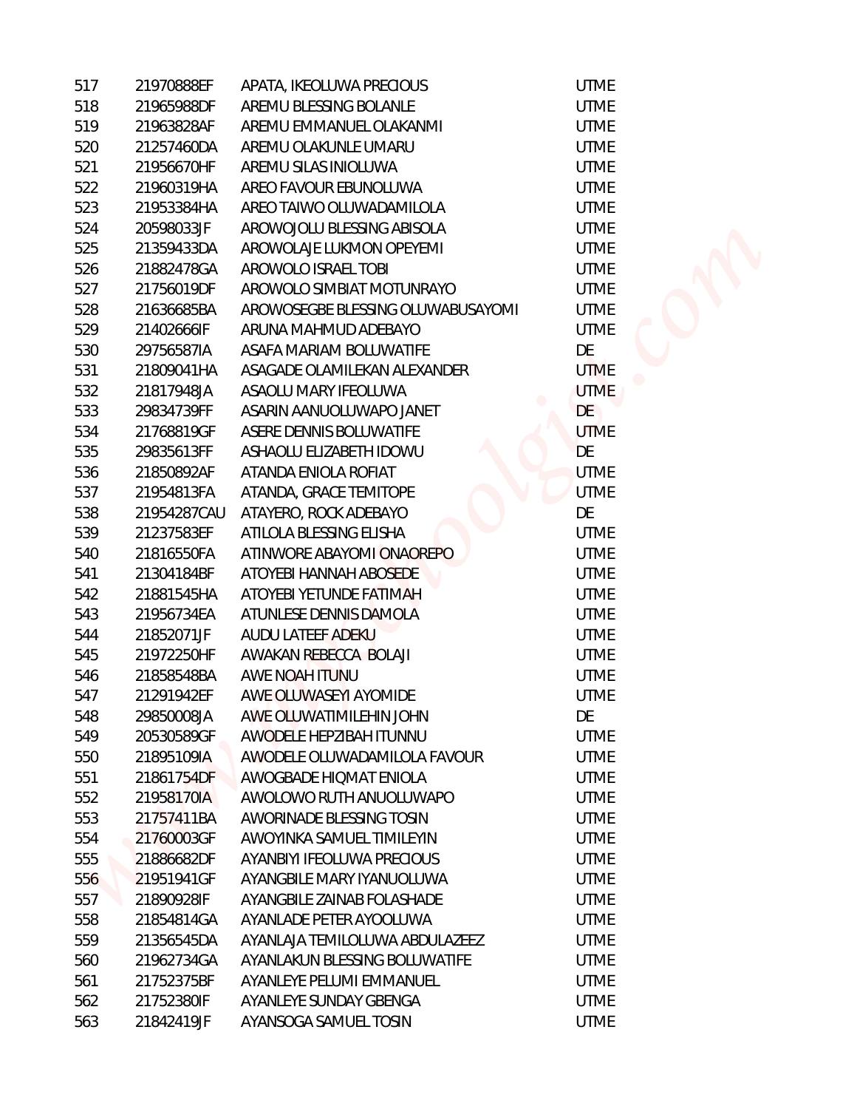| 517 | 21970888EF  | APATA, IKEOLUWA PRECIOUS          |
|-----|-------------|-----------------------------------|
| 518 | 21965988DF  | AREMU BLESSING BOLANLE            |
| 519 | 21963828AF  | AREMU EMMANUEL OLAKANMI           |
| 520 | 21257460DA  | AREMU OLAKUNLE UMARU              |
| 521 | 21956670HF  | AREMU SILAS INIOLUWA              |
| 522 | 21960319HA  | AREO FAVOUR EBUNOLUWA             |
| 523 | 21953384HA  | AREO TAIWO OLUWADAMILOLA          |
| 524 | 20598033JF  | AROWOJOLU BLESSING ABISOLA        |
| 525 | 21359433DA  | AROWOLAJE LUKMON OPEYEMI          |
| 526 | 21882478GA  | AROWOLO ISRAEL TOBI               |
| 527 | 21756019DF  | AROWOLO SIMBIAT MOTUNRAYO         |
| 528 | 21636685BA  | AROWOSEGBE BLESSING OLUWABUSAYOMI |
| 529 | 21402666IF  | ARUNA MAHMUD ADEBAYO              |
| 530 | 29756587IA  | ASAFA MARIAM BOLUWATIFE           |
| 531 | 21809041HA  | ASAGADE OLAMILEKAN ALEXANDER      |
| 532 | 21817948JA  | ASAOLU MARY IFEOLUWA              |
| 533 | 29834739FF  | ASARIN AANUOLUWAPO JANET          |
| 534 | 21768819GF  | ASERE DENNIS BOLUWATIFE           |
| 535 | 29835613FF  | ASHAOLU ELIZABETH IDOWU           |
| 536 | 21850892AF  | ATANDA ENIOLA ROFIAT              |
| 537 | 21954813FA  | ATANDA, GRACE TEMITOPE            |
| 538 | 21954287CAU | ATAYERO, ROCK ADEBAYO             |
| 539 | 21237583EF  | ATILOLA BLESSING ELISHA           |
| 540 | 21816550FA  | ATINWORE ABAYOMI ONAOREPO         |
| 541 | 21304184BF  | ATOYEBI HANNAH ABOSEDE            |
| 542 | 21881545HA  | ATOYEBI YETUNDE FATIMAH           |
| 543 | 21956734EA  | ATUNLESE DENNIS DAMOLA            |
| 544 | 21852071JF  | AUDU LATEEF ADEKU                 |
| 545 | 21972250HF  | AWAKAN REBECCA BOLAJI             |
| 546 | 21858548BA  | AWE NOAH ITUNU                    |
| 547 | 21291942EF  | AWE OLUWASEYI AYOMIDE             |
| 548 | 29850008JA  | AWE OLUWATIMILEHIN JOHN           |
| 549 | 20530589GF  | AWODELE HEPZIBAH ITUNNU           |
| 550 | 21895109IA  | AWODELE OLUWADAMILOLA FAVOUR      |
| 551 | 21861754DF  | AWOGBADE HIQMAT ENIOLA            |
| 552 | 21958170IA  | AWOLOWO RUTH ANUOLUWAPO           |
| 553 | 21757411BA  | <b>AWORINADE BLESSING TOSIN</b>   |
| 554 | 21760003GF  | AWOYINKA SAMUEL TIMILEYIN         |
| 555 | 21886682DF  | <b>AYANBIYI IFEOLUWA PRECIOUS</b> |
| 556 | 21951941GF  | AYANGBILE MARY IYANUOLUWA         |
| 557 | 21890928IF  | AYANGBILE ZAINAB FOLASHADE        |
| 558 | 21854814GA  | AYANLADE PETER AYOOLUWA           |
| 559 | 21356545DA  | AYANLAJA TEMILOLUWA ABDULAZEEZ    |
| 560 | 21962734GA  | AYANLAKUN BLESSING BOLUWATIFE     |
| 561 | 21752375BF  | AYANLEYE PELUMI EMMANUEL          |
| 562 | 21752380IF  | AYANLEYE SUNDAY GBENGA            |
| 563 | 21842419JF  | AYANSOGA SAMUEL TOSIN             |

**UTME UTME UTME UTME UTME UTME UTME UTME UTME UTME UTME UTME** DE **UTME** UTME DE **UTME** DE **UTME UTME** DE **UTME UTME UTME UTME UTME UTME UTME UTME UTME** DE **UTME UTME UTME UTME UTME UTME UTME UTME UTME UTME UTME UTME UTME UTME** 

**UTME** 

**UTME**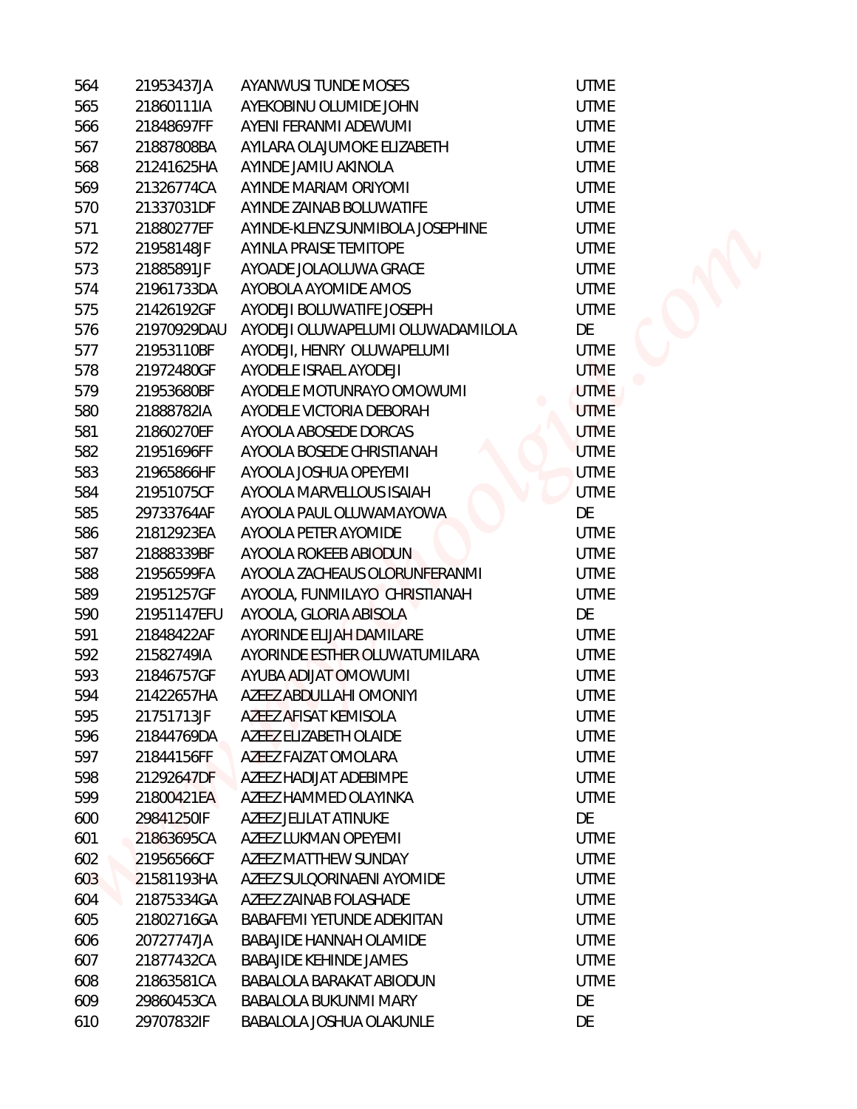| 564 | 21953437JA  | AYANWUSI TUNDE MOSES              | <b>UTME</b> |
|-----|-------------|-----------------------------------|-------------|
| 565 | 21860111IA  | AYEKOBINU OLUMIDE JOHN            | <b>UTME</b> |
| 566 | 21848697FF  | AYENI FERANMI ADEWUMI             | <b>UTME</b> |
| 567 | 21887808BA  | AYILARA OLAJUMOKE ELIZABETH       | <b>UTME</b> |
| 568 | 21241625HA  | AYINDE JAMIU AKINOLA              | <b>UTME</b> |
| 569 | 21326774CA  | AYINDE MARIAM ORIYOMI             | <b>UTME</b> |
| 570 | 21337031DF  | AYINDE ZAINAB BOLUWATIFE          | <b>UTME</b> |
| 571 | 21880277EF  | AYINDE-KLENZ SUNMIBOLA JOSEPHINE  | <b>UTME</b> |
| 572 | 21958148JF  | AYINLA PRAISE TEMITOPE            | <b>UTME</b> |
| 573 | 21885891JF  | AYOADE JOLAOLUWA GRACE            | <b>UTME</b> |
| 574 | 21961733DA  | AYOBOLA AYOMIDE AMOS              | <b>UTME</b> |
| 575 | 21426192GF  | AYODEJI BOLUWATIFE JOSEPH         | <b>UTME</b> |
| 576 | 21970929DAU | AYODEJI OLUWAPELUMI OLUWADAMILOLA | DE          |
| 577 | 21953110BF  | AYODEJI, HENRY OLUWAPELUMI        | <b>UTME</b> |
| 578 | 21972480GF  | AYODELE ISRAEL AYODEJI            | <b>UTME</b> |
| 579 | 21953680BF  | AYODELE MOTUNRAYO OMOWUMI         | <b>UTME</b> |
| 580 | 21888782IA  | AYODELE VICTORIA DEBORAH          | <b>UTME</b> |
| 581 | 21860270EF  | AYOOLA ABOSEDE DORCAS             | <b>UTME</b> |
| 582 | 21951696FF  | AYOOLA BOSEDE CHRISTIANAH         | <b>UTME</b> |
| 583 | 21965866HF  | AYOOLA JOSHUA OPEYEMI             | <b>UTME</b> |
| 584 | 21951075CF  | AYOOLA MARVELLOUS ISAIAH          | <b>UTME</b> |
| 585 | 29733764AF  | AYOOLA PAUL OLUWAMAYOWA           | DE          |
| 586 | 21812923EA  | AYOOLA PETER AYOMIDE              | <b>UTME</b> |
| 587 | 21888339BF  | AYOOLA ROKEEB ABIODUN             | <b>UTME</b> |
| 588 | 21956599FA  | AYOOLA ZACHEAUS OLORUNFERANMI     | <b>UTME</b> |
| 589 | 21951257GF  | AYOOLA, FUNMILAYO CHRISTIANAH     | <b>UTME</b> |
| 590 | 21951147EFU | AYOOLA, GLORIA ABISOLA            | DE          |
| 591 | 21848422AF  | AYORINDE ELIJAH DAMILARE          | <b>UTME</b> |
| 592 | 21582749IA  | AYORINDE ESTHER OLUWATUMILARA     | <b>UTME</b> |
| 593 | 21846757GF  | AYUBA ADIJAT OMOWUMI              | <b>UTME</b> |
| 594 | 21422657HA  | AZEEZ ABDULLAHI OMONIYI           | <b>UTME</b> |
| 595 | 21751713JF  | AZEEZ AFISAT KEMISOLA             | <b>UTME</b> |
| 596 | 21844769DA  | AZEEZ ELIZABETH OLAIDE            | <b>UTME</b> |
| 597 | 21844156FF  | AZEEZ FAIZAT OMOLARA              | <b>UTME</b> |
| 598 | 21292647DF  | AZEEZ HADIJAT ADEBIMPE            | <b>UTME</b> |
| 599 | 21800421EA  | AZEEZ HAMMED OLAYINKA             | <b>UTME</b> |
| 600 | 29841250IF  | AZEEZ JELILAT ATINUKE             | DE          |
| 601 | 21863695CA  | AZEEZ LUKMAN OPEYEMI              | <b>UTME</b> |
| 602 | 21956566CF  | AZEEZ MATTHEW SUNDAY              | <b>UTME</b> |
| 603 | 21581193HA  | AZEEZ SULQORINAENI AYOMIDE        | <b>UTME</b> |
| 604 | 21875334GA  | AZEEZ ZAINAB FOLASHADE            | <b>UTME</b> |
| 605 | 21802716GA  | BABAFEMI YETUNDE ADEKIITAN        | <b>UTME</b> |
| 606 | 20727747JA  | BABAJIDE HANNAH OLAMIDE           | <b>UTME</b> |
| 607 | 21877432CA  | BABAJIDE KEHINDE JAMES            | <b>UTME</b> |
| 608 | 21863581CA  | BABALOLA BARAKAT ABIODUN          | <b>UTME</b> |
| 609 | 29860453CA  | BABALOLA BUKUNMI MARY             | DE          |
| 610 | 29707832IF  | BABALOLA JOSHUA OLAKUNLE          | DE          |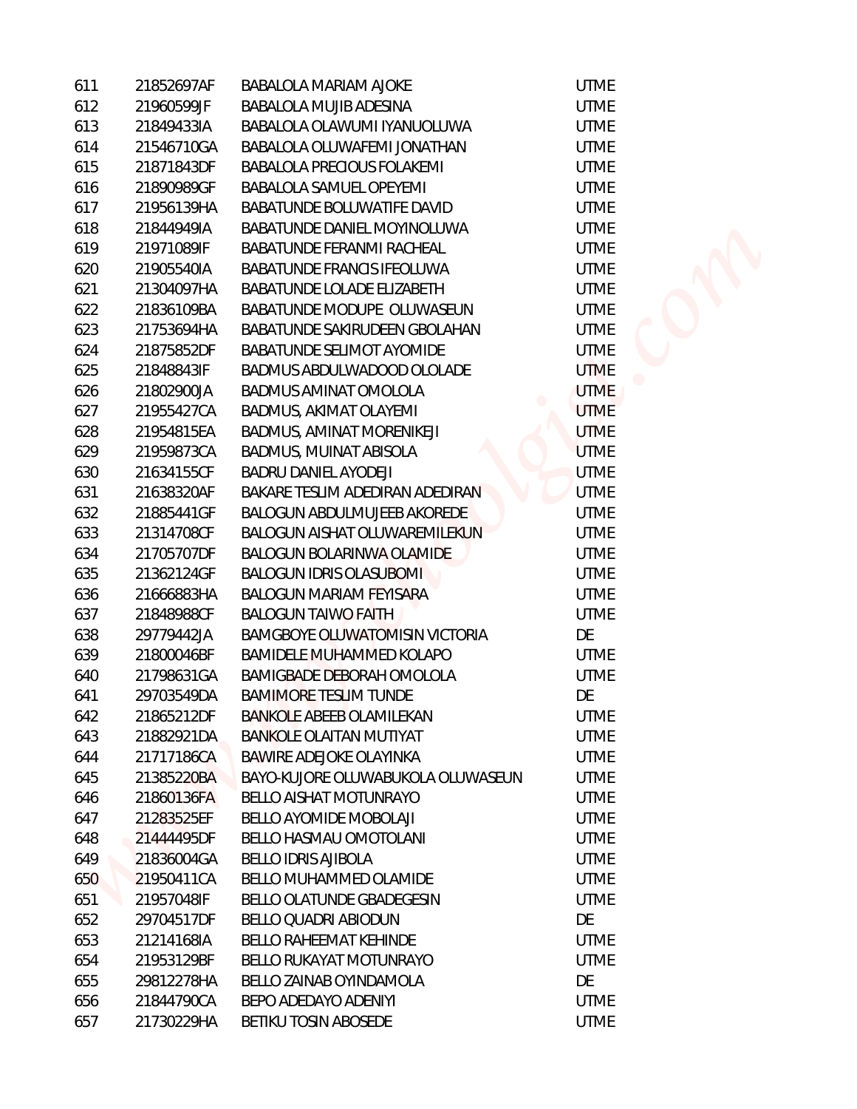| 611 | 21852697AF | <b>BABALOLA MARIAM AJOKE</b>          | <b>UTME</b> |
|-----|------------|---------------------------------------|-------------|
| 612 | 21960599JF | BABALOLA MUJIB ADESINA                | <b>UTME</b> |
| 613 | 21849433IA | BABALOLA OLAWUMI IYANUOLUWA           | <b>UTME</b> |
| 614 | 21546710GA | BABALOLA OLUWAFEMI JONATHAN           | <b>UTME</b> |
| 615 | 21871843DF | <b>BABALOLA PRECIOUS FOLAKEMI</b>     | <b>UTME</b> |
| 616 | 21890989GF | BABALOLA SAMUEL OPEYEMI               | <b>UTME</b> |
| 617 | 21956139HA | BABATUNDE BOLUWATIFE DAVID            | <b>UTME</b> |
| 618 | 21844949IA | BABATUNDE DANIEL MOYINOLUWA           | <b>UTME</b> |
| 619 | 21971089IF | BABATUNDE FERANMI RACHEAL             | <b>UTME</b> |
| 620 | 21905540IA | <b>BABATUNDE FRANCIS IFEOLUWA</b>     | <b>UTME</b> |
| 621 | 21304097HA | BABATUNDE LOLADE ELIZABETH            | <b>UTME</b> |
| 622 | 21836109BA | BABATUNDE MODUPE OLUWASEUN            | <b>UTME</b> |
| 623 | 21753694HA | BABATUNDE SAKIRUDEEN GBOLAHAN         | <b>UTME</b> |
| 624 | 21875852DF | BABATUNDE SELIMOT AYOMIDE             | <b>UTME</b> |
| 625 | 21848843IF | BADMUS ABDULWADOOD OLOLADE            | <b>UTME</b> |
| 626 | 21802900JA | BADMUS AMINAT OMOLOLA                 | <b>UTME</b> |
| 627 | 21955427CA | BADMUS, AKIMAT OLAYEMI                | <b>UTME</b> |
| 628 | 21954815EA | BADMUS, AMINAT MORENIKEJI             | <b>UTME</b> |
| 629 | 21959873CA | BADMUS, MUINAT ABISOLA                | <b>UTME</b> |
| 630 | 21634155CF | <b>BADRU DANIEL AYODEJI</b>           | <b>UTME</b> |
| 631 | 21638320AF | BAKARE TESLIM ADEDIRAN ADEDIRAN       | <b>UTME</b> |
| 632 | 21885441GF | <b>BALOGUN ABDULMUJEEB AKOREDE</b>    | <b>UTME</b> |
| 633 | 21314708CF | <b>BALOGUN AISHAT OLUWAREMILEKUN</b>  | <b>UTME</b> |
| 634 | 21705707DF | <b>BALOGUN BOLARINWA OLAMIDE</b>      | <b>UTME</b> |
| 635 | 21362124GF | <b>BALOGUN IDRIS OLASUBOMI</b>        | <b>UTME</b> |
| 636 | 21666883HA | <b>BALOGUN MARIAM FEYISARA</b>        | <b>UTME</b> |
| 637 | 21848988CF | <b>BALOGUN TAIWO FAITH</b>            | <b>UTME</b> |
| 638 | 29779442JA | <b>BAMGBOYE OLUWATOMISIN VICTORIA</b> | DE          |
| 639 | 21800046BF | BAMIDELE MUHAMMED KOLAPO              | <b>UTME</b> |
| 640 | 21798631GA | <b>BAMIGBADE DEBORAH OMOLOLA</b>      | <b>UTME</b> |
| 641 | 29703549DA | <b>BAMIMORE TESLIM TUNDE</b>          | DE          |
| 642 | 21865212DF | <b>BANKOLE ABEEB OLAMILEKAN</b>       | <b>UTME</b> |
| 643 | 21882921DA | <b>BANKOLE OLAITAN MUTIYAT</b>        | <b>UTME</b> |
| 644 | 21717186CA | <b>BAWIRE ADEJOKE OLAYINKA</b>        | <b>UTME</b> |
| 645 | 21385220BA | BAYO-KUJORE OLUWABUKOLA OLUWASEUN     | <b>UTME</b> |
| 646 | 21860136FA | <b>BELLO AISHAT MOTUNRAYO</b>         | <b>UTME</b> |
| 647 | 21283525EF | BELLO AYOMIDE MOBOLAJI                | <b>UTME</b> |
| 648 | 21444495DF | <b>BELLO HASMAU OMOTOLANI</b>         | <b>UTME</b> |
| 649 | 21836004GA | <b>BELLO IDRIS AJIBOLA</b>            | <b>UTME</b> |
| 650 | 21950411CA | BELLO MUHAMMED OLAMIDE                | <b>UTME</b> |
| 651 | 21957048IF | <b>BELLO OLATUNDE GBADEGESIN</b>      | <b>UTME</b> |
| 652 | 29704517DF | <b>BELLO QUADRI ABIODUN</b>           | DE          |
| 653 | 21214168IA | <b>BELLO RAHEEMAT KEHINDE</b>         | <b>UTME</b> |
| 654 | 21953129BF | <b>BELLO RUKAYAT MOTUNRAYO</b>        | <b>UTME</b> |
| 655 | 29812278HA | BELLO ZAINAB OYINDAMOLA               | DE          |
| 656 | 21844790CA | BEPO ADEDAYO ADENIYI                  | <b>UTME</b> |
| 657 | 21730229HA | BETIKU TOSIN ABOSEDE                  | <b>UTME</b> |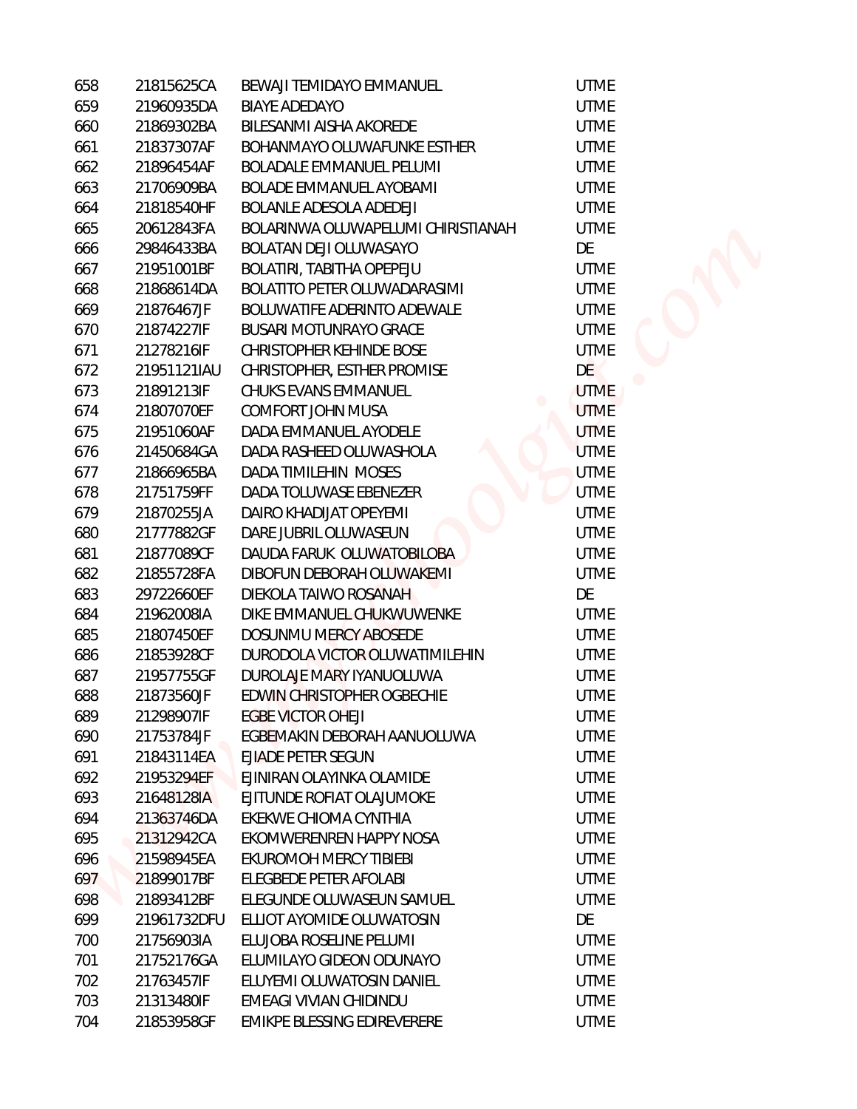| 658 | 21815625CA  | BEWAJI TEMIDAYO EMMANUEL           | <b>UTME</b> |
|-----|-------------|------------------------------------|-------------|
| 659 | 21960935DA  | <b>BIAYE ADEDAYO</b>               | <b>UTME</b> |
| 660 | 21869302BA  | BILESANMI AISHA AKOREDE            | <b>UTME</b> |
| 661 | 21837307AF  | BOHANMAYO OLUWAFUNKE ESTHER        | <b>UTME</b> |
| 662 | 21896454AF  | <b>BOLADALE EMMANUEL PELUMI</b>    | <b>UTME</b> |
| 663 | 21706909BA  | <b>BOLADE EMMANUEL AYOBAMI</b>     | <b>UTME</b> |
| 664 | 21818540HF  | BOLANLE ADESOLA ADEDEJI            | <b>UTME</b> |
| 665 | 20612843FA  | BOLARINWA OLUWAPELUMI CHIRISTIANAH | <b>UTME</b> |
| 666 | 29846433BA  | BOLATAN DEJI OLUWASAYO             | DE          |
| 667 | 21951001BF  | BOLATIRI, TABITHA OPEPEJU          | <b>UTME</b> |
| 668 | 21868614DA  | BOLATITO PETER OLUWADARASIMI       | <b>UTME</b> |
| 669 | 21876467JF  | BOLUWATIFE ADERINTO ADEWALE        | <b>UTME</b> |
| 670 | 21874227IF  | <b>BUSARI MOTUNRAYO GRACE</b>      | <b>UTME</b> |
| 671 | 21278216IF  | CHRISTOPHER KEHINDE BOSE           | <b>UTME</b> |
| 672 | 21951121IAU | CHRISTOPHER, ESTHER PROMISE        | <b>DE</b>   |
| 673 | 21891213IF  | CHUKS EVANS EMMANUEL               | <b>UTME</b> |
| 674 | 21807070EF  | COMFORT JOHN MUSA                  | <b>UTME</b> |
| 675 | 21951060AF  | DADA EMMANUEL AYODELE              | <b>UTME</b> |
| 676 | 21450684GA  | DADA RASHEED OLUWASHOLA            | <b>UTME</b> |
| 677 | 21866965BA  | DADA TIMILEHIN MOSES               | <b>UTME</b> |
| 678 | 21751759FF  | DADA TOLUWASE EBENEZER             | <b>UTME</b> |
| 679 | 21870255JA  | DAIRO KHADIJAT OPEYEMI             | <b>UTME</b> |
| 680 | 21777882GF  | DARE JUBRIL OLUWASEUN              | <b>UTME</b> |
| 681 | 21877089CF  | DAUDA FARUK OLUWATOBILOBA          | <b>UTME</b> |
| 682 | 21855728FA  | DIBOFUN DEBORAH OLUWAKEMI          | <b>UTME</b> |
| 683 | 29722660EF  | DIEKOLA TAIWO ROSANAH              | DE          |
| 684 | 21962008IA  | DIKE EMMANUEL CHUKWUWENKE          | <b>UTME</b> |
| 685 | 21807450EF  | DOSUNMU MERCY ABOSEDE              | <b>UTME</b> |
| 686 | 21853928CF  | DURODOLA VICTOR OLUWATIMILEHIN     | <b>UTME</b> |
| 687 | 21957755GF  | DUROLAJE MARY IYANUOLUWA           | <b>UTME</b> |
| 688 | 21873560JF  | EDWIN CHRISTOPHER OGBECHIE         | <b>UTME</b> |
| 689 | 21298907IF  | <b>EGBE VICTOR OHEJI</b>           | <b>UTME</b> |
| 690 | 21753784JF  | EGBEMAKIN DEBORAH AANUOLUWA        | <b>UTME</b> |
| 691 | 21843114EA  | EJIADE PETER SEGUN                 | <b>UTME</b> |
| 692 | 21953294EF  | EJINIRAN OLAYINKA OLAMIDE          | <b>UTME</b> |
| 693 | 21648128IA  | EJITUNDE ROFIAT OLAJUMOKE          | <b>UTME</b> |
| 694 | 21363746DA  | EKEKWE CHIOMA CYNTHIA              | <b>UTME</b> |
| 695 | 21312942CA  | EKOMWERENREN HAPPY NOSA            | <b>UTME</b> |
| 696 | 21598945EA  | EKUROMOH MERCY TIBIEBI             | <b>UTME</b> |
| 697 | 21899017BF  | ELEGBEDE PETER AFOLABI             | <b>UTME</b> |
| 698 | 21893412BF  | ELEGUNDE OLUWASEUN SAMUEL          | <b>UTME</b> |
| 699 | 21961732DFU | ELLIOT AYOMIDE OLUWATOSIN          | DE          |
| 700 | 21756903IA  | ELUJOBA ROSELINE PELUMI            | <b>UTME</b> |
| 701 | 21752176GA  | ELUMILAYO GIDEON ODUNAYO           | <b>UTME</b> |
| 702 | 21763457IF  | ELUYEMI OLUWATOSIN DANIEL          | <b>UTME</b> |
| 703 | 21313480IF  | EMEAGI VIVIAN CHIDINDU             | <b>UTME</b> |
| 704 | 21853958GF  | EMIKPE BLESSING EDIREVERERE        | <b>UTME</b> |
|     |             |                                    |             |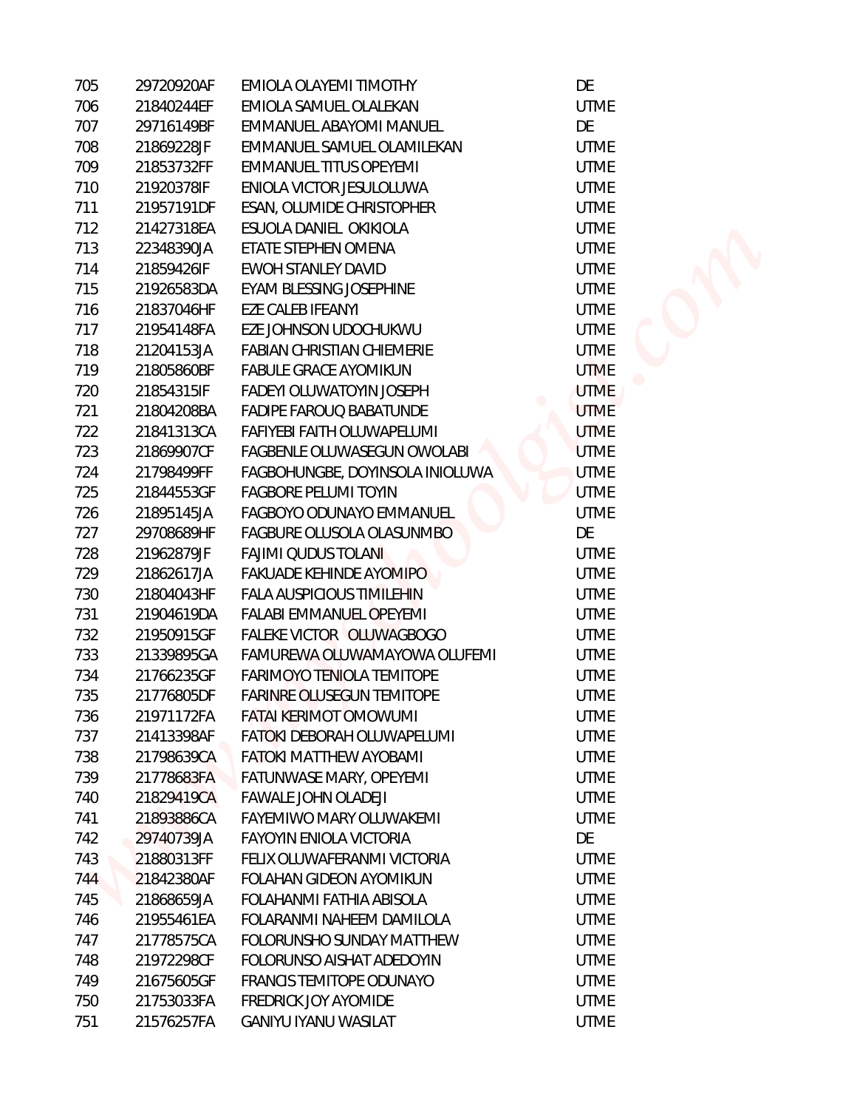| 705 | 29720920AF | EMIOLA OLAYEMI TIMOTHY           | DE          |
|-----|------------|----------------------------------|-------------|
| 706 | 21840244EF | EMIOLA SAMUEL OLALEKAN           | <b>UTME</b> |
| 707 | 29716149BF | EMMANUEL ABAYOMI MANUEL          | DE          |
| 708 | 21869228JF | EMMANUEL SAMUEL OLAMILEKAN       | <b>UTME</b> |
| 709 | 21853732FF | EMMANUEL TITUS OPEYEMI           | <b>UTME</b> |
| 710 | 21920378IF | ENIOLA VICTOR JESULOLUWA         | <b>UTME</b> |
| 711 | 21957191DF | ESAN, OLUMIDE CHRISTOPHER        | <b>UTME</b> |
| 712 | 21427318EA | ESUOLA DANIEL OKIKIOLA           | <b>UTME</b> |
| 713 | 22348390JA | ETATE STEPHEN OMENA              | <b>UTME</b> |
| 714 | 21859426IF | <b>EWOH STANLEY DAVID</b>        | <b>UTME</b> |
| 715 | 21926583DA | EYAM BLESSING JOSEPHINE          | <b>UTME</b> |
| 716 | 21837046HF | EZE CALEB IFEANYI                | <b>UTME</b> |
| 717 | 21954148FA | EZE JOHNSON UDOCHUKWU            | <b>UTME</b> |
| 718 | 21204153JA | FABIAN CHRISTIAN CHIEMERIE       | <b>UTME</b> |
| 719 | 21805860BF | <b>FABULE GRACE AYOMIKUN</b>     | <b>UTME</b> |
| 720 | 21854315IF | FADEYI OLUWATOYIN JOSEPH         | <b>UTME</b> |
| 721 | 21804208BA | <b>FADIPE FAROUQ BABATUNDE</b>   | <b>UTME</b> |
| 722 | 21841313CA | FAFIYEBI FAITH OLUWAPELUMI       | <b>UTME</b> |
| 723 | 21869907CF | FAGBENLE OLUWASEGUN OWOLABI      | <b>UTME</b> |
| 724 | 21798499FF | FAGBOHUNGBE, DOYINSOLA INIOLUWA  | <b>UTME</b> |
| 725 | 21844553GF | <b>FAGBORE PELUMI TOYIN</b>      | <b>UTME</b> |
| 726 | 21895145JA | FAGBOYO ODUNAYO EMMANUEL         | <b>UTME</b> |
| 727 | 29708689HF | FAGBURE OLUSOLA OLASUNMBO        | DE          |
| 728 | 21962879JF | <b>FAJIMI QUDUS TOLANI</b>       | <b>UTME</b> |
| 729 | 21862617JA | <b>FAKUADE KEHINDE AYOMIPO</b>   | <b>UTME</b> |
| 730 | 21804043HF | <b>FALA AUSPICIOUS TIMILEHIN</b> | <b>UTME</b> |
| 731 | 21904619DA | FALABI EMMANUEL OPEYEMI          | <b>UTME</b> |
| 732 | 21950915GF | FALEKE VICTOR OLUWAGBOGO         | <b>UTME</b> |
| 733 | 21339895GA | FAMUREWA OLUWAMAYOWA OLUFEMI     | <b>UTME</b> |
| 734 | 21766235GF | <b>FARIMOYO TENIOLA TEMITOPE</b> | <b>UTME</b> |
| 735 | 21776805DF | <b>FARINRE OLUSEGUN TEMITOPE</b> | <b>UTME</b> |
| 736 | 21971172FA | <b>FATAI KERIMOT OMOWUMI</b>     | <b>UTME</b> |
| 737 | 21413398AF | FATOKI DEBORAH OLUWAPELUMI       | <b>UTME</b> |
| 738 | 21798639CA | <b>FATOKI MATTHEW AYOBAMI</b>    | <b>UTME</b> |
| 739 | 21778683FA | FATUNWASE MARY, OPEYEMI          | <b>UTME</b> |
| 740 | 21829419CA | <b>FAWALE JOHN OLADEJI</b>       | <b>UTME</b> |
| 741 | 21893886CA | FAYEMIWO MARY OLUWAKEMI          | <b>UTME</b> |
| 742 | 29740739JA | FAYOYIN ENIOLA VICTORIA          | DE          |
| 743 | 21880313FF | FELIX OLUWAFERANMI VICTORIA      | <b>UTME</b> |
| 744 | 21842380AF | FOLAHAN GIDEON AYOMIKUN          | <b>UTME</b> |
| 745 | 21868659JA | FOLAHANMI FATHIA ABISOLA         | <b>UTME</b> |
| 746 | 21955461EA | FOLARANMI NAHEEM DAMILOLA        | <b>UTME</b> |
| 747 | 21778575CA | FOLORUNSHO SUNDAY MATTHEW        | <b>UTME</b> |
| 748 | 21972298CF | FOLORUNSO AISHAT ADEDOYIN        | <b>UTME</b> |
| 749 | 21675605GF | FRANCIS TEMITOPE ODUNAYO         | <b>UTME</b> |
| 750 | 21753033FA | FREDRICK JOY AYOMIDE             | <b>UTME</b> |
| 751 | 21576257FA | <b>GANIYU IYANU WASILAT</b>      | <b>UTME</b> |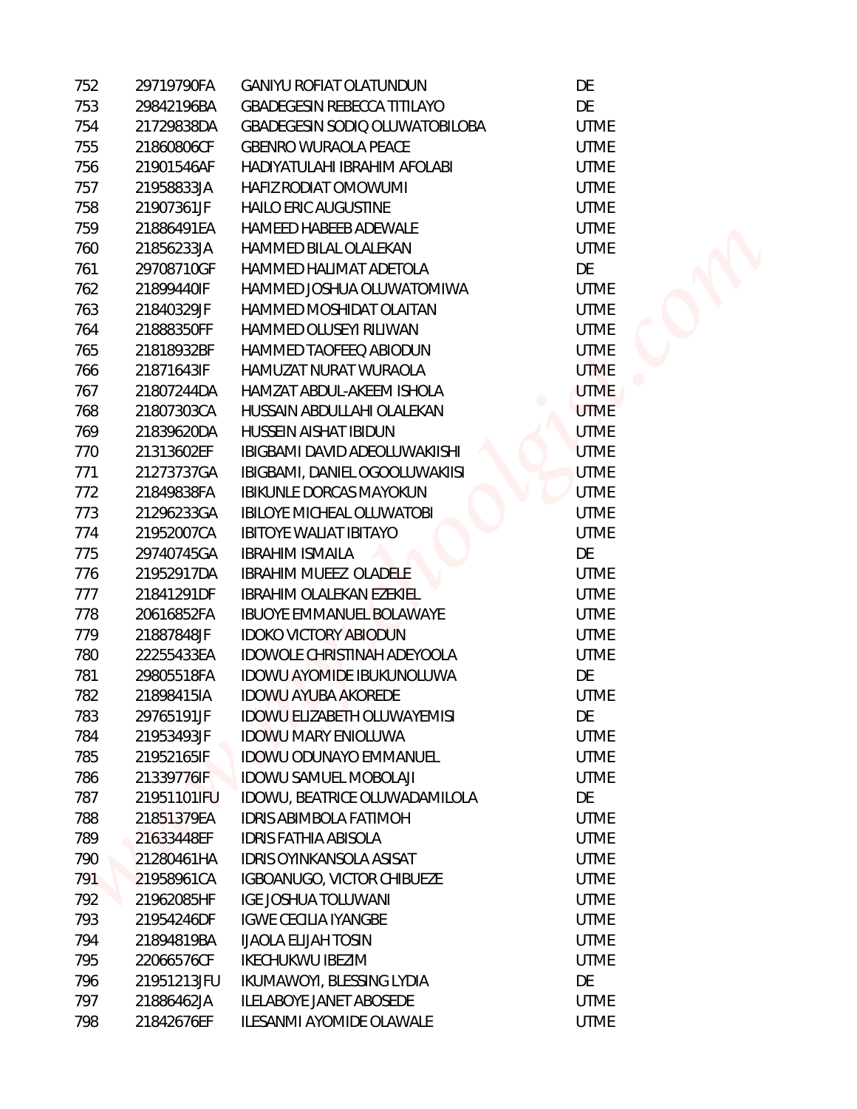| 752 | 29719790FA  | <b>GANIYU ROFIAT OLATUNDUN</b>     | DE          |
|-----|-------------|------------------------------------|-------------|
| 753 | 29842196BA  | <b>GBADEGESIN REBECCA TITILAYO</b> | DE          |
| 754 | 21729838DA  | GBADEGESIN SODIO OLUWATOBILOBA     | <b>UTME</b> |
| 755 | 21860806CF  | <b>GBENRO WURAOLA PEACE</b>        | <b>UTME</b> |
| 756 | 21901546AF  | HADIYATULAHI IBRAHIM AFOLABI       | <b>UTME</b> |
| 757 | 21958833JA  | HAFIZ RODIAT OMOWUMI               | <b>UTME</b> |
| 758 | 21907361JF  | HAILO ERIC AUGUSTINE               | <b>UTME</b> |
| 759 | 21886491EA  | HAMEED HABEEB ADEWALE              | <b>UTME</b> |
| 760 | 21856233JA  | <b>HAMMED BILAL OLALEKAN</b>       | <b>UTME</b> |
| 761 | 29708710GF  | HAMMED HALIMAT ADETOLA             | DE          |
| 762 | 21899440IF  | HAMMED JOSHUA OLUWATOMIWA          | <b>UTME</b> |
| 763 | 21840329JF  | HAMMED MOSHIDAT OLAITAN            | <b>UTME</b> |
| 764 | 21888350FF  | HAMMED OLUSEYI RILIWAN             | <b>UTME</b> |
| 765 | 21818932BF  | HAMMED TAOFEEQ ABIODUN             | <b>UTME</b> |
| 766 | 21871643IF  | HAMUZAT NURAT WURAOLA              | <b>UTME</b> |
| 767 | 21807244DA  | HAMZAT ABDUL-AKEEM ISHOLA          | <b>UTME</b> |
| 768 | 21807303CA  | HUSSAIN ABDULLAHI OLALEKAN         | <b>UTME</b> |
| 769 | 21839620DA  | HUSSEIN AISHAT IBIDUN              | <b>UTME</b> |
| 770 | 21313602EF  | IBIGBAMI DAVID ADEOLUWAKIISHI      | <b>UTME</b> |
| 771 | 21273737GA  | IBIGBAMI, DANIEL OGOOLUWAKIISI     | <b>UTME</b> |
| 772 | 21849838FA  | <b>IBIKUNLE DORCAS MAYOKUN</b>     | <b>UTME</b> |
| 773 | 21296233GA  | <b>IBILOYE MICHEAL OLUWATOBI</b>   | <b>UTME</b> |
| 774 | 21952007CA  | <b>IBITOYE WALIAT IBITAYO</b>      | <b>UTME</b> |
| 775 | 29740745GA  | <b>IBRAHIM ISMAILA</b>             | DE          |
| 776 | 21952917DA  | <b>IBRAHIM MUEEZ OLADELE</b>       | <b>UTME</b> |
| 777 | 21841291DF  | IBRAHIM OLALEKAN EZEKIEL           | <b>UTME</b> |
| 778 | 20616852FA  | <b>IBUOYE EMMANUEL BOLAWAYE</b>    | <b>UTME</b> |
| 779 | 21887848JF  | <b>IDOKO VICTORY ABIODUN</b>       | <b>UTME</b> |
| 780 | 22255433EA  | IDOWOLE CHRISTINAH ADEYOOLA        | <b>UTME</b> |
| 781 | 29805518FA  | <b>IDOWU AYOMIDE IBUKUNOLUWA</b>   | DE          |
| 782 | 21898415IA  | <b>IDOWU AYUBA AKOREDE</b>         | <b>UTME</b> |
| 783 | 29765191JF  | <b>IDOWU ELIZABETH OLUWAYEMISI</b> | DE          |
| 784 | 21953493JF  | <b>IDOWU MARY ENIOLUWA</b>         | <b>UTME</b> |
| 785 | 21952165IF  | IDOWU ODUNAYO EMMANUEL             | <b>UTME</b> |
| 786 | 21339776IF  | <b>IDOWU SAMUEL MOBOLAJI</b>       | <b>UTME</b> |
| 787 | 21951101IFU | IDOWU, BEATRICE OLUWADAMILOLA      | DE          |
| 788 | 21851379EA  | <b>IDRIS ABIMBOLA FATIMOH</b>      | <b>UTME</b> |
| 789 | 21633448EF  | <b>IDRIS FATHIA ABISOLA</b>        | <b>UTME</b> |
| 790 | 21280461HA  | <b>IDRIS OYINKANSOLA ASISAT</b>    | <b>UTME</b> |
| 791 | 21958961CA  | IGBOANUGO, VICTOR CHIBUEZE         | <b>UTME</b> |
| 792 | 21962085HF  | <b>IGE JOSHUA TOLUWANI</b>         | <b>UTME</b> |
| 793 | 21954246DF  | <b>IGWE CECILIA IYANGBE</b>        | <b>UTME</b> |
| 794 | 21894819BA  | <b>IJAOLA ELIJAH TOSIN</b>         | <b>UTME</b> |
| 795 | 22066576CF  | <b>IKECHUKWU IBEZIM</b>            | <b>UTME</b> |
| 796 | 21951213JFU | IKUMAWOYI, BLESSING LYDIA          | DE          |
| 797 | 21886462JA  | <b>ILELABOYE JANET ABOSEDE</b>     | <b>UTME</b> |
| 798 | 21842676EF  | ILESANMI AYOMIDE OLAWALE           | <b>UTME</b> |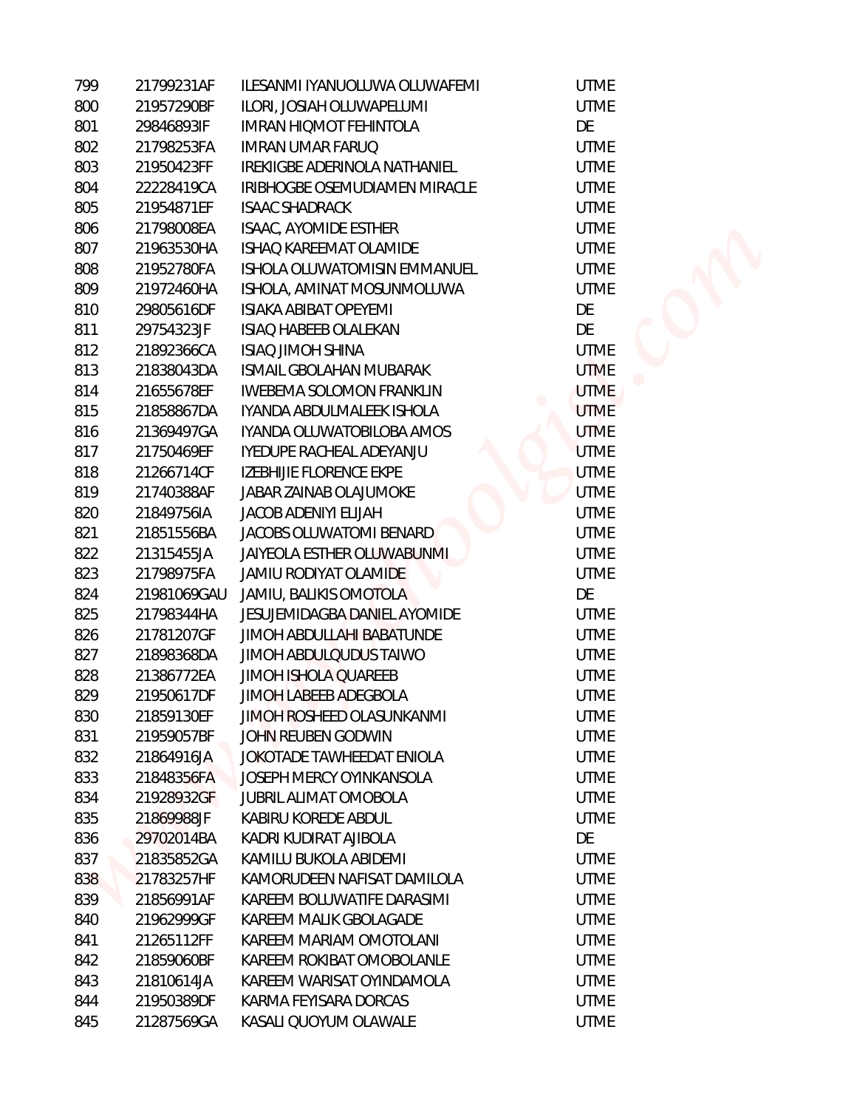| 799 | 21799231AF  | ILESANMI IYANUOLUWA OLUWAFEMI       |
|-----|-------------|-------------------------------------|
| 800 | 21957290BF  | ILORI, JOSIAH OLUWAPELUMI           |
| 801 | 29846893IF  | IMRAN HIQMOT FEHINTOLA              |
| 802 | 21798253FA  | <b>IMRAN UMAR FARUQ</b>             |
| 803 | 21950423FF  | IREKIIGBE ADERINOLA NATHANIEL       |
| 804 | 22228419CA  | IRIBHOGBE OSEMUDIAMEN MIRACLE       |
| 805 | 21954871EF  | <b>ISAAC SHADRACK</b>               |
| 806 | 21798008EA  | ISAAC, AYOMIDE ESTHER               |
| 807 | 21963530HA  | <b>ISHAO KAREEMAT OLAMIDE</b>       |
| 808 | 21952780FA  | <b>ISHOLA OLUWATOMISIN EMMANUEL</b> |
| 809 | 21972460HA  | ISHOLA, AMINAT MOSUNMOLUWA          |
| 810 | 29805616DF  | ISIAKA ABIBAT OPEYEMI               |
| 811 | 29754323JF  | <b>ISIAQ HABEEB OLALEKAN</b>        |
| 812 | 21892366CA  | <b>ISIAQ JIMOH SHINA</b>            |
| 813 | 21838043DA  | <b>ISMAIL GBOLAHAN MUBARAK</b>      |
| 814 | 21655678EF  | <b>IWEBEMA SOLOMON FRANKLIN</b>     |
| 815 | 21858867DA  | IYANDA ABDULMALEEK ISHOLA           |
| 816 | 21369497GA  | IYANDA OLUWATOBILOBA AMOS           |
| 817 | 21750469EF  | <b>IYEDUPE RACHEAL ADEYANJU</b>     |
| 818 | 21266714CF  | IZEBHIJIE FLORENCE EKPE             |
| 819 | 21740388AF  | JABAR ZAINAB OLAJUMOKE              |
| 820 | 21849756IA  | <b>JACOB ADENIYI ELIJAH</b>         |
| 821 | 21851556BA  | <b>JACOBS OLUWATOMI BENARD</b>      |
| 822 | 21315455JA  | JAIYEOLA ESTHER OLUWABUNMI          |
| 823 | 21798975FA  | <b>JAMIU RODIYAT OLAMIDE</b>        |
| 824 | 21981069GAU | JAMIU, BALIKIS OMOTOLA              |
| 825 | 21798344HA  | <b>JESUJEMIDAGBA DANIEL AYOMIDE</b> |
| 826 | 21781207GF  | <b>JIMOH ABDULLAHI BABATUNDE</b>    |
| 827 | 21898368DA  | <b>JIMOH ABDULQUDUS TAIWO</b>       |
| 828 | 21386772EA  | <b>JIMOH ISHOLA QUAREEB</b>         |
| 829 | 21950617DF  | JIMOH LABEEB ADEGBOLA               |
| 830 | 21859130EF  | <b>JIMOH ROSHEED OLASUNKANMI</b>    |
| 831 | 21959057BF  | JOHN REUBEN GODWIN                  |
| 832 | 21864916JA  | JOKOTADE TAWHEEDAT ENIOLA           |
| 833 | 21848356FA  | <b>JOSEPH MERCY OYINKANSOLA</b>     |
| 834 | 21928932GF  | <b>JUBRIL ALIMAT OMOBOLA</b>        |
| 835 | 21869988JF  | KABIRU KOREDE ABDUL                 |
| 836 | 29702014BA  | KADRI KUDIRAT AJIBOLA               |
| 837 | 21835852GA  | KAMILU BUKOLA ABIDEMI               |
| 838 | 21783257HF  | KAMORUDEEN NAFISAT DAMILOLA         |
| 839 | 21856991AF  | KAREEM BOLUWATIFE DARASIMI          |
| 840 | 21962999GF  | KAREEM MALIK GBOLAGADE              |
| 841 | 21265112FF  | KAREEM MARIAM OMOTOLANI             |
| 842 | 21859060BF  | KAREEM ROKIBAT OMOBOLANLE           |
| 843 | 21810614JA  | KAREEM WARISAT OYINDAMOLA           |
| 844 | 21950389DF  | KARMA FEYISARA DORCAS               |
| 845 | 21287569GA  | KASALI QUOYUM OLAWALE               |

**UTME** DE **UTME UTME UTME UTME UTME UTME UTME UTME** DE DE **UTME UTME UTME UTME UTME UTME UTME UTME UTME UTME UTME UTME** DE **UTME UTME UTME UTME UTME UTME UTME UTME UTME UTME UTME** DE **UTME UTME UTME UTME UTME UTME UTME UTME** 

**UTME** 

**UTME**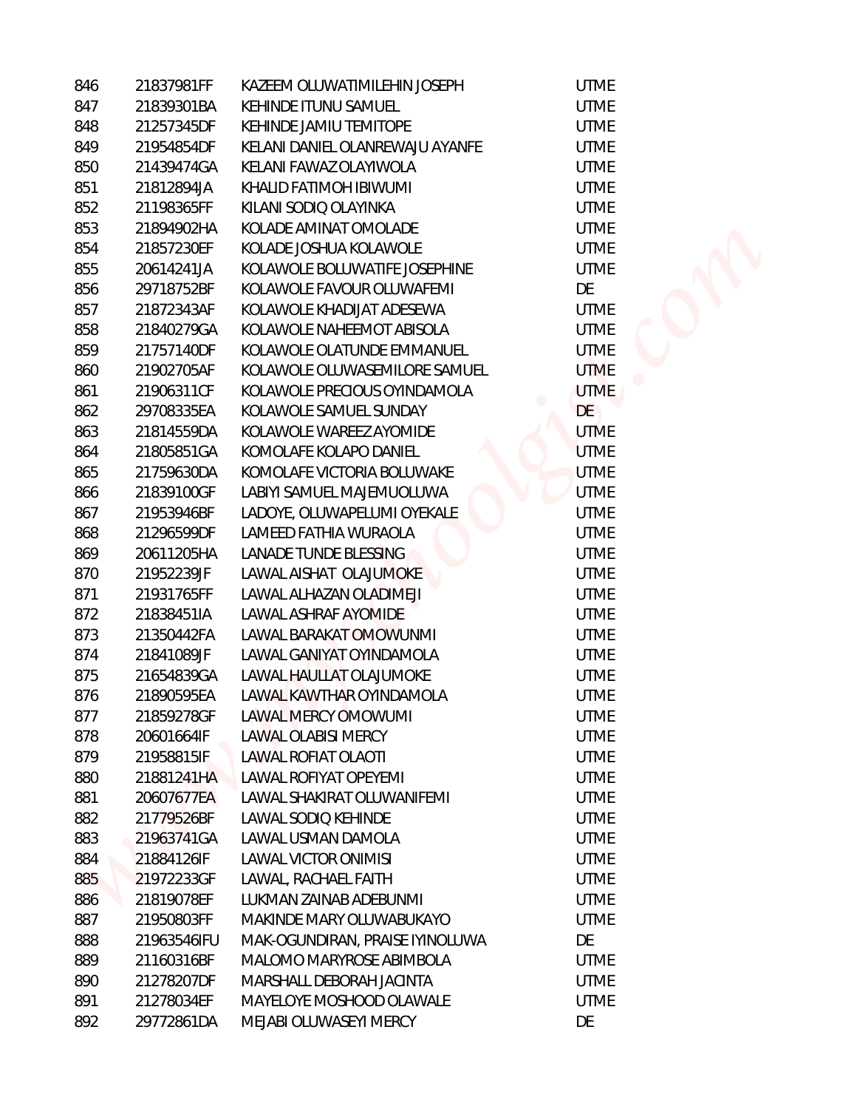| 846 | 21837981FF  | KAZEEM OLUWATIMILEHIN JOSEPH    | <b>UTME</b> |
|-----|-------------|---------------------------------|-------------|
| 847 | 21839301BA  | KEHINDE ITUNU SAMUEL            | <b>UTME</b> |
| 848 | 21257345DF  | KEHINDE JAMIU TEMITOPE          | <b>UTME</b> |
| 849 | 21954854DF  | KELANI DANIEL OLANREWAJU AYANFE | <b>UTME</b> |
| 850 | 21439474GA  | KELANI FAWAZ OLAYIWOLA          | <b>UTME</b> |
| 851 | 21812894JA  | KHALID FATIMOH IBIWUMI          | <b>UTME</b> |
| 852 | 21198365FF  | KILANI SODIQ OLAYINKA           | <b>UTME</b> |
| 853 | 21894902HA  | KOLADE AMINAT OMOLADE           | <b>UTME</b> |
| 854 | 21857230EF  | KOLADE JOSHUA KOLAWOLE          | <b>UTME</b> |
| 855 | 20614241JA  | KOLAWOLE BOLUWATIFE JOSEPHINE   | <b>UTME</b> |
| 856 | 29718752BF  | KOLAWOLE FAVOUR OLUWAFEMI       | DE          |
| 857 | 21872343AF  | KOLAWOLE KHADIJAT ADESEWA       | <b>UTME</b> |
| 858 | 21840279GA  | KOLAWOLE NAHEEMOT ABISOLA       | <b>UTME</b> |
| 859 | 21757140DF  | KOLAWOLE OLATUNDE EMMANUEL      | <b>UTME</b> |
| 860 | 21902705AF  | KOLAWOLE OLUWASEMILORE SAMUEL   | <b>UTME</b> |
| 861 | 21906311CF  | KOLAWOLE PRECIOUS OYINDAMOLA    | <b>UTME</b> |
| 862 | 29708335EA  | KOLAWOLE SAMUEL SUNDAY          | DE          |
| 863 | 21814559DA  | KOLAWOLE WAREEZ AYOMIDE         | <b>UTME</b> |
| 864 | 21805851GA  | KOMOLAFE KOLAPO DANIEL          | <b>UTME</b> |
| 865 | 21759630DA  | KOMOLAFE VICTORIA BOLUWAKE      | <b>UTME</b> |
| 866 | 21839100GF  | LABIYI SAMUEL MAJEMUOLUWA       | <b>UTME</b> |
| 867 | 21953946BF  | LADOYE, OLUWAPELUMI OYEKALE     | <b>UTME</b> |
| 868 | 21296599DF  | LAMEED FATHIA WURAOLA           | <b>UTME</b> |
| 869 | 20611205HA  | LANADE TUNDE BLESSING           | <b>UTME</b> |
| 870 | 21952239JF  | LAWAL AISHAT OLAJUMOKE          | <b>UTME</b> |
| 871 | 21931765FF  | LAWAL ALHAZAN OLADIMEJI         | <b>UTME</b> |
| 872 | 21838451IA  | LAWAL ASHRAF AYOMIDE            | <b>UTME</b> |
| 873 | 21350442FA  | LAWAL BARAKAT OMOWUNMI          | <b>UTME</b> |
| 874 | 21841089JF  | LAWAL GANIYAT OYINDAMOLA        | <b>UTME</b> |
| 875 | 21654839GA  | LAWAL HAULLAT OLAJUMOKE         | <b>UTME</b> |
| 876 | 21890595EA  | LAWAL KAWTHAR OYINDAMOLA        | <b>UTME</b> |
| 877 | 21859278GF  | LAWAL MERCY OMOWUMI             | <b>UTME</b> |
| 878 | 20601664IF  | LAWAL OLABISI MERCY             | <b>UTME</b> |
| 879 | 21958815IF  | LAWAL ROFIAT OLAOTI             | <b>UTME</b> |
| 880 | 21881241HA  | LAWAL ROFIYAT OPEYEMI           | <b>UTME</b> |
| 881 | 20607677EA  | LAWAL SHAKIRAT OLUWANIFEMI      | <b>UTME</b> |
| 882 | 21779526BF  | LAWAL SODIQ KEHINDE             | <b>UTME</b> |
| 883 | 21963741GA  | LAWAL USMAN DAMOLA              | <b>UTME</b> |
| 884 | 21884126IF  | LAWAL VICTOR ONIMISI            | <b>UTME</b> |
| 885 | 21972233GF  | LAWAL, RACHAEL FAITH            | <b>UTME</b> |
| 886 | 21819078EF  | LUKMAN ZAINAB ADEBUNMI          | <b>UTME</b> |
| 887 | 21950803FF  | MAKINDE MARY OLUWABUKAYO        | <b>UTME</b> |
| 888 | 21963546IFU | MAK-OGUNDIRAN, PRAISE IYINOLUWA | DE          |
| 889 | 21160316BF  | MALOMO MARYROSE ABIMBOLA        | <b>UTME</b> |
| 890 | 21278207DF  | MARSHALL DEBORAH JACINTA        | <b>UTME</b> |
| 891 | 21278034EF  | MAYELOYE MOSHOOD OLAWALE        | <b>UTME</b> |
| 892 | 29772861DA  | MEJABI OLUWASEYI MERCY          | DE          |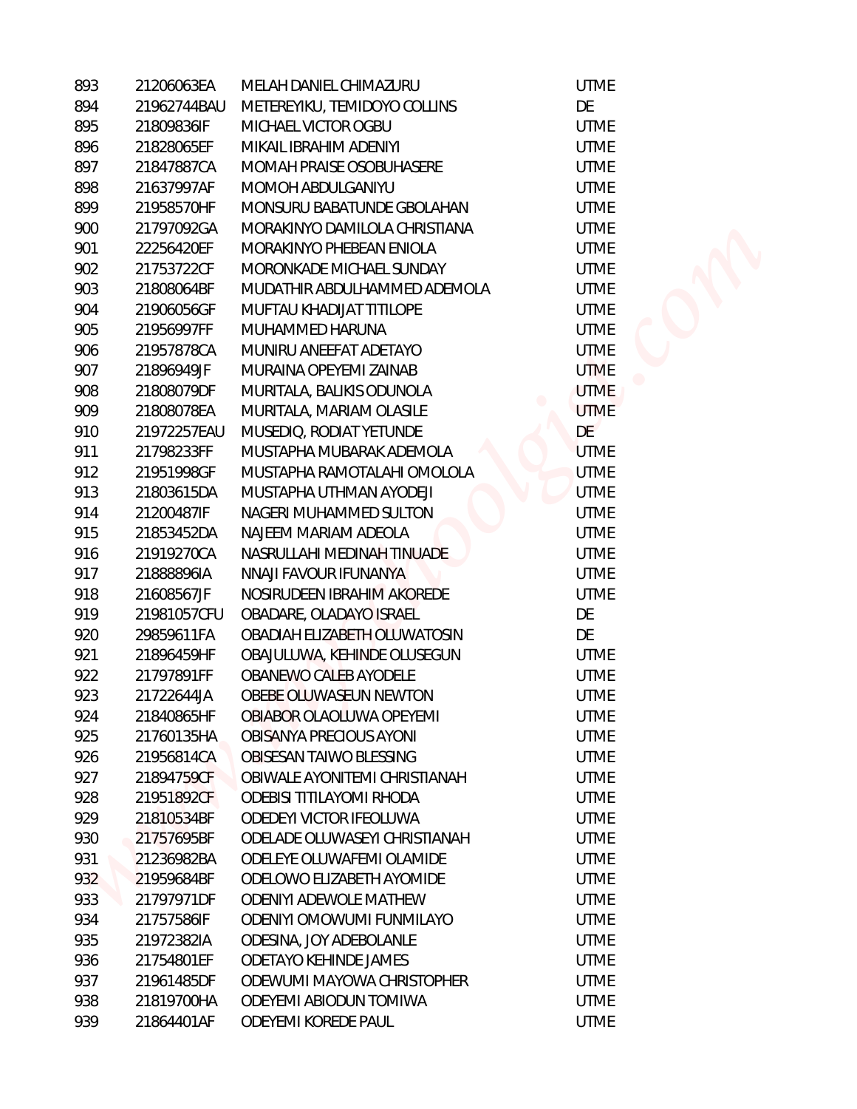| 893 | 21206063EA  | MELAH DANIEL CHIMAZURU        | <b>UTME</b>     |
|-----|-------------|-------------------------------|-----------------|
| 894 | 21962744BAU | METEREYIKU, TEMIDOYO COLLINS  | DE              |
| 895 | 21809836IF  | MICHAEL VICTOR OGBU           | <b>UTME</b>     |
| 896 | 21828065EF  | MIKAIL IBRAHIM ADENIYI        | <b>UTME</b>     |
| 897 | 21847887CA  | MOMAH PRAISE OSOBUHASERE      | <b>UTME</b>     |
| 898 | 21637997AF  | MOMOH ABDULGANIYU             | <b>UTME</b>     |
| 899 | 21958570HF  | MONSURU BABATUNDE GBOLAHAN    | <b>UTME</b>     |
| 900 | 21797092GA  | MORAKINYO DAMILOLA CHRISTIANA | <b>UTME</b>     |
| 901 | 22256420EF  | MORAKINYO PHEBEAN ENIOLA      | <b>UTME</b>     |
| 902 | 21753722CF  | MORONKADE MICHAEL SUNDAY      | <b>UTME</b>     |
| 903 | 21808064BF  | MUDATHIR ABDULHAMMED ADEMOLA  | <b>UTME</b>     |
| 904 | 21906056GF  | MUFTAU KHADIJAT TITILOPE      | <b>UTME</b>     |
| 905 | 21956997FF  | MUHAMMED HARUNA               | <b>UTME</b>     |
| 906 | 21957878CA  | MUNIRU ANEEFAT ADETAYO        | <b>UTME</b>     |
| 907 | 21896949JF  | MURAINA OPEYEMI ZAINAB        | <b>UTME</b>     |
| 908 | 21808079DF  | MURITALA, BALIKIS ODUNOLA     | <b>UTME</b>     |
| 909 | 21808078EA  | MURITALA, MARIAM OLASILE      | <b>UTME</b>     |
| 910 | 21972257EAU | MUSEDIQ, RODIAT YETUNDE       | DE <sup>1</sup> |
| 911 | 21798233FF  | MUSTAPHA MUBARAK ADEMOLA      | <b>UTME</b>     |
| 912 | 21951998GF  | MUSTAPHA RAMOTALAHI OMOLOLA   | <b>UTME</b>     |
| 913 | 21803615DA  | MUSTAPHA UTHMAN AYODEJI       | <b>UTME</b>     |
| 914 | 21200487IF  | NAGERI MUHAMMED SULTON        | <b>UTME</b>     |
| 915 | 21853452DA  | NAJEEM MARIAM ADEOLA          | <b>UTME</b>     |
| 916 | 21919270CA  | NASRULLAHI MEDINAH TINUADE    | <b>UTME</b>     |
| 917 | 21888896IA  | NNAJI FAVOUR IFUNANYA         | <b>UTME</b>     |
| 918 | 21608567JF  | NOSIRUDEEN IBRAHIM AKOREDE    | <b>UTME</b>     |
| 919 | 21981057CFU | OBADARE, OLADAYO ISRAEL       | DE              |
| 920 | 29859611FA  | OBADIAH ELIZABETH OLUWATOSIN  | DE              |
| 921 | 21896459HF  | OBAJULUWA, KEHINDE OLUSEGUN   | <b>UTME</b>     |
| 922 | 21797891FF  | OBANEWO CALEB AYODELE         | <b>UTME</b>     |
| 923 | 21722644JA  | OBEBE OLUWASEUN NEWTON        | <b>UTME</b>     |
| 924 | 21840865HF  | OBIABOR OLAOLUWA OPEYEMI      | <b>UTME</b>     |
| 925 | 21760135HA  | OBISANYA PRECIOUS AYONI       | <b>UTME</b>     |
| 926 | 21956814CA  | OBISESAN TAIWO BLESSING       | <b>UTME</b>     |
| 927 | 21894759CF  | OBIWALE AYONITEMI CHRISTIANAH | <b>UTME</b>     |
| 928 | 21951892CF  | ODEBISI TITILAYOMI RHODA      | <b>UTME</b>     |
| 929 | 21810534BF  | ODEDEYI VICTOR IFEOLUWA       | <b>UTME</b>     |
| 930 | 21757695BF  | ODELADE OLUWASEYI CHRISTIANAH | <b>UTME</b>     |
| 931 | 21236982BA  | ODELEYE OLUWAFEMI OLAMIDE     | <b>UTME</b>     |
| 932 | 21959684BF  | ODELOWO ELIZABETH AYOMIDE     | <b>UTME</b>     |
| 933 | 21797971DF  | <b>ODENIYI ADEWOLE MATHEW</b> | <b>UTME</b>     |
| 934 | 21757586IF  | ODENIYI OMOWUMI FUNMILAYO     | <b>UTME</b>     |
| 935 | 21972382IA  | ODESINA, JOY ADEBOLANLE       | <b>UTME</b>     |
| 936 | 21754801EF  | <b>ODETAYO KEHINDE JAMES</b>  | <b>UTME</b>     |
| 937 | 21961485DF  | ODEWUMI MAYOWA CHRISTOPHER    | <b>UTME</b>     |
| 938 | 21819700HA  | ODEYEMI ABIODUN TOMIWA        | <b>UTME</b>     |
| 939 | 21864401AF  | ODEYEMI KOREDE PAUL           | <b>UTME</b>     |

DE **UTME UTME UTME UTME UTME UTME UTME UTME UTME UTME UTME** UTME **UTME UTME UTME** DE **UTME UTME UTME UTME UTME UTME UTME UTME** DE DE **UTME UTME UTME UTME UTME UTME UTME UTME UTME UTME UTME UTME UTME UTME UTME UTME UTME UTME**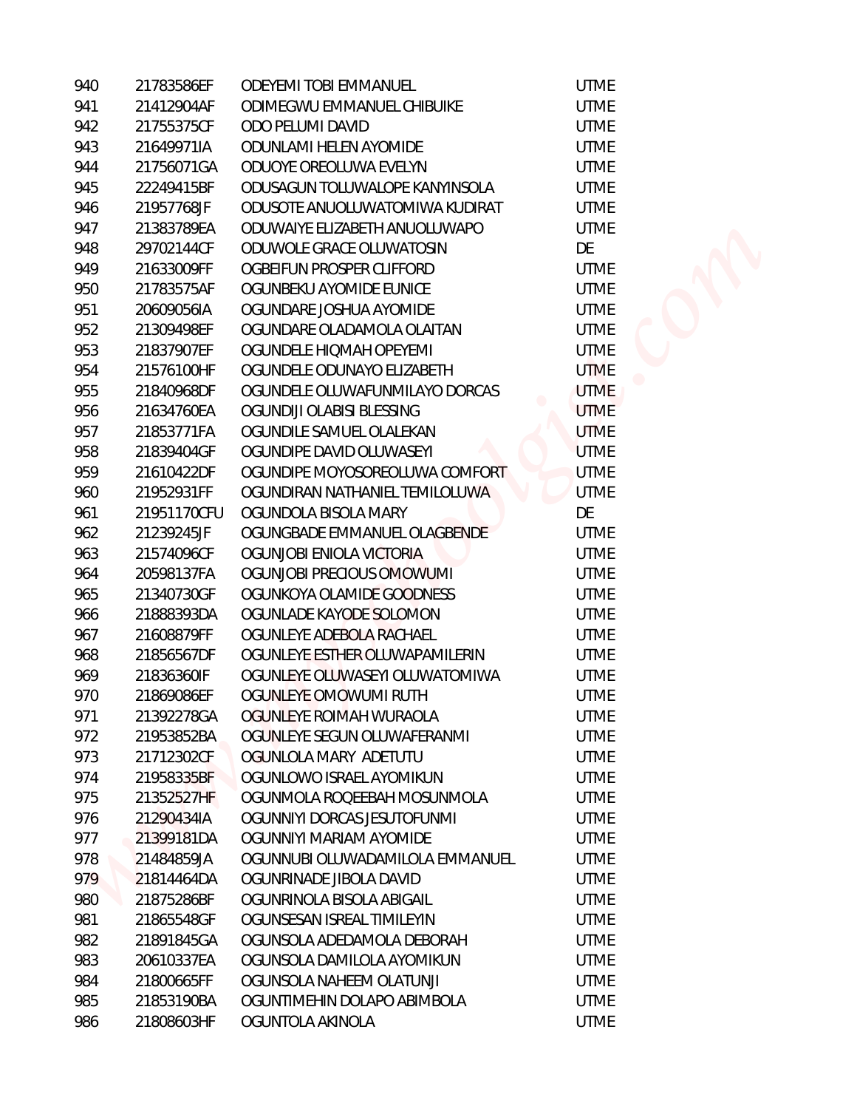| 940 | 21783586EF  | ODEYEMI TOBI EMMANUEL           | <b>UTME</b> |
|-----|-------------|---------------------------------|-------------|
| 941 | 21412904AF  | ODIMEGWU EMMANUEL CHIBUIKE      | <b>UTME</b> |
| 942 | 21755375CF  | ODO PELUMI DAVID                | <b>UTME</b> |
| 943 | 21649971IA  | <b>ODUNLAMI HELEN AYOMIDE</b>   | <b>UTME</b> |
| 944 | 21756071GA  | ODUOYE OREOLUWA EVELYN          | <b>UTME</b> |
| 945 | 22249415BF  | ODUSAGUN TOLUWALOPE KANYINSOLA  | <b>UTME</b> |
| 946 | 21957768JF  | ODUSOTE ANUOLUWATOMIWA KUDIRAT  | <b>UTME</b> |
| 947 | 21383789EA  | ODUWAIYE ELIZABETH ANUOLUWAPO   | <b>UTME</b> |
| 948 | 29702144CF  | ODUWOLE GRACE OLUWATOSIN        | DE          |
| 949 | 21633009FF  | OGBEIFUN PROSPER CLIFFORD       | <b>UTME</b> |
| 950 | 21783575AF  | OGUNBEKU AYOMIDE EUNICE         | <b>UTME</b> |
| 951 | 20609056IA  | OGUNDARE JOSHUA AYOMIDE         | <b>UTME</b> |
| 952 | 21309498EF  | OGUNDARE OLADAMOLA OLAITAN      | <b>UTME</b> |
| 953 | 21837907EF  | OGUNDELE HIQMAH OPEYEMI         | <b>UTME</b> |
| 954 | 21576100HF  | OGUNDELE ODUNAYO ELIZABETH      | <b>UTME</b> |
| 955 | 21840968DF  | OGUNDELE OLUWAFUNMILAYO DORCAS  | <b>UTME</b> |
| 956 | 21634760EA  | OGUNDIJI OLABISI BLESSING       | <b>UTME</b> |
| 957 | 21853771FA  | OGUNDILE SAMUEL OLALEKAN        | <b>UTME</b> |
| 958 | 21839404GF  | OGUNDIPE DAVID OLUWASEYI        | <b>UTME</b> |
| 959 | 21610422DF  | OGUNDIPE MOYOSOREOLUWA COMFORT  | <b>UTME</b> |
| 960 | 21952931FF  | OGUNDIRAN NATHANIEL TEMILOLUWA  | <b>UTME</b> |
| 961 | 21951170CFU | OGUNDOLA BISOLA MARY            | DE          |
| 962 | 21239245JF  | OGUNGBADE EMMANUEL OLAGBENDE    | <b>UTME</b> |
| 963 | 21574096CF  | OGUNJOBI ENIOLA VICTORIA        | <b>UTME</b> |
| 964 | 20598137FA  | OGUNJOBI PRECIOUS OMOWUMI       | <b>UTME</b> |
| 965 | 21340730GF  | OGUNKOYA OLAMIDE GOODNESS       | <b>UTME</b> |
| 966 | 21888393DA  | OGUNLADE KAYODE SOLOMON         | <b>UTME</b> |
| 967 | 21608879FF  | OGUNLEYE ADEBOLA RACHAEL        | <b>UTME</b> |
| 968 | 21856567DF  | OGUNLEYE ESTHER OLUWAPAMILERIN  | <b>UTME</b> |
| 969 | 21836360IF  | OGUNLEYE OLUWASEYI OLUWATOMIWA  | <b>UTME</b> |
| 970 | 21869086EF  | OGUNLEYE OMOWUMI RUTH           | <b>UTME</b> |
| 971 | 21392278GA  | OGUNLEYE ROIMAH WURAOLA         | <b>UTME</b> |
| 972 | 21953852BA  | OGUNLEYE SEGUN OLUWAFERANMI     | <b>UTME</b> |
| 973 | 21712302CF  | OGUNLOLA MARY ADETUTU           | <b>UTME</b> |
| 974 | 21958335BF  | OGUNLOWO ISRAEL AYOMIKUN        | <b>UTME</b> |
| 975 | 21352527HF  | OGUNMOLA ROQEEBAH MOSUNMOLA     | <b>UTME</b> |
| 976 | 21290434IA  | OGUNNIYI DORCAS JESUTOFUNMI     | <b>UTME</b> |
| 977 | 21399181DA  | OGUNNIYI MARIAM AYOMIDE         | <b>UTME</b> |
| 978 | 21484859JA  | OGUNNUBI OLUWADAMILOLA EMMANUEL | <b>UTME</b> |
| 979 | 21814464DA  | OGUNRINADE JIBOLA DAVID         | <b>UTME</b> |
| 980 | 21875286BF  | OGUNRINOLA BISOLA ABIGAIL       | <b>UTME</b> |
| 981 | 21865548GF  | OGUNSESAN ISREAL TIMILEYIN      | <b>UTME</b> |
| 982 | 21891845GA  | OGUNSOLA ADEDAMOLA DEBORAH      | <b>UTME</b> |
| 983 | 20610337EA  | OGUNSOLA DAMILOLA AYOMIKUN      | <b>UTME</b> |
| 984 | 21800665FF  | OGUNSOLA NAHEEM OLATUNJI        | <b>UTME</b> |
| 985 | 21853190BA  | OGUNTIMEHIN DOLAPO ABIMBOLA     | <b>UTME</b> |
| 986 | 21808603HF  | OGUNTOLA AKINOLA                | <b>UTME</b> |
|     |             |                                 |             |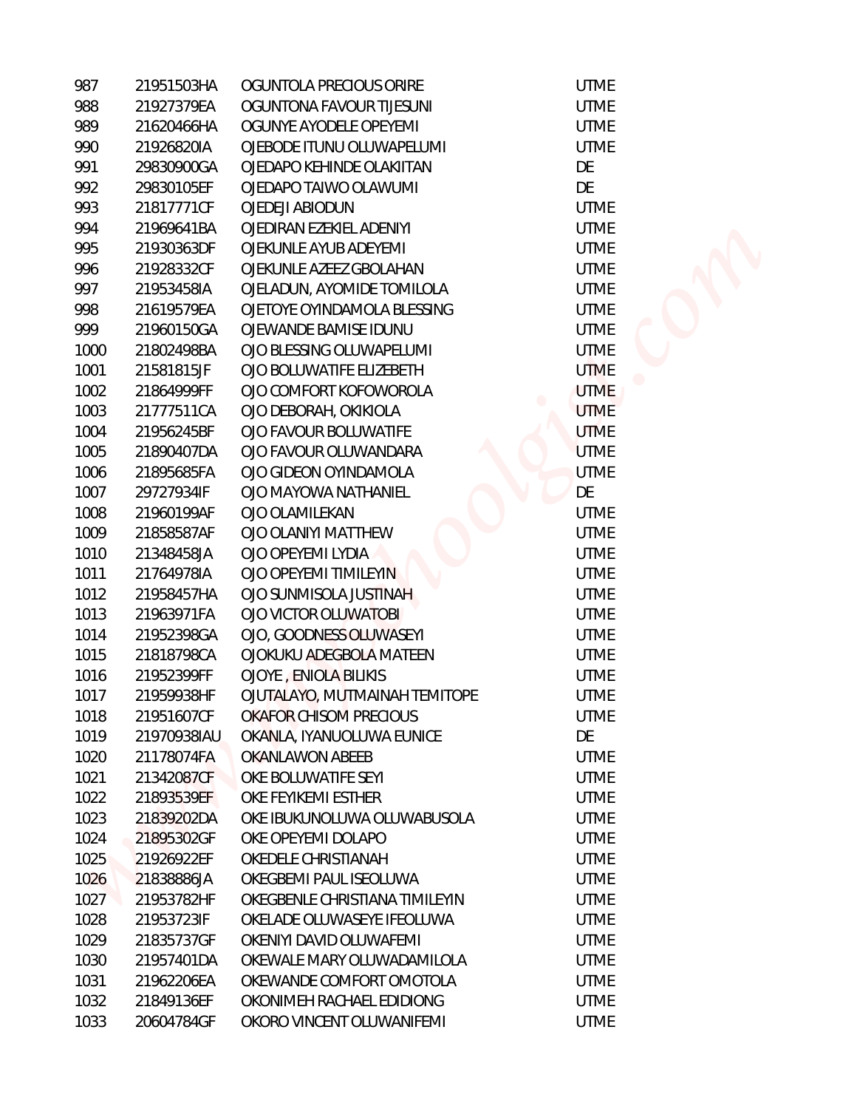| 987  | 21951503HA  | OGUNTOLA PRECIOUS ORIRE        |
|------|-------------|--------------------------------|
| 988  | 21927379EA  | OGUNTONA FAVOUR TIJESUNI       |
| 989  | 21620466HA  | OGUNYE AYODELE OPEYEMI         |
| 990  | 21926820IA  | OJEBODE ITUNU OLUWAPELUMI      |
| 991  | 29830900GA  | OJEDAPO KEHINDE OLAKIITAN      |
| 992  | 29830105EF  | OJEDAPO TAIWO OLAWUMI          |
| 993  | 21817771CF  | OJEDEJI ABIODUN                |
| 994  | 21969641BA  | OJEDIRAN EZEKIEL ADENIYI       |
| 995  | 21930363DF  | OJEKUNLE AYUB ADEYEMI          |
| 996  | 21928332CF  | OJEKUNLE AZEEZ GBOLAHAN        |
| 997  | 21953458IA  | OJELADUN, AYOMIDE TOMILOLA     |
| 998  | 21619579EA  | OJETOYE OYINDAMOLA BLESSING    |
| 999  | 21960150GA  | OJEWANDE BAMISE IDUNU          |
| 1000 | 21802498BA  | OJO BLESSING OLUWAPELUMI       |
| 1001 | 21581815JF  | OJO BOLUWATIFE ELIZEBETH       |
| 1002 | 21864999FF  | OJO COMFORT KOFOWOROLA         |
| 1003 | 21777511CA  | OJO DEBORAH, OKIKIOLA          |
| 1004 | 21956245BF  | OJO FAVOUR BOLUWATIFE          |
| 1005 | 21890407DA  | OJO FAVOUR OLUWANDARA          |
| 1006 | 21895685FA  | OJO GIDEON OYINDAMOLA          |
| 1007 | 29727934IF  | OJO MAYOWA NATHANIEL           |
| 1008 | 21960199AF  | OJO OLAMILEKAN                 |
| 1009 | 21858587AF  | OJO OLANIYI MATTHEW            |
| 1010 | 21348458JA  | OJO OPEYEMI LYDIA              |
| 1011 | 21764978IA  | OJO OPEYEMI TIMILEYIN          |
| 1012 | 21958457HA  | OJO SUNMISOLA JUSTINAH         |
| 1013 | 21963971FA  | OJO VICTOR OLUWATOBI           |
| 1014 | 21952398GA  | OJO, GOODNESS OLUWASEYI        |
| 1015 | 21818798CA  | OJOKUKU ADEGBOLA MATEEN        |
| 1016 | 21952399FF  | <b>OJOYE, ENIOLA BILIKIS</b>   |
| 1017 | 21959938HF  | OJUTALAYO, MUTMAINAH TEMITOPE  |
| 1018 | 21951607CF  | OKAFOR CHISOM PRECIOUS         |
| 1019 | 21970938IAU | OKANLA, IYANUOLUWA EUNICE      |
| 1020 | 21178074FA  | OKANLAWON ABEEB                |
| 1021 | 21342087CF  | OKE BOLUWATIFE SEYI            |
| 1022 | 21893539EF  | OKE FEYIKEMI ESTHER            |
| 1023 | 21839202DA  | OKE IBUKUNOLUWA OLUWABUSOLA    |
| 1024 | 21895302GF  | OKE OPEYEMI DOLAPO             |
| 1025 | 21926922EF  | OKEDELE CHRISTIANAH            |
| 1026 | 21838886JA  | OKEGBEMI PAUL ISEOLUWA         |
| 1027 | 21953782HF  | OKEGBENLE CHRISTIANA TIMILEYIN |
| 1028 | 21953723IF  | OKELADE OLUWASEYE IFEOLUWA     |
| 1029 | 21835737GF  | OKENIYI DAVID OLUWAFEMI        |
| 1030 | 21957401DA  | OKEWALE MARY OLUWADAMILOLA     |
| 1031 | 21962206EA  | OKEWANDE COMFORT OMOTOLA       |
| 1032 | 21849136EF  | OKONIMEH RACHAEL EDIDIONG      |
| 1033 | 20604784GF  | OKORO VINCENT OLUWANIFEMI      |

**UTME UTME UTME UTME** DE DE **UTME UTME UTME UTME UTME UTME UTME UTME UTME UTME UTME UTME UTME UTME** DE **UTME UTME UTME UTME UTME UTME UTME UTME UTME UTME UTME** DE **UTME UTME UTME UTME UTME UTME UTME UTME UTME UTME UTME UTME UTME UTME**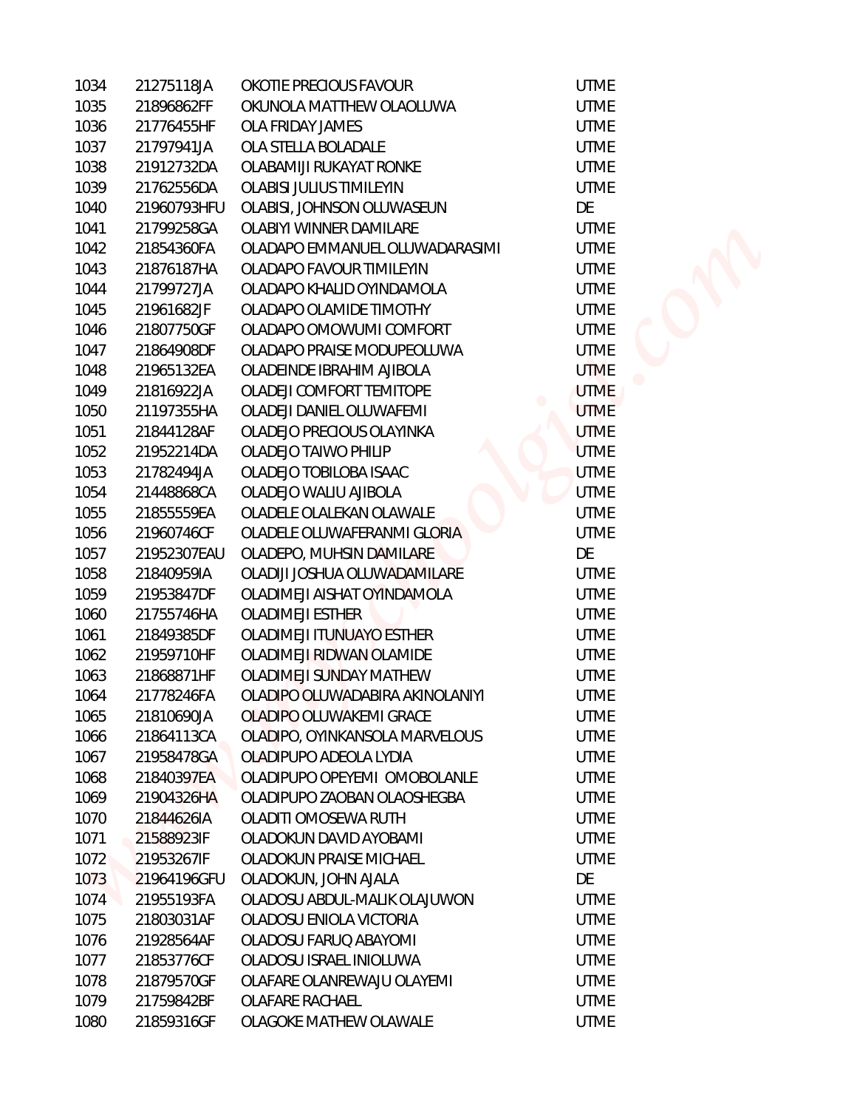| 1034 | 21275118JA  | OKOTIE PRECIOUS FAVOUR          | <b>UTME</b> |
|------|-------------|---------------------------------|-------------|
| 1035 | 21896862FF  | OKUNOLA MATTHEW OLAOLUWA        | <b>UTME</b> |
| 1036 | 21776455HF  | <b>OLA FRIDAY JAMES</b>         | <b>UTME</b> |
| 1037 | 21797941JA  | OLA STELLA BOLADALE             | <b>UTME</b> |
| 1038 | 21912732DA  | OLABAMIJI RUKAYAT RONKE         | <b>UTME</b> |
| 1039 | 21762556DA  | <b>OLABISI JULIUS TIMILEYIN</b> | <b>UTME</b> |
| 1040 | 21960793HFU | OLABISI, JOHNSON OLUWASEUN      | DE          |
| 1041 | 21799258GA  | <b>OLABIYI WINNER DAMILARE</b>  | <b>UTME</b> |
| 1042 | 21854360FA  | OLADAPO EMMANUEL OLUWADARASIMI  | <b>UTME</b> |
| 1043 | 21876187HA  | OLADAPO FAVOUR TIMILEYIN        | <b>UTME</b> |
| 1044 | 21799727JA  | OLADAPO KHALID OYINDAMOLA       | <b>UTME</b> |
| 1045 | 21961682JF  | OLADAPO OLAMIDE TIMOTHY         | <b>UTME</b> |
| 1046 | 21807750GF  | OLADAPO OMOWUMI COMFORT         | <b>UTME</b> |
| 1047 | 21864908DF  | OLADAPO PRAISE MODUPEOLUWA      | <b>UTME</b> |
| 1048 | 21965132EA  | OLADEINDE IBRAHIM AJIBOLA       | <b>UTME</b> |
| 1049 | 21816922JA  | OLADEJI COMFORT TEMITOPE        | <b>UTME</b> |
| 1050 | 21197355HA  | OLADEJI DANIEL OLUWAFEMI        | <b>UTME</b> |
| 1051 | 21844128AF  | OLADEJO PRECIOUS OLAYINKA       | <b>UTME</b> |
| 1052 | 21952214DA  | OLADEJO TAIWO PHILIP            | <b>UTME</b> |
| 1053 | 21782494JA  | OLADEJO TOBILOBA ISAAC          | <b>UTME</b> |
| 1054 | 21448868CA  | OLADEJO WALIU AJIBOLA           | <b>UTME</b> |
| 1055 | 21855559EA  | OLADELE OLALEKAN OLAWALE        | <b>UTME</b> |
| 1056 | 21960746CF  | OLADELE OLUWAFERANMI GLORIA     | <b>UTME</b> |
| 1057 | 21952307EAU | OLADEPO, MUHSIN DAMILARE        | DE          |
| 1058 | 21840959IA  | OLADIJI JOSHUA OLUWADAMILARE    | <b>UTME</b> |
| 1059 | 21953847DF  | OLADIMEJI AISHAT OYINDAMOLA     | <b>UTME</b> |
| 1060 | 21755746HA  | <b>OLADIMEJI ESTHER</b>         | <b>UTME</b> |
| 1061 | 21849385DF  | OLADIMEJI ITUNUAYO ESTHER       | <b>UTME</b> |
| 1062 | 21959710HF  | OLADIMEJI RIDWAN OLAMIDE        | <b>UTME</b> |
| 1063 | 21868871HF  | OLADIMEJI SUNDAY MATHEW         | <b>UTME</b> |
| 1064 | 21778246FA  | OLADIPO OLUWADABIRA AKINOLANIYI | <b>UTME</b> |
| 1065 | 21810690JA  | OLADIPO OLUWAKEMI GRACE         | <b>UTME</b> |
| 1066 | 21864113CA  | OLADIPO, OYINKANSOLA MARVELOUS  | <b>UTME</b> |
| 1067 | 21958478GA  | OLADIPUPO ADEOLA LYDIA          | <b>UTME</b> |
| 1068 | 21840397EA  | OLADIPUPO OPEYEMI OMOBOLANLE    | <b>UTME</b> |
| 1069 | 21904326HA  | OLADIPUPO ZAOBAN OLAOSHEGBA     | <b>UTME</b> |
| 1070 | 21844626IA  | OLADITI OMOSEWA RUTH            | <b>UTME</b> |
| 1071 | 21588923IF  | OLADOKUN DAVID AYOBAMI          | <b>UTME</b> |
| 1072 | 21953267IF  | OLADOKUN PRAISE MICHAEL         | <b>UTME</b> |
| 1073 | 21964196GFU | OLADOKUN, JOHN AJALA            | DE          |
| 1074 | 21955193FA  | OLADOSU ABDUL-MALIK OLAJUWON    | <b>UTME</b> |
| 1075 | 21803031AF  | OLADOSU ENIOLA VICTORIA         | <b>UTME</b> |
| 1076 | 21928564AF  | OLADOSU FARUQ ABAYOMI           | <b>UTME</b> |
| 1077 | 21853776CF  | OLADOSU ISRAEL INIOLUWA         | <b>UTME</b> |
| 1078 | 21879570GF  | OLAFARE OLANREWAJU OLAYEMI      | <b>UTME</b> |
| 1079 | 21759842BF  | <b>OLAFARE RACHAEL</b>          | <b>UTME</b> |
| 1080 | 21859316GF  | OLAGOKE MATHEW OLAWALE          | <b>UTME</b> |

**UTME UTME UTME UTME UTME** DE **UTME UTME UTME UTME UTME UTME** UTME **UTME UTME UTME UTME UTME UTME UTME UTME UTME** DE **UTME UTME UTME UTME UTME UTME UTME UTME UTME UTME UTME UTME UTME UTME UTME** DE **UTME UTME UTME UTME UTME**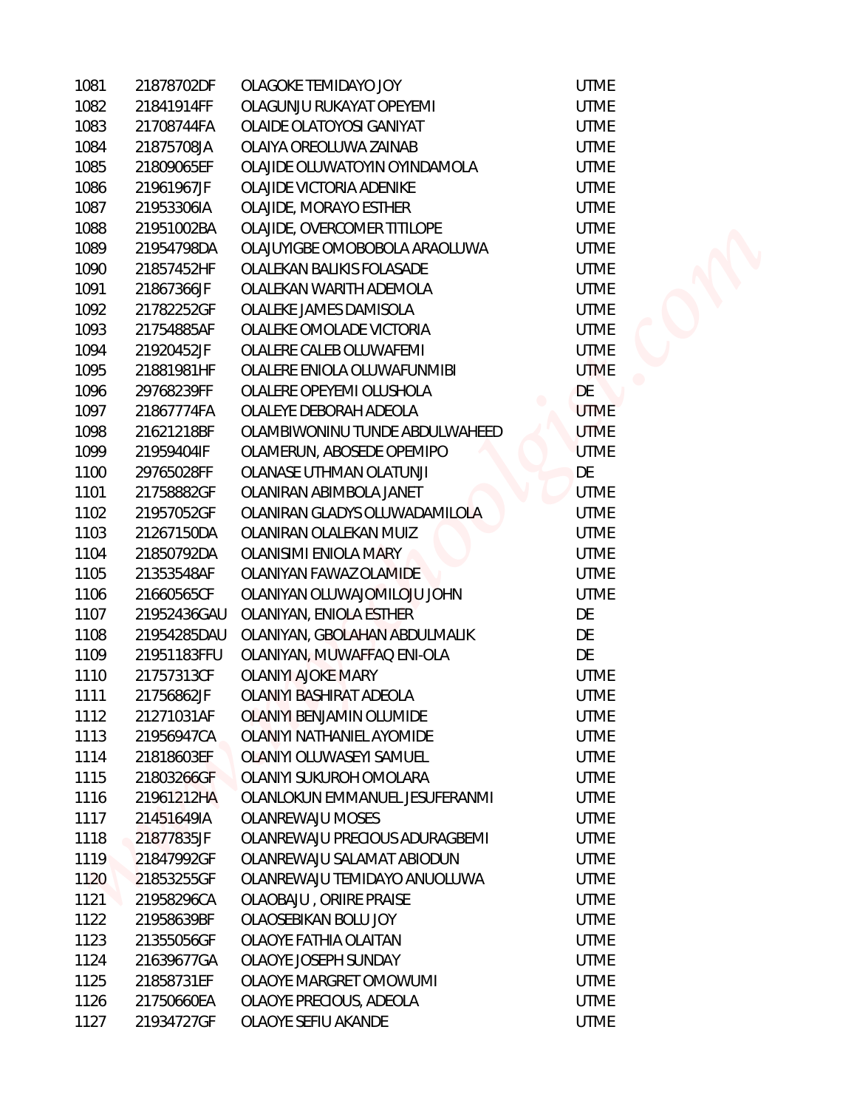| 1081 | 21878702DF  | OLAGOKE TEMIDAYO JOY             | <b>UTME</b> |
|------|-------------|----------------------------------|-------------|
| 1082 | 21841914FF  | OLAGUNJU RUKAYAT OPEYEMI         | <b>UTME</b> |
| 1083 | 21708744FA  | OLAIDE OLATOYOSI GANIYAT         | <b>UTME</b> |
| 1084 | 21875708JA  | OLAIYA OREOLUWA ZAINAB           | <b>UTME</b> |
| 1085 | 21809065EF  | OLAJIDE OLUWATOYIN OYINDAMOLA    | <b>UTME</b> |
| 1086 | 21961967JF  | OLAJIDE VICTORIA ADENIKE         | <b>UTME</b> |
| 1087 | 21953306IA  | OLAJIDE, MORAYO ESTHER           | <b>UTME</b> |
| 1088 | 21951002BA  | OLAJIDE, OVERCOMER TITILOPE      | <b>UTME</b> |
| 1089 | 21954798DA  | OLAJUYIGBE OMOBOBOLA ARAOLUWA    | <b>UTME</b> |
| 1090 | 21857452HF  | OLALEKAN BALIKIS FOLASADE        | <b>UTME</b> |
| 1091 | 21867366JF  | OLALEKAN WARITH ADEMOLA          | <b>UTME</b> |
| 1092 | 21782252GF  | OLALEKE JAMES DAMISOLA           | <b>UTME</b> |
| 1093 | 21754885AF  | OLALEKE OMOLADE VICTORIA         | <b>UTME</b> |
| 1094 | 21920452JF  | OLALERE CALEB OLUWAFEMI          | <b>UTME</b> |
| 1095 | 21881981HF  | OLALERE ENIOLA OLUWAFUNMIBI      | <b>UTME</b> |
| 1096 | 29768239FF  | OLALERE OPEYEMI OLUSHOLA         | DE          |
| 1097 | 21867774FA  | OLALEYE DEBORAH ADEOLA           | <b>UTME</b> |
| 1098 | 21621218BF  | OLAMBIWONINU TUNDE ABDULWAHEED   | <b>UTME</b> |
| 1099 | 21959404IF  | OLAMERUN, ABOSEDE OPEMIPO        | <b>UTME</b> |
| 1100 | 29765028FF  | <b>OLANASE UTHMAN OLATUNJI</b>   | DE          |
| 1101 | 21758882GF  | OLANIRAN ABIMBOLA JANET          | <b>UTME</b> |
| 1102 | 21957052GF  | OLANIRAN GLADYS OLUWADAMILOLA    | <b>UTME</b> |
| 1103 | 21267150DA  | OLANIRAN OLALEKAN MUIZ           | <b>UTME</b> |
| 1104 | 21850792DA  | OLANISIMI ENIOLA MARY            | <b>UTME</b> |
| 1105 | 21353548AF  | OLANIYAN FAWAZ OLAMIDE           | <b>UTME</b> |
| 1106 | 21660565CF  | OLANIYAN OLUWAJOMILOJU JOHN      | <b>UTME</b> |
| 1107 | 21952436GAU | OLANIYAN, ENIOLA ESTHER          | DE          |
| 1108 | 21954285DAU | OLANIYAN, GBOLAHAN ABDULMALIK    | DE          |
| 1109 | 21951183FFU | OLANIYAN, MUWAFFAQ ENI-OLA       | DE          |
| 1110 | 21757313CF  | <b>OLANIYI AJOKE MARY</b>        | <b>UTME</b> |
| 1111 | 21756862JF  | OLANIYI BASHIRAT ADEOLA          | <b>UTME</b> |
| 1112 | 21271031AF  | OLANIYI BENJAMIN OLUMIDE         | <b>UTME</b> |
| 1113 | 21956947CA  | <b>OLANIYI NATHANIEL AYOMIDE</b> | <b>UTME</b> |
| 1114 | 21818603EF  | OLANIYI OLUWASEYI SAMUEL         | <b>UTME</b> |
| 1115 | 21803266GF  | OLANIYI SUKUROH OMOLARA          | <b>UTME</b> |
| 1116 | 21961212HA  | OLANLOKUN EMMANUEL JESUFERANMI   | <b>UTME</b> |
| 1117 | 21451649IA  | <b>OLANREWAJU MOSES</b>          | <b>UTME</b> |
| 1118 | 21877835JF  | OLANREWAJU PRECIOUS ADURAGBEMI   | <b>UTME</b> |
| 1119 | 21847992GF  | OLANREWAJU SALAMAT ABIODUN       | <b>UTME</b> |
| 1120 | 21853255GF  | OLANREWAJU TEMIDAYO ANUOLUWA     | <b>UTME</b> |
| 1121 | 21958296CA  | OLAOBAJU, ORIIRE PRAISE          | <b>UTME</b> |
| 1122 | 21958639BF  | OLAOSEBIKAN BOLU JOY             | <b>UTME</b> |
| 1123 | 21355056GF  | OLAOYE FATHIA OLAITAN            | <b>UTME</b> |
| 1124 | 21639677GA  | OLAOYE JOSEPH SUNDAY             | <b>UTME</b> |
| 1125 | 21858731EF  | OLAOYE MARGRET OMOWUMI           | <b>UTME</b> |
| 1126 | 21750660EA  | OLAOYE PRECIOUS, ADEOLA          | <b>UTME</b> |
| 1127 | 21934727GF  | OLAOYE SEFIU AKANDE              | <b>UTME</b> |

TME TME TME TME TME TME TME **TME** TME TME TME<br>E<br>TME **TME** TME<br>E TME TME TME **TME** TME TME E<br>E<br>E TME TME **TME** TME TME **TME** TME TME **TME** TME **TME TME** TME TME TME TME **TME**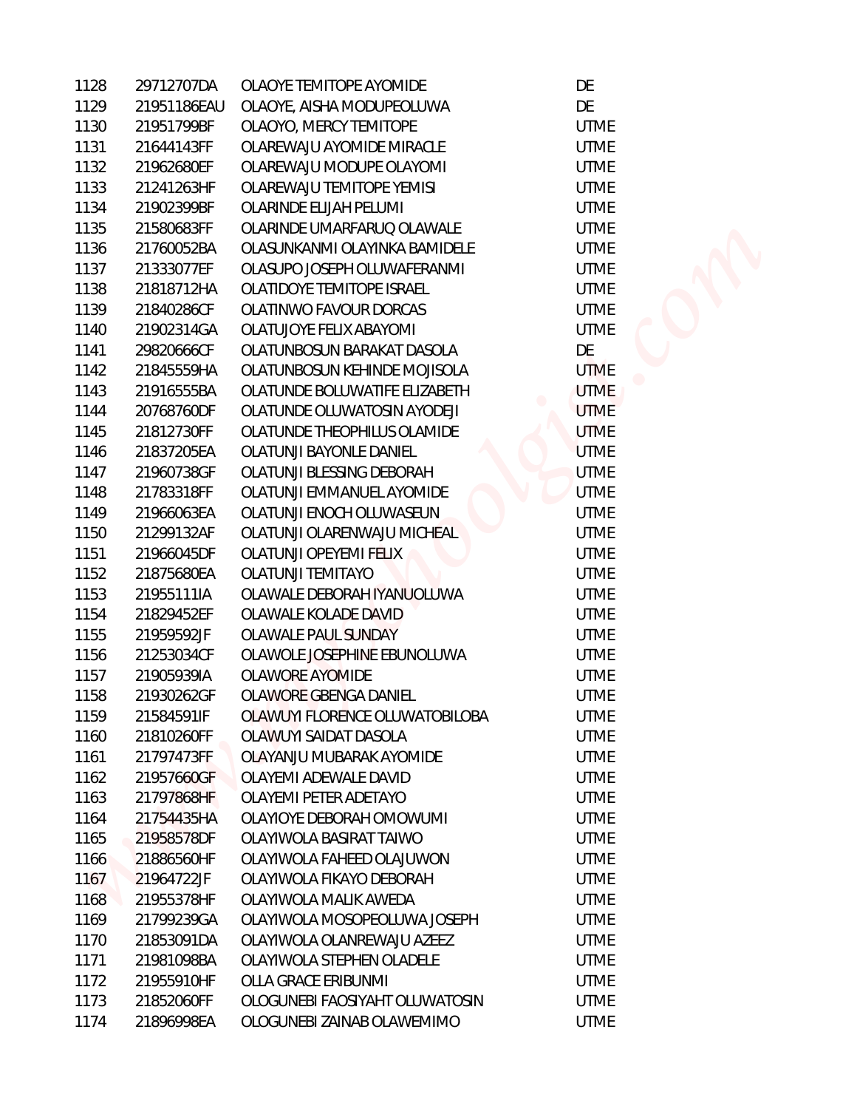| 1128 | 29712707DA  | OLAOYE TEMITOPE AYOMIDE        | DE          |
|------|-------------|--------------------------------|-------------|
| 1129 | 21951186EAU | OLAOYE, AISHA MODUPEOLUWA      | DE          |
| 1130 | 21951799BF  | OLAOYO, MERCY TEMITOPE         | <b>UTME</b> |
| 1131 | 21644143FF  | OLAREWAJU AYOMIDE MIRACLE      | <b>UTME</b> |
| 1132 | 21962680EF  | OLAREWAJU MODUPE OLAYOMI       | <b>UTME</b> |
| 1133 | 21241263HF  | OLAREWAJU TEMITOPE YEMISI      | <b>UTME</b> |
| 1134 | 21902399BF  | OLARINDE ELIJAH PELUMI         | <b>UTME</b> |
| 1135 | 21580683FF  | OLARINDE UMARFARUQ OLAWALE     | <b>UTME</b> |
| 1136 | 21760052BA  | OLASUNKANMI OLAYINKA BAMIDELE  | <b>UTME</b> |
| 1137 | 21333077EF  | OLASUPO JOSEPH OLUWAFERANMI    | <b>UTME</b> |
| 1138 | 21818712HA  | OLATIDOYE TEMITOPE ISRAEL      | <b>UTME</b> |
| 1139 | 21840286CF  | OLATINWO FAVOUR DORCAS         | <b>UTME</b> |
| 1140 | 21902314GA  | OLATUJOYE FELIX ABAYOMI        | <b>UTME</b> |
| 1141 | 29820666CF  | OLATUNBOSUN BARAKAT DASOLA     | DE          |
| 1142 | 21845559HA  | OLATUNBOSUN KEHINDE MOJISOLA   | <b>UTME</b> |
| 1143 | 21916555BA  | OLATUNDE BOLUWATIFE ELIZABETH  | <b>UTME</b> |
| 1144 | 20768760DF  | OLATUNDE OLUWATOSIN AYODEJI    | <b>UTME</b> |
| 1145 | 21812730FF  | OLATUNDE THEOPHILUS OLAMIDE    | <b>UTME</b> |
| 1146 | 21837205EA  | OLATUNJI BAYONLE DANIEL        | <b>UTME</b> |
| 1147 | 21960738GF  | OLATUNJI BLESSING DEBORAH      | <b>UTME</b> |
| 1148 | 21783318FF  | OLATUNJI EMMANUEL AYOMIDE      | <b>UTME</b> |
| 1149 | 21966063EA  | OLATUNJI ENOCH OLUWASEUN       | <b>UTME</b> |
| 1150 | 21299132AF  | OLATUNJI OLARENWAJU MICHEAL    | <b>UTME</b> |
| 1151 | 21966045DF  | <b>OLATUNJI OPEYEMI FELIX</b>  | <b>UTME</b> |
| 1152 | 21875680EA  | <b>OLATUNJI TEMITAYO</b>       | <b>UTME</b> |
| 1153 | 21955111IA  | OLAWALE DEBORAH IYANUOLUWA     | <b>UTME</b> |
| 1154 | 21829452EF  | OLAWALE KOLADE DAVID           | <b>UTME</b> |
| 1155 | 21959592JF  | OLAWALE PAUL SUNDAY            | <b>UTME</b> |
| 1156 | 21253034CF  | OLAWOLE JOSEPHINE EBUNOLUWA    | <b>UTME</b> |
| 1157 | 21905939IA  | OLAWORE AYOMIDE                | <b>UTME</b> |
| 1158 | 21930262GF  | OLAWORE GBENGA DANIEL          | <b>UTME</b> |
| 1159 | 21584591IF  | OLAWUYI FLORENCE OLUWATOBILOBA | <b>UTME</b> |
| 1160 | 21810260FF  | OLAWUYI SAIDAT DASOLA          | <b>UTME</b> |
| 1161 | 21797473FF  | OLAYANJU MUBARAK AYOMIDE       | <b>UTME</b> |
| 1162 | 21957660GF  | OLAYEMI ADEWALE DAVID          | <b>UTME</b> |
| 1163 | 21797868HF  | OLAYEMI PETER ADETAYO          | <b>UTME</b> |
| 1164 | 21754435HA  | OLAYIOYE DEBORAH OMOWUMI       | <b>UTME</b> |
| 1165 | 21958578DF  | OLAYIWOLA BASIRAT TAIWO        | <b>UTME</b> |
| 1166 | 21886560HF  | OLAYIWOLA FAHEED OLAJUWON      | <b>UTME</b> |
| 1167 | 21964722JF  | OLAYIWOLA FIKAYO DEBORAH       | <b>UTME</b> |
| 1168 | 21955378HF  | OLAYIWOLA MALIK AWEDA          | <b>UTME</b> |
| 1169 | 21799239GA  | OLAYIWOLA MOSOPEOLUWA JOSEPH   | <b>UTME</b> |
| 1170 | 21853091DA  | OLAYIWOLA OLANREWAJU AZEEZ     | <b>UTME</b> |
| 1171 | 21981098BA  | OLAYIWOLA STEPHEN OLADELE      | <b>UTME</b> |
| 1172 | 21955910HF  | OLLA GRACE ERIBUNMI            | <b>UTME</b> |
| 1173 | 21852060FF  | OLOGUNEBI FAOSIYAHT OLUWATOSIN | <b>UTME</b> |
| 1174 | 21896998EA  | OLOGUNEBI ZAINAB OLAWEMIMO     | <b>UTME</b> |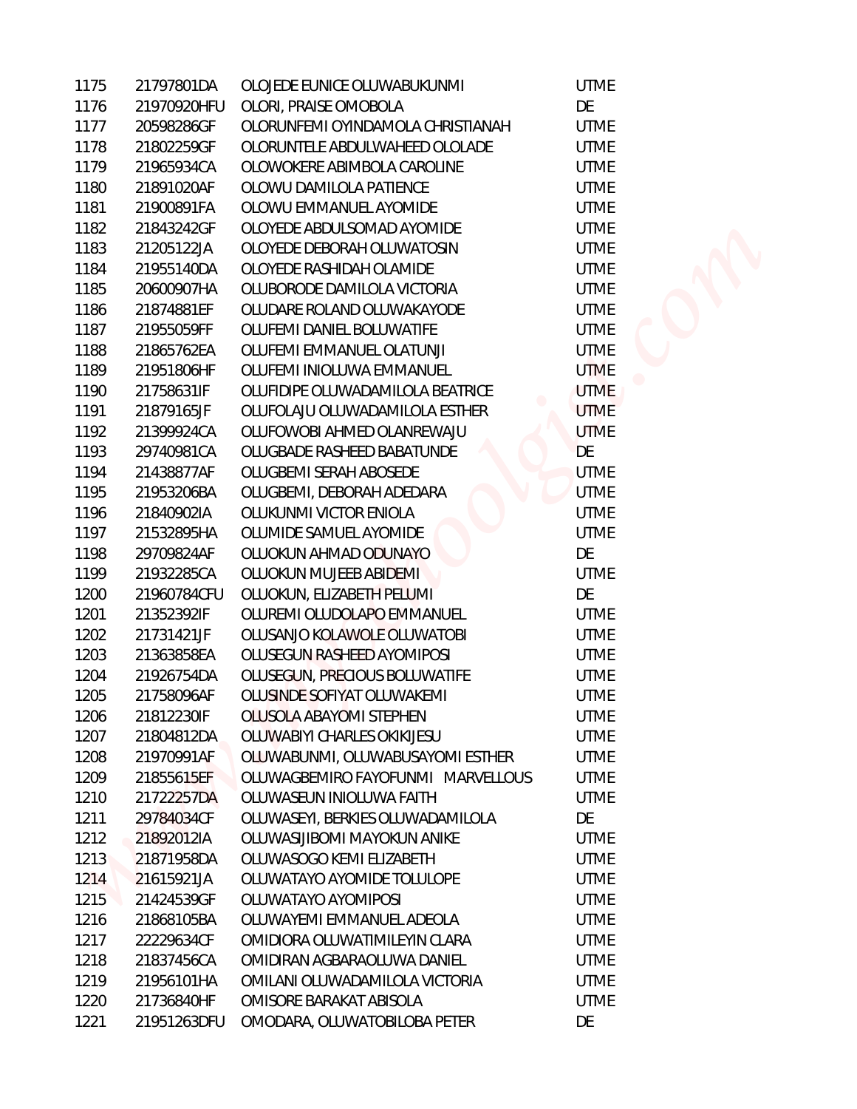| 1175 | 21797801DA  | OLOJEDE EUNICE OLUWABUKUNMI       | <b>UTME</b> |
|------|-------------|-----------------------------------|-------------|
| 1176 | 21970920HFU | OLORI, PRAISE OMOBOLA             | DE          |
| 1177 | 20598286GF  | OLORUNFEMI OYINDAMOLA CHRISTIANAH | <b>UTME</b> |
| 1178 | 21802259GF  | OLORUNTELE ABDULWAHEED OLOLADE    | <b>UTME</b> |
| 1179 | 21965934CA  | OLOWOKERE ABIMBOLA CAROLINE       | <b>UTME</b> |
| 1180 | 21891020AF  | OLOWU DAMILOLA PATIENCE           | <b>UTME</b> |
| 1181 | 21900891FA  | OLOWU EMMANUEL AYOMIDE            | <b>UTME</b> |
| 1182 | 21843242GF  | OLOYEDE ABDULSOMAD AYOMIDE        | <b>UTME</b> |
| 1183 | 21205122JA  | OLOYEDE DEBORAH OLUWATOSIN        | <b>UTME</b> |
| 1184 | 21955140DA  | OLOYEDE RASHIDAH OLAMIDE          | <b>UTME</b> |
| 1185 | 20600907HA  | OLUBORODE DAMILOLA VICTORIA       | <b>UTME</b> |
| 1186 | 21874881EF  | OLUDARE ROLAND OLUWAKAYODE        | <b>UTME</b> |
| 1187 | 21955059FF  | OLUFEMI DANIEL BOLUWATIFE         | <b>UTME</b> |
| 1188 | 21865762EA  | OLUFEMI EMMANUEL OLATUNJI         | <b>UTME</b> |
| 1189 | 21951806HF  | OLUFEMI INIOLUWA EMMANUEL         | <b>UTME</b> |
| 1190 | 21758631IF  | OLUFIDIPE OLUWADAMILOLA BEATRICE  | <b>UTME</b> |
| 1191 | 21879165JF  | OLUFOLAJU OLUWADAMILOLA ESTHER    | <b>UTME</b> |
| 1192 | 21399924CA  | OLUFOWOBI AHMED OLANREWAJU        | <b>UTME</b> |
| 1193 | 29740981CA  | OLUGBADE RASHEED BABATUNDE        | DE          |
| 1194 | 21438877AF  | OLUGBEMI SERAH ABOSEDE            | <b>UTME</b> |
| 1195 | 21953206BA  | OLUGBEMI, DEBORAH ADEDARA         | <b>UTME</b> |
| 1196 | 21840902IA  | OLUKUNMI VICTOR ENIOLA            | <b>UTME</b> |
| 1197 | 21532895HA  | OLUMIDE SAMUEL AYOMIDE            | <b>UTME</b> |
| 1198 | 29709824AF  | OLUOKUN AHMAD ODUNAYO             | DE          |
| 1199 | 21932285CA  | OLUOKUN MUJEEB ABIDEMI            | <b>UTME</b> |
| 1200 | 21960784CFU | OLUOKUN, ELIZABETH PELUMI         | DE          |
| 1201 | 21352392IF  | OLUREMI OLUDOLAPO EMMANUEL        | <b>UTME</b> |
| 1202 | 21731421JF  | OLUSANJO KOLAWOLE OLUWATOBI       | <b>UTME</b> |
| 1203 | 21363858EA  | OLUSEGUN RASHEED AYOMIPOSI        | <b>UTME</b> |
| 1204 | 21926754DA  | OLUSEGUN, PRECIOUS BOLUWATIFE     | <b>UTME</b> |
| 1205 | 21758096AF  | OLUSINDE SOFIYAT OLUWAKEMI        | <b>UTME</b> |
| 1206 | 21812230IF  | <b>OLUSOLA ABAYOMI STEPHEN</b>    | <b>UTME</b> |
| 1207 | 21804812DA  | OLUWABIYI CHARLES OKIKIJESU       | <b>UTME</b> |
| 1208 | 21970991AF  | OLUWABUNMI, OLUWABUSAYOMI ESTHER  | <b>UTME</b> |
| 1209 | 21855615EF  | OLUWAGBEMIRO FAYOFUNMI MARVELLOUS | <b>UTME</b> |
| 1210 | 21722257DA  | OLUWASEUN INIOLUWA FAITH          | <b>UTME</b> |
| 1211 | 29784034CF  | OLUWASEYI, BERKIES OLUWADAMILOLA  | DE          |
| 1212 | 21892012IA  | OLUWASIJIBOMI MAYOKUN ANIKE       | <b>UTME</b> |
| 1213 | 21871958DA  | OLUWASOGO KEMI ELIZABETH          | <b>UTME</b> |
| 1214 | 21615921JA  | OLUWATAYO AYOMIDE TOLULOPE        | <b>UTME</b> |
| 1215 | 21424539GF  | OLUWATAYO AYOMIPOSI               | <b>UTME</b> |
| 1216 | 21868105BA  | OLUWAYEMI EMMANUEL ADEOLA         | <b>UTME</b> |
| 1217 | 22229634CF  | OMIDIORA OLUWATIMILEYIN CLARA     | <b>UTME</b> |
| 1218 | 21837456CA  | OMIDIRAN AGBARAOLUWA DANIEL       | <b>UTME</b> |
| 1219 | 21956101HA  | OMILANI OLUWADAMILOLA VICTORIA    | <b>UTME</b> |
| 1220 | 21736840HF  | OMISORE BARAKAT ABISOLA           | <b>UTME</b> |
| 1221 | 21951263DFU | OMODARA, OLUWATOBILOBA PETER      | DE          |

E **JTME JTME JTME JTME ITME JTME JTME JTME JTME JTME JTME TME TME ITME TME JTME** ΙĒ **JTME ITME JTME JTME** ΙĒ **JTME** ΙĒ **JTME JTME ITME JTME JTME JTME JTME JTME JTME JTME** ΙĒ **JTME JTME JTME JTME JTME ITME JTME ITME**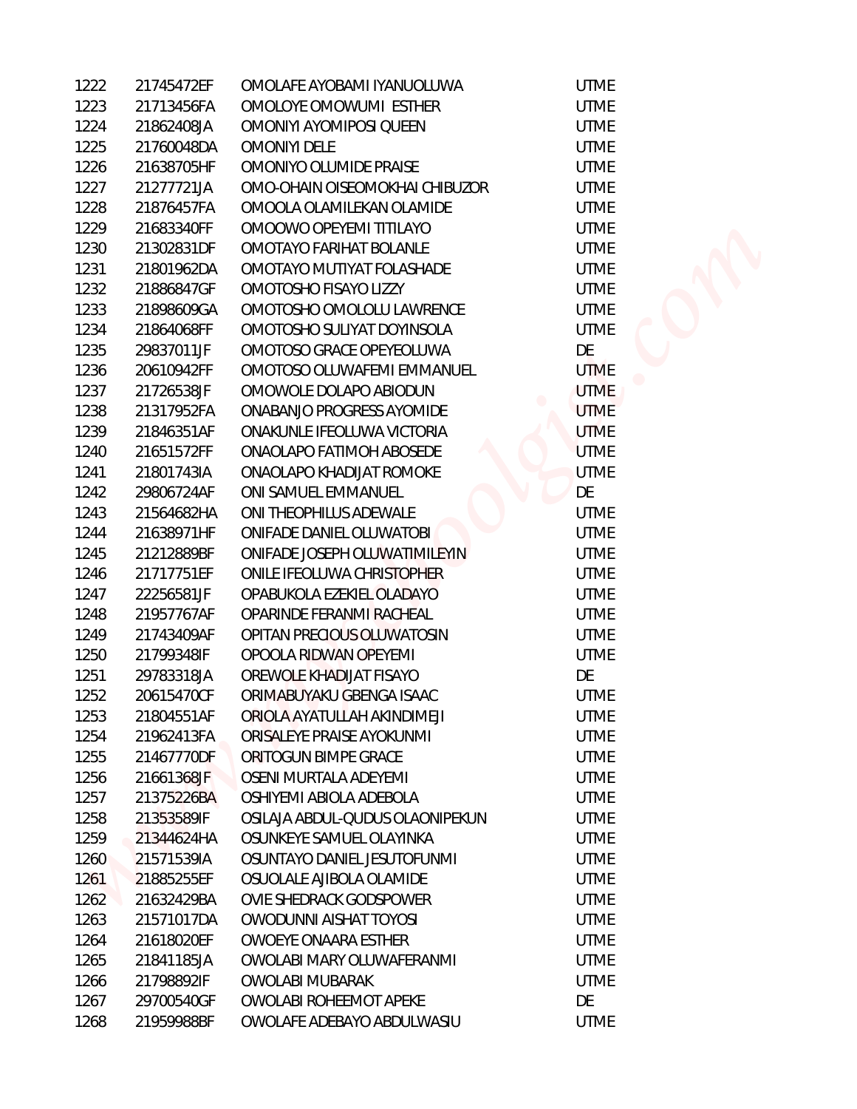| 1222 | 21745472EF | OMOLAFE AYOBAMI IYANUOLUWA      | <b>UTME</b> |
|------|------------|---------------------------------|-------------|
| 1223 | 21713456FA | OMOLOYE OMOWUMI ESTHER          | <b>UTME</b> |
| 1224 | 21862408JA | OMONIYI AYOMIPOSI QUEEN         | <b>UTME</b> |
| 1225 | 21760048DA | <b>OMONIYI DELE</b>             | <b>UTME</b> |
| 1226 | 21638705HF | OMONIYO OLUMIDE PRAISE          | <b>UTME</b> |
| 1227 | 21277721JA | OMO-OHAIN OISEOMOKHAI CHIBUZOR  | <b>UTME</b> |
| 1228 | 21876457FA | OMOOLA OLAMILEKAN OLAMIDE       | <b>UTME</b> |
| 1229 | 21683340FF | OMOOWO OPEYEMI TITILAYO         | <b>UTME</b> |
| 1230 | 21302831DF | OMOTAYO FARIHAT BOLANLE         | <b>UTME</b> |
| 1231 | 21801962DA | OMOTAYO MUTIYAT FOLASHADE       | <b>UTME</b> |
| 1232 | 21886847GF | OMOTOSHO FISAYO LIZZY           | <b>UTME</b> |
| 1233 | 21898609GA | OMOTOSHO OMOLOLU LAWRENCE       | <b>UTME</b> |
| 1234 | 21864068FF | OMOTOSHO SULIYAT DOYINSOLA      | <b>UTME</b> |
| 1235 | 29837011JF | OMOTOSO GRACE OPEYEOLUWA        | DE          |
| 1236 | 20610942FF | OMOTOSO OLUWAFEMI EMMANUEL      | <b>UTME</b> |
| 1237 | 21726538JF | OMOWOLE DOLAPO ABIODUN          | <b>UTME</b> |
| 1238 | 21317952FA | ONABANJO PROGRESS AYOMIDE       | <b>UTME</b> |
| 1239 | 21846351AF | ONAKUNLE IFEOLUWA VICTORIA      | <b>UTME</b> |
| 1240 | 21651572FF | ONAOLAPO FATIMOH ABOSEDE        | <b>UTME</b> |
| 1241 | 21801743IA | ONAOLAPO KHADIJAT ROMOKE        | <b>UTME</b> |
| 1242 | 29806724AF | ONI SAMUEL EMMANUEL             | DE          |
| 1243 | 21564682HA | ONI THEOPHILUS ADEWALE          | <b>UTME</b> |
| 1244 | 21638971HF | ONIFADE DANIEL OLUWATOBI        | <b>UTME</b> |
| 1245 | 21212889BF | ONIFADE JOSEPH OLUWATIMILEYIN   | <b>UTME</b> |
| 1246 | 21717751EF | ONILE IFEOLUWA CHRISTOPHER      | <b>UTME</b> |
| 1247 | 22256581JF | OPABUKOLA EZEKIEL OLADAYO       | <b>UTME</b> |
| 1248 | 21957767AF | OPARINDE FERANMI RACHEAL        | <b>UTME</b> |
| 1249 | 21743409AF | OPITAN PRECIOUS OLUWATOSIN      | <b>UTME</b> |
| 1250 | 21799348IF | OPOOLA RIDWAN OPEYEMI           | <b>UTME</b> |
| 1251 | 29783318JA | OREWOLE KHADIJAT FISAYO         | DE          |
| 1252 | 20615470CF | ORIMABUYAKU GBENGA ISAAC        | <b>UTME</b> |
| 1253 | 21804551AF | ORIOLA AYATULLAH AKINDIMEJI     | <b>UTME</b> |
| 1254 | 21962413FA | ORISALEYE PRAISE AYOKUNMI       | <b>UTME</b> |
| 1255 | 21467770DF | ORITOGUN BIMPE GRACE            | <b>UTME</b> |
| 1256 | 21661368JF | OSENI MURTALA ADEYEMI           | <b>UTME</b> |
| 1257 | 21375226BA | OSHIYEMI ABIOLA ADEBOLA         | <b>UTME</b> |
| 1258 | 21353589IF | OSILAJA ABDUL-QUDUS OLAONIPEKUN | <b>UTME</b> |
| 1259 | 21344624HA | OSUNKEYE SAMUEL OLAYINKA        | <b>UTME</b> |
| 1260 | 21571539IA | OSUNTAYO DANIEL JESUTOFUNMI     | <b>UTME</b> |
| 1261 | 21885255EF | OSUOLALE AJIBOLA OLAMIDE        | <b>UTME</b> |
| 1262 | 21632429BA | <b>OVIE SHEDRACK GODSPOWER</b>  | <b>UTME</b> |
| 1263 | 21571017DA | <b>OWODUNNI AISHAT TOYOSI</b>   | <b>UTME</b> |
| 1264 | 21618020EF | <b>OWOEYE ONAARA ESTHER</b>     | <b>UTME</b> |
| 1265 | 21841185JA | OWOLABI MARY OLUWAFERANMI       | <b>UTME</b> |
| 1266 | 21798892IF | <b>OWOLABI MUBARAK</b>          | <b>UTME</b> |
| 1267 | 29700540GF | OWOLABI ROHEEMOT APEKE          | DE          |
| 1268 | 21959988BF | OWOLAFE ADEBAYO ABDULWASIU      | <b>UTME</b> |

UTME **UTME** UTME UTME UTME UTME UTME UTME UTME UTME UTME DE UTME **UTME UTME** UTME UTME UTME DE UTME UTME UTME UTME UTME UTME UTME UTME DE UTME UTME UTME UTME UTME UTME UTME UTME UTME UTME UTME UTME UTME UTME UTME DE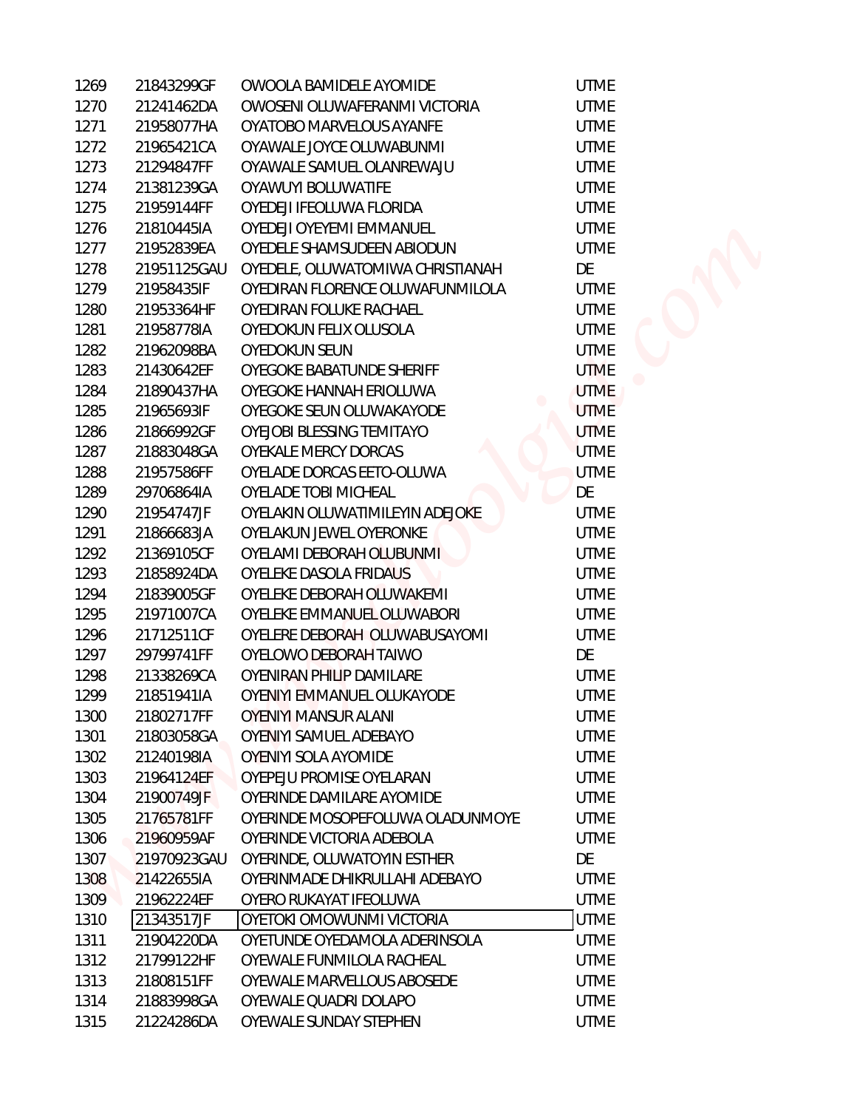| 1269         | 21843299GF               | OWOOLA BAMIDELE AYOMIDE                                    | <b>UTME</b>                |  |
|--------------|--------------------------|------------------------------------------------------------|----------------------------|--|
| 1270         | 21241462DA               | OWOSENI OLUWAFERANMI VICTORIA                              | <b>UTME</b>                |  |
| 1271         | 21958077HA               | OYATOBO MARVELOUS AYANFE                                   | <b>UTME</b>                |  |
| 1272         | 21965421CA               | OYAWALE JOYCE OLUWABUNMI                                   | <b>UTME</b>                |  |
| 1273         | 21294847FF               | OYAWALE SAMUEL OLANREWAJU                                  | <b>UTME</b>                |  |
| 1274         | 21381239GA               | OYAWUYI BOLUWATIFE                                         | <b>UTME</b>                |  |
| 1275         | 21959144FF               | OYEDEJI IFEOLUWA FLORIDA                                   | <b>UTME</b>                |  |
| 1276         | 21810445IA               | OYEDEJI OYEYEMI EMMANUEL                                   | <b>UTME</b>                |  |
| 1277         | 21952839EA               | OYEDELE SHAMSUDEEN ABIODUN                                 | <b>UTME</b>                |  |
| 1278         | 21951125GAU              | OYEDELE, OLUWATOMIWA CHRISTIANAH                           | DE                         |  |
| 1279         | 21958435IF               | OYEDIRAN FLORENCE OLUWAFUNMILOLA                           | <b>UTME</b>                |  |
| 1280         | 21953364HF               | OYEDIRAN FOLUKE RACHAEL                                    | <b>UTME</b>                |  |
| 1281         | 21958778IA               | OYEDOKUN FELIX OLUSOLA                                     | <b>UTME</b>                |  |
| 1282         | 21962098BA               | <b>OYEDOKUN SEUN</b>                                       | <b>UTME</b>                |  |
| 1283         | 21430642EF               | OYEGOKE BABATUNDE SHERIFF                                  | <b>UTME</b>                |  |
| 1284         | 21890437HA               | OYEGOKE HANNAH ERIOLUWA                                    | <b>UTME</b>                |  |
| 1285         | 21965693IF               | OYEGOKE SEUN OLUWAKAYODE                                   | <b>UTME</b>                |  |
| 1286         | 21866992GF               | OYEJOBI BLESSING TEMITAYO                                  | <b>UTME</b>                |  |
| 1287         | 21883048GA               | OYEKALE MERCY DORCAS                                       | <b>UTME</b>                |  |
| 1288         | 21957586FF               | OYELADE DORCAS EETO-OLUWA                                  | <b>UTME</b>                |  |
| 1289         | 29706864IA               | OYELADE TOBI MICHEAL                                       | DE                         |  |
| 1290         | 21954747JF               | OYELAKIN OLUWATIMILEYIN ADEJOKE                            | <b>UTME</b>                |  |
| 1291         | 21866683JA               | OYELAKUN JEWEL OYERONKE                                    | <b>UTME</b>                |  |
| 1292         | 21369105CF               | OYELAMI DEBORAH OLUBUNMI                                   | <b>UTME</b>                |  |
| 1293         | 21858924DA               | OYELEKE DASOLA FRIDAUS                                     | <b>UTME</b>                |  |
| 1294         | 21839005GF               | OYELEKE DEBORAH OLUWAKEMI                                  | <b>UTME</b>                |  |
| 1295         | 21971007CA               | OYELEKE EMMANUEL OLUWABORI                                 | <b>UTME</b>                |  |
| 1296         | 21712511CF               | OYELERE DEBORAH OLUWABUSAYOMI                              | <b>UTME</b>                |  |
| 1297         | 29799741FF               | OYELOWO DEBORAH TAIWO                                      | DE                         |  |
| 1298         | 21338269CA               | OYENIRAN PHILIP DAMILARE                                   | <b>UTME</b>                |  |
| 1299         | 21851941IA               | OYENIYI EMMANUEL OLUKAYODE                                 | <b>UTME</b>                |  |
| 1300         | 21802717FF               | <b>OYENIYI MANSUR ALANI</b>                                | <b>UTME</b>                |  |
| 1301         | 21803058GA               | OYENIYI SAMUEL ADEBAYO                                     | <b>UTME</b>                |  |
| 1302         | 21240198IA               | OYENIYI SOLA AYOMIDE                                       | <b>UTME</b>                |  |
| 1303         | 21964124EF               | OYEPEJU PROMISE OYELARAN                                   | <b>UTME</b>                |  |
| 1304         | 21900749JF               | OYERINDE DAMILARE AYOMIDE                                  | <b>UTME</b>                |  |
| 1305         | 21765781FF               | OYERINDE MOSOPEFOLUWA OLADUNMOYE                           | <b>UTME</b>                |  |
| 1306         | 21960959AF               | OYERINDE VICTORIA ADEBOLA                                  | <b>UTME</b>                |  |
| 1307         | 21970923GAU              | OYERINDE, OLUWATOYIN ESTHER                                | DE                         |  |
| 1308         | 21422655IA               | OYERINMADE DHIKRULLAHI ADEBAYO                             | <b>UTME</b>                |  |
| 1309         | 21962224EF               | OYERO RUKAYAT IFEOLUWA                                     | <b>UTME</b>                |  |
| 1310         | 21343517JF               | OYETOKI OMOWUNMI VICTORIA                                  | <b>UTME</b>                |  |
| 1311<br>1312 | 21904220DA<br>21799122HF | OYETUNDE OYEDAMOLA ADERINSOLA<br>OYEWALE FUNMILOLA RACHEAL | <b>UTME</b><br><b>UTME</b> |  |
| 1313         | 21808151FF               | OYEWALE MARVELLOUS ABOSEDE                                 | <b>UTME</b>                |  |
| 1314         | 21883998GA               | OYEWALE QUADRI DOLAPO                                      | <b>UTME</b>                |  |
| 1315         | 21224286DA               | OYEWALE SUNDAY STEPHEN                                     | <b>UTME</b>                |  |
|              |                          |                                                            |                            |  |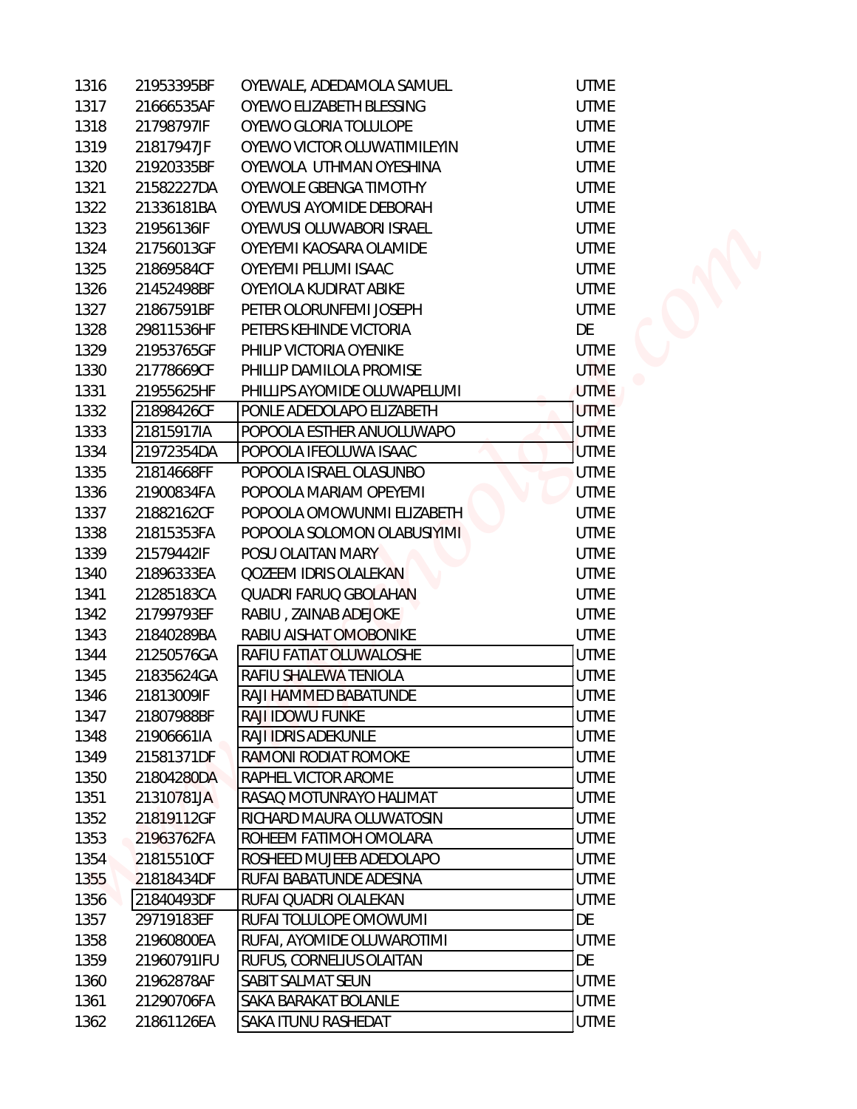| 1316 | 21953395BF  | OYEWALE, ADEDAMOLA SAMUEL    | <b>UTME</b> |  |
|------|-------------|------------------------------|-------------|--|
| 1317 | 21666535AF  | OYEWO ELIZABETH BLESSING     | <b>UTME</b> |  |
| 1318 | 21798797IF  | OYEWO GLORIA TOLULOPE        | <b>UTME</b> |  |
| 1319 | 21817947JF  | OYEWO VICTOR OLUWATIMILEYIN  | <b>UTME</b> |  |
| 1320 | 21920335BF  | OYEWOLA UTHMAN OYESHINA      | <b>UTME</b> |  |
| 1321 | 21582227DA  | OYEWOLE GBENGA TIMOTHY       | <b>UTME</b> |  |
| 1322 | 21336181BA  | OYEWUSI AYOMIDE DEBORAH      | <b>UTME</b> |  |
| 1323 | 21956136IF  | OYEWUSI OLUWABORI ISRAEL     | <b>UTME</b> |  |
| 1324 | 21756013GF  | OYEYEMI KAOSARA OLAMIDE      | <b>UTME</b> |  |
| 1325 | 21869584CF  | OYEYEMI PELUMI ISAAC         | <b>UTME</b> |  |
| 1326 | 21452498BF  | OYEYIOLA KUDIRAT ABIKE       | <b>UTME</b> |  |
| 1327 | 21867591BF  | PETER OLORUNFEMI JOSEPH      | <b>UTME</b> |  |
| 1328 | 29811536HF  | PETERS KEHINDE VICTORIA      | DE          |  |
| 1329 | 21953765GF  | PHILIP VICTORIA OYENIKE      | <b>UTME</b> |  |
| 1330 | 21778669CF  | PHILLIP DAMILOLA PROMISE     | <b>UTME</b> |  |
| 1331 | 21955625HF  | PHILLIPS AYOMIDE OLUWAPELUMI | <b>UTME</b> |  |
| 1332 | 21898426CF  | PONLE ADEDOLAPO ELIZABETH    | <b>UTME</b> |  |
| 1333 | 21815917IA  | POPOOLA ESTHER ANUOLUWAPO    | <b>UTME</b> |  |
| 1334 | 21972354DA  | POPOOLA IFEOLUWA ISAAC       | <b>UTME</b> |  |
| 1335 | 21814668FF  | POPOOLA ISRAEL OLASUNBO      | <b>UTME</b> |  |
| 1336 | 21900834FA  | POPOOLA MARIAM OPEYEMI       | <b>UTME</b> |  |
| 1337 | 21882162CF  | POPOOLA OMOWUNMI ELIZABETH   | <b>UTME</b> |  |
| 1338 | 21815353FA  | POPOOLA SOLOMON OLABUSIYIMI  | <b>UTME</b> |  |
| 1339 | 21579442IF  | POSU OLAITAN MARY            | <b>UTME</b> |  |
| 1340 | 21896333EA  | <b>QOZEEM IDRIS OLALEKAN</b> | <b>UTME</b> |  |
| 1341 | 21285183CA  | <b>QUADRI FARUQ GBOLAHAN</b> | <b>UTME</b> |  |
| 1342 | 21799793EF  | RABIU, ZAINAB ADEJOKE        | <b>UTME</b> |  |
| 1343 | 21840289BA  | RABIU AISHAT OMOBONIKE       | <b>UTME</b> |  |
| 1344 | 21250576GA  | RAFIU FATIAT OLUWALOSHE      | <b>UTME</b> |  |
| 1345 | 21835624GA  | RAFIU SHALEWA TENIOLA        | <b>UTME</b> |  |
| 1346 | 21813009IF  | RAJI HAMMED BABATUNDE        | <b>UTME</b> |  |
| 1347 | 21807988BF  | RAJI IDOWU FUNKE             | <b>UTME</b> |  |
| 1348 | 21906661IA  | RAJI IDRIS ADEKUNLE          | <b>UTME</b> |  |
| 1349 | 21581371DF  | RAMONI RODIAT ROMOKE         | <b>UTME</b> |  |
| 1350 | 21804280DA  | RAPHEL VICTOR AROME          | <b>UTME</b> |  |
| 1351 | 21310781JA  | RASAQ MOTUNRAYO HALIMAT      | <b>UTME</b> |  |
| 1352 | 21819112GF  | RICHARD MAURA OLUWATOSIN     | <b>UTME</b> |  |
| 1353 | 21963762FA  | ROHEEM FATIMOH OMOLARA       | <b>UTME</b> |  |
| 1354 | 21815510CF  | ROSHEED MUJEEB ADEDOLAPO     | <b>UTME</b> |  |
| 1355 | 21818434DF  | RUFAI BABATUNDE ADESINA      | <b>UTME</b> |  |
| 1356 | 21840493DF  | RUFAI QUADRI OLALEKAN        | <b>UTME</b> |  |
| 1357 | 29719183EF  | RUFAI TOLULOPE OMOWUMI       | DE          |  |
| 1358 | 21960800EA  | RUFAI, AYOMIDE OLUWAROTIMI   | <b>UTME</b> |  |
| 1359 | 21960791IFU | RUFUS, CORNELIUS OLAITAN     | DE          |  |
| 1360 | 21962878AF  | SABIT SALMAT SEUN            | <b>UTME</b> |  |
| 1361 | 21290706FA  | SAKA BARAKAT BOLANLE         | <b>UTME</b> |  |
| 1362 | 21861126EA  | SAKA ITUNU RASHEDAT          | <b>UTME</b> |  |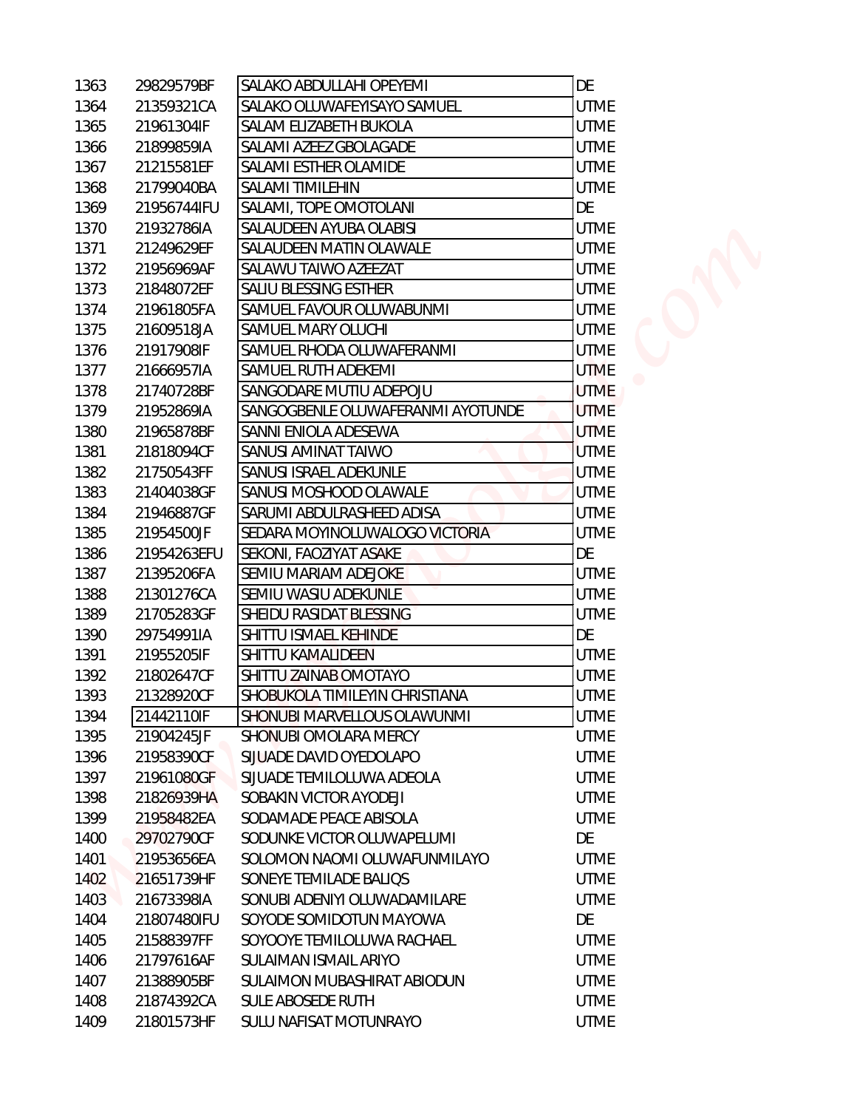| 1363 | 29829579BF  | <b>SALAKO ABDULLAHI OPEYEMI</b>   | DE          |  |
|------|-------------|-----------------------------------|-------------|--|
| 1364 | 21359321CA  | SALAKO OLUWAFEYISAYO SAMUEL       | <b>UTME</b> |  |
| 1365 | 21961304IF  | SALAM ELIZABETH BUKOLA            | <b>UTME</b> |  |
| 1366 | 21899859IA  | SALAMI AZEEZ GBOLAGADE            | <b>UTME</b> |  |
| 1367 | 21215581EF  | SALAMI ESTHER OLAMIDE             | <b>UTME</b> |  |
| 1368 | 21799040BA  | <b>SALAMI TIMILEHIN</b>           | <b>UTME</b> |  |
| 1369 | 21956744IFU | SALAMI, TOPE OMOTOLANI            | DE          |  |
| 1370 | 21932786IA  | SALAUDEEN AYUBA OLABISI           | <b>UTME</b> |  |
| 1371 | 21249629EF  | SALAUDEEN MATIN OLAWALE           | <b>UTME</b> |  |
| 1372 | 21956969AF  | SALAWU TAIWO AZEEZAT              | <b>UTME</b> |  |
| 1373 | 21848072EF  | SALIU BLESSING ESTHER             | <b>UTME</b> |  |
| 1374 | 21961805FA  | SAMUEL FAVOUR OLUWABUNMI          | <b>UTME</b> |  |
| 1375 | 21609518JA  | SAMUEL MARY OLUCHI                | <b>UTME</b> |  |
| 1376 | 21917908IF  | SAMUEL RHODA OLUWAFERANMI         | <b>UTME</b> |  |
| 1377 | 21666957IA  | SAMUEL RUTH ADEKEMI               | <b>UTME</b> |  |
| 1378 | 21740728BF  | SANGODARE MUTIU ADEPOJU           | <b>UTME</b> |  |
| 1379 | 21952869IA  | SANGOGBENLE OLUWAFERANMI AYOTUNDE | <b>UTME</b> |  |
| 1380 | 21965878BF  | SANNI ENIOLA ADESEWA              | <b>UTME</b> |  |
| 1381 | 21818094CF  | SANUSI AMINAT TAIWO               | <b>UTME</b> |  |
| 1382 | 21750543FF  | SANUSI ISRAEL ADEKUNLE            | <b>UTME</b> |  |
| 1383 | 21404038GF  | SANUSI MOSHOOD OLAWALE            | <b>UTME</b> |  |
| 1384 | 21946887GF  | SARUMI ABDULRASHEED ADISA         | <b>UTME</b> |  |
| 1385 | 21954500JF  | SEDARA MOYINOLUWALOGO VICTORIA    | <b>UTME</b> |  |
| 1386 | 21954263EFU | SEKONI, FAOZIYAT ASAKE            | DE          |  |
| 1387 | 21395206FA  | SEMIU MARIAM ADEJOKE              | <b>UTME</b> |  |
| 1388 | 21301276CA  | SEMIU WASIU ADEKUNLE              | <b>UTME</b> |  |
| 1389 | 21705283GF  | SHEIDU RASIDAT BLESSING           | <b>UTME</b> |  |
| 1390 | 29754991IA  | SHITTU ISMAEL KEHINDE             | DE          |  |
| 1391 | 21955205IF  | SHITTU KAMALIDEEN                 | <b>UTME</b> |  |
| 1392 | 21802647CF  | SHITTU ZAINAB OMOTAYO             | <b>UTME</b> |  |
|      | 21328920CF  | SHOBUKOLA TIMILEYIN CHRISTIANA    | <b>UTME</b> |  |
| 1393 |             | SHONUBI MARVELLOUS OLAWUNMI       |             |  |
| 1394 | 21442110IF  |                                   | <b>UTME</b> |  |
| 1395 | 21904245JF  | SHONUBI OMOLARA MERCY             | <b>UTME</b> |  |
| 1396 | 21958390CF  | SIJUADE DAVID OYEDOLAPO           | <b>UTME</b> |  |
| 1397 | 21961080GF  | SIJUADE TEMILOLUWA ADEOLA         | <b>UTME</b> |  |
| 1398 | 21826939HA  | SOBAKIN VICTOR AYODEJI            | <b>UTME</b> |  |
| 1399 | 21958482EA  | SODAMADE PEACE ABISOLA            | <b>UTME</b> |  |
| 1400 | 29702790CF  | SODUNKE VICTOR OLUWAPELUMI        | DE          |  |
| 1401 | 21953656EA  | SOLOMON NAOMI OLUWAFUNMILAYO      | <b>UTME</b> |  |
| 1402 | 21651739HF  | SONEYE TEMILADE BALIQS            | <b>UTME</b> |  |
| 1403 | 21673398IA  | SONUBI ADENIYI OLUWADAMILARE      | <b>UTME</b> |  |
| 1404 | 21807480IFU | SOYODE SOMIDOTUN MAYOWA           | DE          |  |
| 1405 | 21588397FF  | SOYOOYE TEMILOLUWA RACHAEL        | <b>UTME</b> |  |
| 1406 | 21797616AF  | SULAIMAN ISMAIL ARIYO             | <b>UTME</b> |  |
| 1407 | 21388905BF  | SULAIMON MUBASHIRAT ABIODUN       | <b>UTME</b> |  |
| 1408 | 21874392CA  | SULE ABOSEDE RUTH                 | <b>UTME</b> |  |
| 1409 | 21801573HF  | SULU NAFISAT MOTUNRAYO            | <b>UTME</b> |  |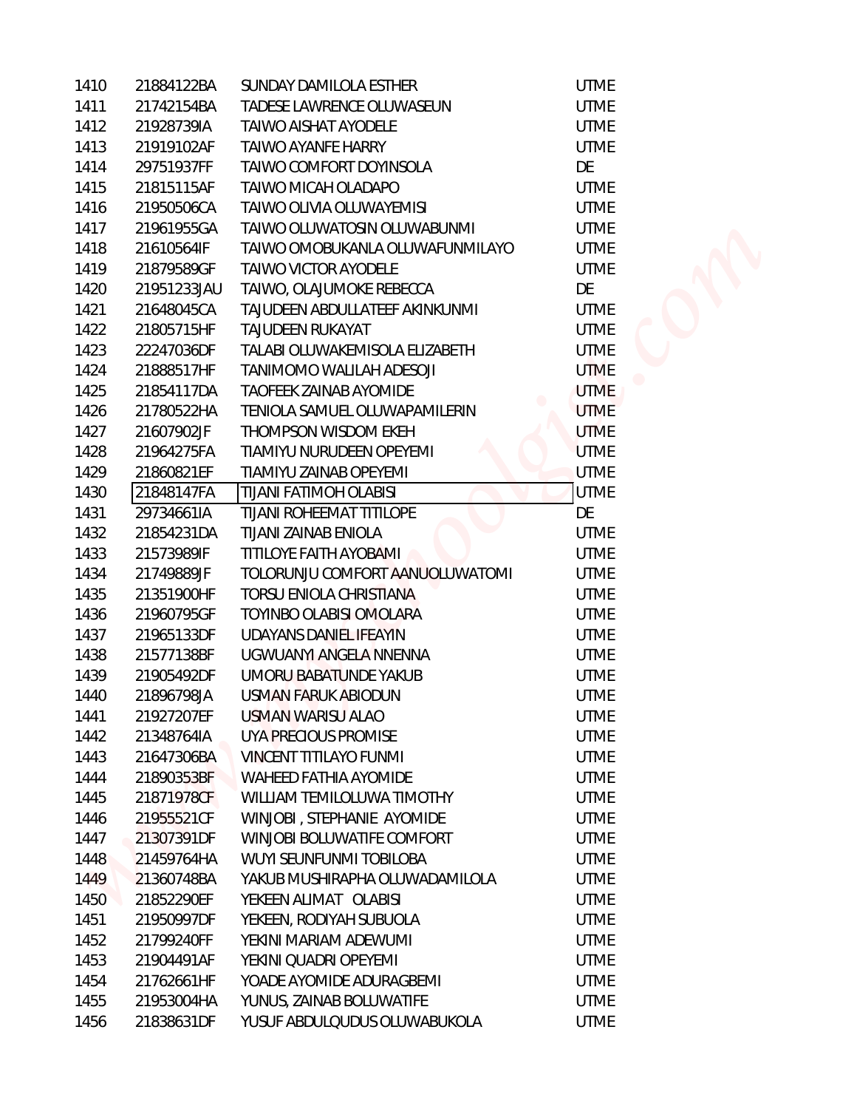| 1410         | 21884122BA  | SUNDAY DAMILOLA ESTHER          | <b>UTME</b>                |
|--------------|-------------|---------------------------------|----------------------------|
| 1411         | 21742154BA  | TADESE LAWRENCE OLUWASEUN       | <b>UTME</b>                |
| 1412         | 21928739IA  | <b>TAIWO AISHAT AYODELE</b>     | <b>UTME</b>                |
| 1413         | 21919102AF  | <b>TAIWO AYANFE HARRY</b>       | <b>UTME</b>                |
| 1414         | 29751937FF  | TAIWO COMFORT DOYINSOLA         | DE                         |
| 1415         | 21815115AF  | TAIWO MICAH OLADAPO             | <b>UTME</b>                |
| 1416         | 21950506CA  | TAIWO OLIVIA OLUWAYEMISI        | <b>UTME</b>                |
| 1417         | 21961955GA  | TAIWO OLUWATOSIN OLUWABUNMI     | <b>UTME</b>                |
| 1418         | 21610564IF  | TAIWO OMOBUKANLA OLUWAFUNMILAYO | <b>UTME</b>                |
| 1419         | 21879589GF  | TAIWO VICTOR AYODELE            | <b>UTME</b>                |
| 1420         | 21951233JAU | TAIWO, OLAJUMOKE REBECCA        | DE                         |
| 1421         | 21648045CA  | TAJUDEEN ABDULLATEEF AKINKUNMI  | <b>UTME</b>                |
| 1422         | 21805715HF  | <b>TAJUDEEN RUKAYAT</b>         | <b>UTME</b>                |
| 1423         | 22247036DF  | TALABI OLUWAKEMISOLA ELIZABETH  | <b>UTME</b>                |
| 1424         | 21888517HF  | TANIMOMO WALILAH ADESOJI        | <b>UTME</b>                |
| 1425         | 21854117DA  | TAOFEEK ZAINAB AYOMIDE          | <b>UTME</b>                |
| 1426         | 21780522HA  | TENIOLA SAMUEL OLUWAPAMILERIN   | <b>UTME</b>                |
| 1427         | 21607902JF  | THOMPSON WISDOM EKEH            | <b>UTME</b>                |
| 1428         | 21964275FA  | TIAMIYU NURUDEEN OPEYEMI        | <b>UTME</b>                |
| 1429         | 21860821EF  | TIAMIYU ZAINAB OPEYEMI          | <b>UTME</b>                |
| 1430         | 21848147FA  | <b>TIJANI FATIMOH OLABISI</b>   | <b>UTME</b>                |
| 1431         | 29734661IA  | <b>TIJANI ROHEEMAT TITILOPE</b> | DE                         |
| 1432         | 21854231DA  | TIJANI ZAINAB ENIOLA            | <b>UTME</b>                |
| 1433         | 21573989IF  | TITILOYE FAITH AYOBAMI          | <b>UTME</b>                |
| 1434         | 21749889JF  | TOLORUNJU COMFORT AANUOLUWATOMI | <b>UTME</b>                |
| 1435         | 21351900HF  | TORSU ENIOLA CHRISTIANA         | <b>UTME</b>                |
| 1436         | 21960795GF  | TOYINBO OLABISI OMOLARA         | <b>UTME</b>                |
| 1437         | 21965133DF  | UDAYANS DANIEL IFEAYIN          | <b>UTME</b>                |
| 1438         | 21577138BF  | UGWUANYI ANGELA NNENNA          | <b>UTME</b>                |
| 1439         | 21905492DF  | UMORU BABATUNDE YAKUB           | <b>UTME</b>                |
| 1440         | 21896798JA  | USMAN FARUK ABIODUN             | <b>UTME</b>                |
| 1441         | 21927207EF  | USMAN WARISU ALAO               | <b>UTME</b>                |
| 1442         | 21348764IA  | UYA PRECIOUS PROMISE            | <b>UTME</b>                |
| 1443         | 21647306BA  | VINCENT TITILAYO FUNMI          | <b>UTME</b>                |
| 1444         | 21890353BF  | WAHEED FATHIA AYOMIDE           | <b>UTME</b>                |
| 1445         | 21871978CF  | WILLIAM TEMILOLUWA TIMOTHY      | <b>UTME</b>                |
| 1446         | 21955521CF  | WINJOBI, STEPHANIE AYOMIDE      | <b>UTME</b>                |
| 1447         | 21307391DF  | WINJOBI BOLUWATIFE COMFORT      | <b>UTME</b>                |
| 1448         | 21459764HA  | WUYI SEUNFUNMI TOBILOBA         | <b>UTME</b>                |
| 1449         | 21360748BA  | YAKUB MUSHIRAPHA OLUWADAMILOLA  | <b>UTME</b>                |
| 1450         | 21852290EF  | YEKEEN ALIMAT OLABISI           | <b>UTME</b>                |
| 1451         | 21950997DF  | YEKEEN, RODIYAH SUBUOLA         | <b>UTME</b>                |
| 1452         | 21799240FF  | YEKINI MARIAM ADEWUMI           | <b>UTME</b>                |
| 1453         | 21904491AF  | YEKINI QUADRI OPEYEMI           | <b>UTME</b>                |
| 1454         | 21762661HF  | YOADE AYOMIDE ADURAGBEMI        | <b>UTME</b>                |
| 1455<br>1456 | 21953004HA  | YUNUS, ZAINAB BOLUWATIFE        | <b>UTME</b><br><b>UTME</b> |
|              | 21838631DF  | YUSUF ABDULQUDUS OLUWABUKOLA    |                            |